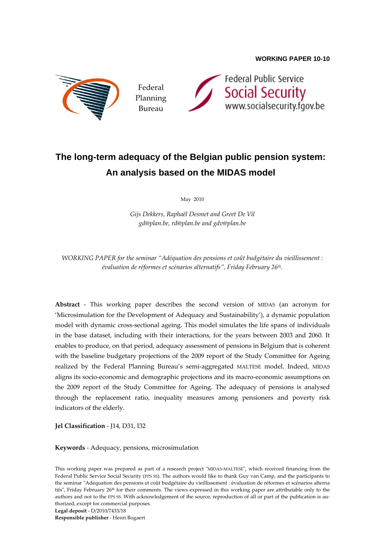

Federal Planning Bureau



# **The long-term adequacy of the Belgian public pension system: An analysis based on the MIDAS model**

May 2010

*Gijs Dekkers, Raphaël Desmet and Greet De Vil gd@plan.be, rd@plan.be and gdv@plan.be*

*WORKING PAPER for the seminar "Adéquation des pensions et coût budgétaire du vieillissement : évaluation de réformes et scénarios alternatifs", Friday February 26th.* 

**Abstract** ‐ This working paper describes the second version of MIDAS (an acronym for 'Microsimulation for the Development of Adequacy and Sustainability'), a dynamic population model with dynamic cross‐sectional ageing. This model simulates the life spans of individuals in the base dataset, including with their interactions, for the years between 2003 and 2060. It enables to produce, on that period, adequacy assessment of pensions in Belgium that is coherent with the baseline budgetary projections of the 2009 report of the Study Committee for Ageing realized by the Federal Planning Bureau's semi‐aggregated MALTESE model. Indeed, MIDAS aligns its socio‐economic and demographic projections and its macro‐economic assumptions on the 2009 report of the Study Committee for Ageing. The adequacy of pensions is analysed through the replacement ratio, inequality measures among pensioners and poverty risk indicators of the elderly.

**Jel Classification** ‐ J14, D31, I32

**Keywords** ‐ Adequacy, pensions, microsimulation

**Legal deposit** ‐ D/2010/7433/18

**Responsible publisher** ‐ Henri Bogaert

This working paper was prepared as part of a research project "MIDAS-MALTESE", which received financing from the Federal Public Service Social Security (FPS SS). The authors would like to thank Guy van Camp, and the participants to the seminar "Adéquation des pensions et coût budgétaire du vieillissement : évaluation de réformes et scénarios alterna tifs", Friday February  $26<sup>th</sup>$  for their comments. The views expressed in this working paper are attributable only to the authors and not to the FPS SS. With acknowledgement of the source, reproduction of all or part of the publication is authorized, except for commercial purposes.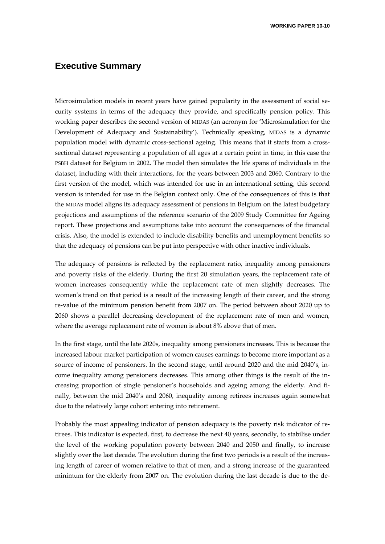# **Executive Summary**

Microsimulation models in recent years have gained popularity in the assessment of social security systems in terms of the adequacy they provide, and specifically pension policy. This working paper describes the second version of MIDAS (an acronym for 'Microsimulation for the Development of Adequacy and Sustainability'). Technically speaking, MIDAS is a dynamic population model with dynamic cross‐sectional ageing. This means that it starts from a cross‐ sectional dataset representing a population of all ages at a certain point in time, in this case the PSBH dataset for Belgium in 2002. The model then simulates the life spans of individuals in the dataset, including with their interactions, for the years between 2003 and 2060. Contrary to the first version of the model, which was intended for use in an international setting, this second version is intended for use in the Belgian context only. One of the consequences of this is that the MIDAS model aligns its adequacy assessment of pensions in Belgium on the latest budgetary projections and assumptions of the reference scenario of the 2009 Study Committee for Ageing report. These projections and assumptions take into account the consequences of the financial crisis. Also, the model is extended to include disability benefits and unemployment benefits so that the adequacy of pensions can be put into perspective with other inactive individuals.

The adequacy of pensions is reflected by the replacement ratio, inequality among pensioners and poverty risks of the elderly. During the first 20 simulation years, the replacement rate of women increases consequently while the replacement rate of men slightly decreases. The women's trend on that period is a result of the increasing length of their career, and the strong re‐value of the minimum pension benefit from 2007 on. The period between about 2020 up to 2060 shows a parallel decreasing development of the replacement rate of men and women, where the average replacement rate of women is about 8% above that of men.

In the first stage, until the late 2020s, inequality among pensioners increases. This is because the increased labour market participation of women causes earnings to become more important as a source of income of pensioners. In the second stage, until around 2020 and the mid 2040's, income inequality among pensioners decreases. This among other things is the result of the increasing proportion of single pensioner's households and ageing among the elderly. And fi‐ nally, between the mid 2040's and 2060, inequality among retirees increases again somewhat due to the relatively large cohort entering into retirement.

Probably the most appealing indicator of pension adequacy is the poverty risk indicator of retirees. This indicator is expected, first, to decrease the next 40 years, secondly, to stabilise under the level of the working population poverty between 2040 and 2050 and finally, to increase slightly over the last decade. The evolution during the first two periods is a result of the increasing length of career of women relative to that of men, and a strong increase of the guaranteed minimum for the elderly from 2007 on. The evolution during the last decade is due to the de‐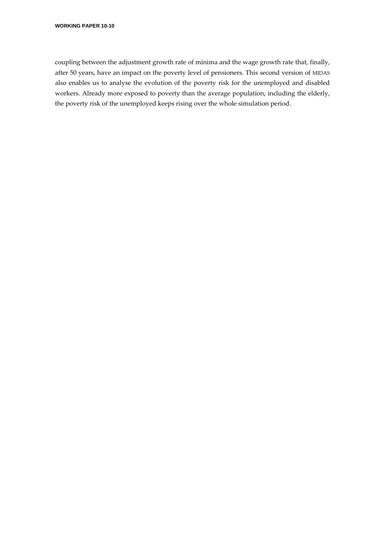coupling between the adjustment growth rate of minima and the wage growth rate that, finally, after 50 years, have an impact on the poverty level of pensioners. This second version of MIDAS also enables us to analyse the evolution of the poverty risk for the unemployed and disabled workers. Already more exposed to poverty than the average population, including the elderly, the poverty risk of the unemployed keeps rising over the whole simulation period.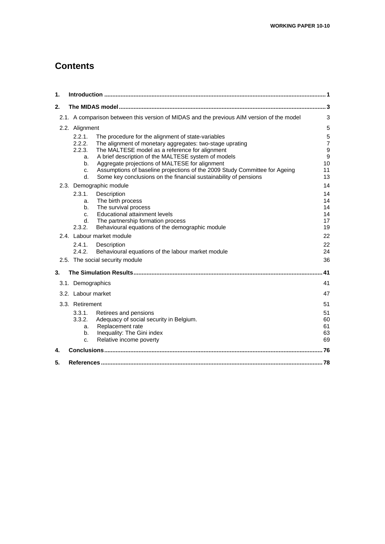# **Contents**

| 1. |                    |                                                                                           |                |
|----|--------------------|-------------------------------------------------------------------------------------------|----------------|
| 2. |                    |                                                                                           |                |
|    |                    | 2.1. A comparison between this version of MIDAS and the previous AIM version of the model | 3              |
|    | 2.2. Alignment     |                                                                                           | 5              |
|    | 2.2.1.             | The procedure for the alignment of state-variables                                        | 5              |
|    | 2.2.2.             | The alignment of monetary aggregates: two-stage uprating                                  | $\overline{7}$ |
|    | 2.2.3.             | The MALTESE model as a reference for alignment                                            | $\mathsf g$    |
|    | a.                 | A brief description of the MALTESE system of models                                       | 9              |
|    | b.                 | Aggregate projections of MALTESE for alignment                                            | 10             |
|    | c.                 | Assumptions of baseline projections of the 2009 Study Committee for Ageing                | 11             |
|    | d.                 | Some key conclusions on the financial sustainability of pensions                          | 13             |
|    |                    | 2.3. Demographic module                                                                   | 14             |
|    | 2.3.1.             | Description                                                                               | 14             |
|    | a.                 | The birth process                                                                         | 14             |
|    | b.                 | The survival process                                                                      | 14             |
|    | $C_{-}$<br>d.      | Educational attainment levels<br>The partnership formation process                        | 14<br>17       |
|    | 2.3.2.             | Behavioural equations of the demographic module                                           | 19             |
|    |                    | 2.4. Labour market module                                                                 | 22             |
|    | 2.4.1.             | Description                                                                               | 22             |
|    | 2.4.2.             | Behavioural equations of the labour market module                                         | 24             |
|    |                    | 2.5. The social security module                                                           | 36             |
| 3. |                    |                                                                                           | 41             |
|    | 3.1. Demographics  |                                                                                           | 41             |
|    |                    |                                                                                           | 47             |
|    | 3.2. Labour market |                                                                                           |                |
|    | 3.3. Retirement    |                                                                                           | 51             |
|    | 3.3.1.             | Retirees and pensions                                                                     | 51             |
|    | 3.3.2.             | Adequacy of social security in Belgium.                                                   | 60             |
|    | a.                 | Replacement rate                                                                          | 61             |
|    | b.                 | Inequality: The Gini index<br>Relative income poverty                                     | 63<br>69       |
|    | c.                 |                                                                                           |                |
| 4. |                    |                                                                                           |                |
| 5. |                    |                                                                                           |                |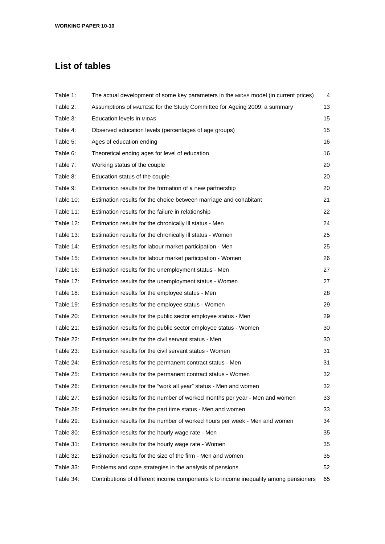# **List of tables**

| Table 1:  | The actual development of some key parameters in the MIDAS model (in current prices) | 4  |
|-----------|--------------------------------------------------------------------------------------|----|
| Table 2:  | Assumptions of MALTESE for the Study Committee for Ageing 2009: a summary            | 13 |
| Table 3:  | Education levels in MIDAS                                                            | 15 |
| Table 4:  | Observed education levels (percentages of age groups)                                | 15 |
| Table 5:  | Ages of education ending                                                             | 16 |
| Table 6:  | Theoretical ending ages for level of education                                       | 16 |
| Table 7:  | Working status of the couple                                                         | 20 |
| Table 8:  | Education status of the couple                                                       | 20 |
| Table 9:  | Estimation results for the formation of a new partnership                            | 20 |
| Table 10: | Estimation results for the choice between marriage and cohabitant                    | 21 |
| Table 11: | Estimation results for the failure in relationship                                   | 22 |
| Table 12: | Estimation results for the chronically ill status - Men                              | 24 |
| Table 13: | Estimation results for the chronically ill status - Women                            | 25 |
| Table 14: | Estimation results for labour market participation - Men                             | 25 |
| Table 15: | Estimation results for labour market participation - Women                           | 26 |
| Table 16: | Estimation results for the unemployment status - Men                                 | 27 |
| Table 17: | Estimation results for the unemployment status - Women                               | 27 |
| Table 18: | Estimation results for the employee status - Men                                     | 28 |
| Table 19: | Estimation results for the employee status - Women                                   | 29 |
| Table 20: | Estimation results for the public sector employee status - Men                       | 29 |
| Table 21: | Estimation results for the public sector employee status - Women                     | 30 |
| Table 22: | Estimation results for the civil servant status - Men                                | 30 |
| Table 23: | Estimation results for the civil servant status - Women                              | 31 |
| Table 24: | Estimation results for the permanent contract status - Men                           | 31 |
| Table 25: | Estimation results for the permanent contract status - Women                         | 32 |
| Table 26: | Estimation results for the "work all year" status - Men and women                    | 32 |
| Table 27: | Estimation results for the number of worked months per year - Men and women          | 33 |
| Table 28: | Estimation results for the part time status - Men and women                          | 33 |
| Table 29: | Estimation results for the number of worked hours per week - Men and women           | 34 |
| Table 30: | Estimation results for the hourly wage rate - Men                                    | 35 |
| Table 31: | Estimation results for the hourly wage rate - Women                                  | 35 |
| Table 32: | Estimation results for the size of the firm - Men and women                          | 35 |
| Table 33: | Problems and cope strategies in the analysis of pensions                             | 52 |
| Table 34: | Contributions of different income components k to income inequality among pensioners | 65 |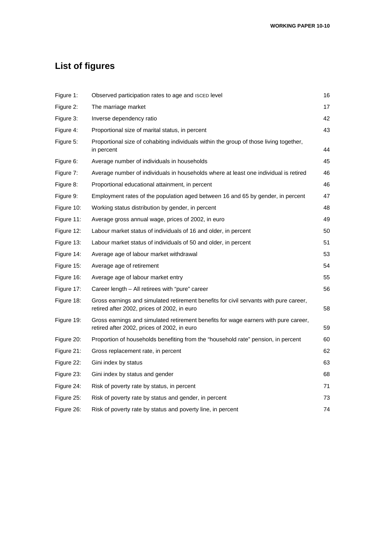# **List of figures**

| Figure 1:  | Observed participation rates to age and ISCED level                                                                                  | 16 |
|------------|--------------------------------------------------------------------------------------------------------------------------------------|----|
| Figure 2:  | The marriage market                                                                                                                  | 17 |
| Figure 3:  | Inverse dependency ratio                                                                                                             | 42 |
| Figure 4:  | Proportional size of marital status, in percent                                                                                      | 43 |
| Figure 5:  | Proportional size of cohabiting individuals within the group of those living together,<br>in percent                                 | 44 |
| Figure 6:  | Average number of individuals in households                                                                                          | 45 |
| Figure 7:  | Average number of individuals in households where at least one individual is retired                                                 | 46 |
| Figure 8:  | Proportional educational attainment, in percent                                                                                      | 46 |
| Figure 9:  | Employment rates of the population aged between 16 and 65 by gender, in percent                                                      | 47 |
| Figure 10: | Working status distribution by gender, in percent                                                                                    | 48 |
| Figure 11: | Average gross annual wage, prices of 2002, in euro                                                                                   | 49 |
| Figure 12: | Labour market status of individuals of 16 and older, in percent                                                                      | 50 |
| Figure 13: | Labour market status of individuals of 50 and older, in percent                                                                      | 51 |
| Figure 14: | Average age of labour market withdrawal                                                                                              | 53 |
| Figure 15: | Average age of retirement                                                                                                            | 54 |
| Figure 16: | Average age of labour market entry                                                                                                   | 55 |
| Figure 17: | Career length - All retirees with "pure" career                                                                                      | 56 |
| Figure 18: | Gross earnings and simulated retirement benefits for civil servants with pure career,<br>retired after 2002, prices of 2002, in euro | 58 |
| Figure 19: | Gross earnings and simulated retirement benefits for wage earners with pure career,<br>retired after 2002, prices of 2002, in euro   | 59 |
| Figure 20: | Proportion of households benefiting from the "household rate" pension, in percent                                                    | 60 |
| Figure 21: | Gross replacement rate, in percent                                                                                                   | 62 |
| Figure 22: | Gini index by status                                                                                                                 | 63 |
| Figure 23: | Gini index by status and gender                                                                                                      | 68 |
| Figure 24: | Risk of poverty rate by status, in percent                                                                                           | 71 |
| Figure 25: | Risk of poverty rate by status and gender, in percent                                                                                | 73 |
| Figure 26: | Risk of poverty rate by status and poverty line, in percent                                                                          | 74 |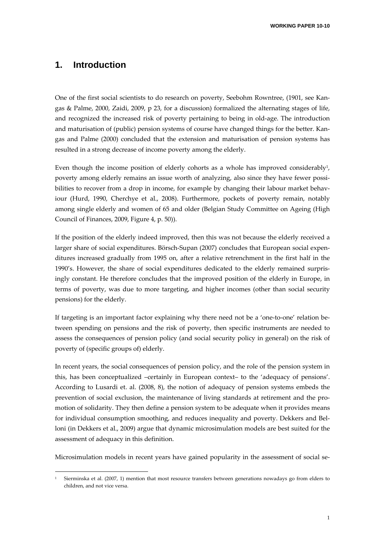# **1. Introduction**

One of the first social scientists to do research on poverty, Seebohm Rowntree, (1901, see Kangas & Palme, 2000, Zaidi, 2009, p 23, for a discussion) formalized the alternating stages of life, and recognized the increased risk of poverty pertaining to being in old‐age. The introduction and maturisation of (public) pension systems of course have changed things for the better. Kan‐ gas and Palme (2000) concluded that the extension and maturisation of pension systems has resulted in a strong decrease of income poverty among the elderly.

Even though the income position of elderly cohorts as a whole has improved considerably<sup>1</sup>, poverty among elderly remains an issue worth of analyzing, also since they have fewer possibilities to recover from a drop in income, for example by changing their labour market behaviour (Hurd, 1990, Cherchye et al., 2008). Furthermore, pockets of poverty remain, notably among single elderly and women of 65 and older (Belgian Study Committee on Ageing (High Council of Finances, 2009, Figure 4, p. 50)).

If the position of the elderly indeed improved, then this was not because the elderly received a larger share of social expenditures. Börsch-Supan (2007) concludes that European social expenditures increased gradually from 1995 on, after a relative retrenchment in the first half in the 1990's. However, the share of social expenditures dedicated to the elderly remained surpris‐ ingly constant. He therefore concludes that the improved position of the elderly in Europe, in terms of poverty, was due to more targeting, and higher incomes (other than social security pensions) for the elderly.

If targeting is an important factor explaining why there need not be a 'one-to-one' relation between spending on pensions and the risk of poverty, then specific instruments are needed to assess the consequences of pension policy (and social security policy in general) on the risk of poverty of (specific groups of) elderly.

In recent years, the social consequences of pension policy, and the role of the pension system in this, has been conceptualized –certainly in European context– to the 'adequacy of pensions'. According to Lusardi et. al. (2008, 8), the notion of adequacy of pension systems embeds the prevention of social exclusion, the maintenance of living standards at retirement and the promotion of solidarity. They then define a pension system to be adequate when it provides means for individual consumption smoothing, and reduces inequality and poverty. Dekkers and Belloni (in Dekkers et al., 2009) argue that dynamic microsimulation models are best suited for the assessment of adequacy in this definition.

Microsimulation models in recent years have gained popularity in the assessment of social se-

<sup>1</sup> Sierminska et al. (2007, 1) mention that most resource transfers between generations nowadays go from elders to children, and not vice versa.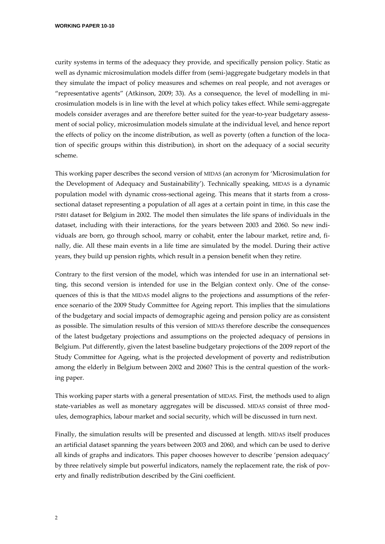curity systems in terms of the adequacy they provide, and specifically pension policy. Static as well as dynamic microsimulation models differ from (semi‐)aggregate budgetary models in that they simulate the impact of policy measures and schemes on real people, and not averages or "representative agents" (Atkinson, 2009; 33). As a consequence, the level of modelling in mi‐ crosimulation models is in line with the level at which policy takes effect. While semi‐aggregate models consider averages and are therefore better suited for the year-to-year budgetary assessment of social policy, microsimulation models simulate at the individual level, and hence report the effects of policy on the income distribution, as well as poverty (often a function of the location of specific groups within this distribution), in short on the adequacy of a social security scheme.

This working paper describes the second version of MIDAS (an acronym for 'Microsimulation for the Development of Adequacy and Sustainability'). Technically speaking, MIDAS is a dynamic population model with dynamic cross-sectional ageing. This means that it starts from a crosssectional dataset representing a population of all ages at a certain point in time, in this case the PSBH dataset for Belgium in 2002. The model then simulates the life spans of individuals in the dataset, including with their interactions, for the years between 2003 and 2060. So new individuals are born, go through school, marry or cohabit, enter the labour market, retire and, fi‐ nally, die. All these main events in a life time are simulated by the model. During their active years, they build up pension rights, which result in a pension benefit when they retire.

Contrary to the first version of the model, which was intended for use in an international setting, this second version is intended for use in the Belgian context only. One of the consequences of this is that the MIDAS model aligns to the projections and assumptions of the refer‐ ence scenario of the 2009 Study Committee for Ageing report. This implies that the simulations of the budgetary and social impacts of demographic ageing and pension policy are as consistent as possible. The simulation results of this version of MIDAS therefore describe the consequences of the latest budgetary projections and assumptions on the projected adequacy of pensions in Belgium. Put differently, given the latest baseline budgetary projections of the 2009 report of the Study Committee for Ageing, what is the projected development of poverty and redistribution among the elderly in Belgium between 2002 and 2060? This is the central question of the work‐ ing paper.

This working paper starts with a general presentation of MIDAS. First, the methods used to align state-variables as well as monetary aggregates will be discussed. MIDAS consist of three modules, demographics, labour market and social security, which will be discussed in turn next.

Finally, the simulation results will be presented and discussed at length. MIDAS itself produces an artificial dataset spanning the years between 2003 and 2060, and which can be used to derive all kinds of graphs and indicators. This paper chooses however to describe 'pension adequacy' by three relatively simple but powerful indicators, namely the replacement rate, the risk of poverty and finally redistribution described by the Gini coefficient.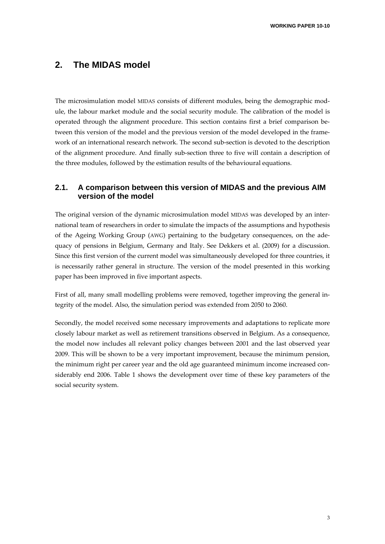# **2. The MIDAS model**

The microsimulation model MIDAS consists of different modules, being the demographic module, the labour market module and the social security module. The calibration of the model is operated through the alignment procedure. This section contains first a brief comparison be‐ tween this version of the model and the previous version of the model developed in the frame‐ work of an international research network. The second sub‐section is devoted to the description of the alignment procedure. And finally sub‐section three to five will contain a description of the three modules, followed by the estimation results of the behavioural equations.

# **2.1. A comparison between this version of MIDAS and the previous AIM version of the model**

The original version of the dynamic microsimulation model MIDAS was developed by an inter‐ national team of researchers in order to simulate the impacts of the assumptions and hypothesis of the Ageing Working Group (AWG) pertaining to the budgetary consequences, on the ade‐ quacy of pensions in Belgium, Germany and Italy. See Dekkers et al. (2009) for a discussion. Since this first version of the current model was simultaneously developed for three countries, it is necessarily rather general in structure. The version of the model presented in this working paper has been improved in five important aspects.

First of all, many small modelling problems were removed, together improving the general integrity of the model. Also, the simulation period was extended from 2050 to 2060.

Secondly, the model received some necessary improvements and adaptations to replicate more closely labour market as well as retirement transitions observed in Belgium. As a consequence, the model now includes all relevant policy changes between 2001 and the last observed year 2009. This will be shown to be a very important improvement, because the minimum pension, the minimum right per career year and the old age guaranteed minimum income increased considerably end 2006. Table 1 shows the development over time of these key parameters of the social security system.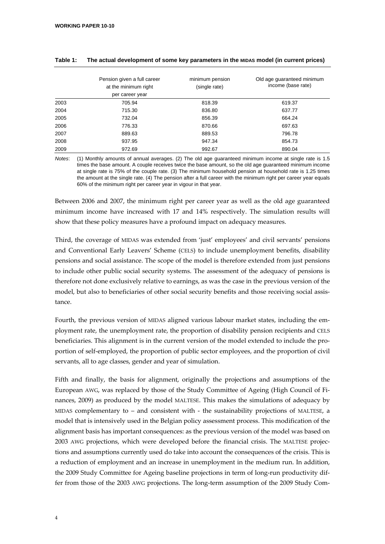|      | Pension given a full career<br>at the minimum right<br>per career year | minimum pension<br>(single rate) | Old age guaranteed minimum<br>income (base rate) |
|------|------------------------------------------------------------------------|----------------------------------|--------------------------------------------------|
| 2003 | 705.94                                                                 | 818.39                           | 619.37                                           |
| 2004 | 715.30                                                                 | 836.80                           | 637.77                                           |
| 2005 | 732.04                                                                 | 856.39                           | 664.24                                           |
| 2006 | 776.33                                                                 | 870.66                           | 697.63                                           |
| 2007 | 889.63                                                                 | 889.53                           | 796.78                                           |
| 2008 | 937.95                                                                 | 947.34                           | 854.73                                           |
| 2009 | 972.69                                                                 | 992.67                           | 890.04                                           |

#### **Table 1: The actual development of some key parameters in the MIDAS model (in current prices)**

*Notes*: (1) Monthly amounts of annual averages. (2) The old age guaranteed minimum income at single rate is 1.5 times the base amount. A couple receives twice the base amount, so the old age guaranteed minimum income at single rate is 75% of the couple rate. (3) The minimum household pension at household rate is 1.25 times the amount at the single rate. (4) The pension after a full career with the minimum right per career year equals 60% of the minimum right per career year in vigour in that year.

Between 2006 and 2007, the minimum right per career year as well as the old age guaranteed minimum income have increased with 17 and 14% respectively. The simulation results will show that these policy measures have a profound impact on adequacy measures.

Third, the coverage of MIDAS was extended from 'just' employees' and civil servants' pensions and Conventional Early Leavers' Scheme (CELS) to include unemployment benefits, disability pensions and social assistance. The scope of the model is therefore extended from just pensions to include other public social security systems. The assessment of the adequacy of pensions is therefore not done exclusively relative to earnings, as was the case in the previous version of the model, but also to beneficiaries of other social security benefits and those receiving social assistance.

Fourth, the previous version of MIDAS aligned various labour market states, including the employment rate, the unemployment rate, the proportion of disability pension recipients and CELS beneficiaries. This alignment is in the current version of the model extended to include the proportion of self‐employed, the proportion of public sector employees, and the proportion of civil servants, all to age classes, gender and year of simulation.

Fifth and finally, the basis for alignment, originally the projections and assumptions of the European AWG, was replaced by those of the Study Committee of Ageing (High Council of Fi‐ nances, 2009) as produced by the model MALTESE. This makes the simulations of adequacy by MIDAS complementary to  $-$  and consistent with  $-$  the sustainability projections of MALTESE, a model that is intensively used in the Belgian policy assessment process. This modification of the alignment basis has important consequences: as the previous version of the model was based on 2003 AWG projections, which were developed before the financial crisis. The MALTESE projec‐ tions and assumptions currently used do take into account the consequences of the crisis. This is a reduction of employment and an increase in unemployment in the medium run. In addition, the 2009 Study Committee for Ageing baseline projections in term of long-run productivity differ from those of the 2003 AWG projections. The long-term assumption of the 2009 Study Com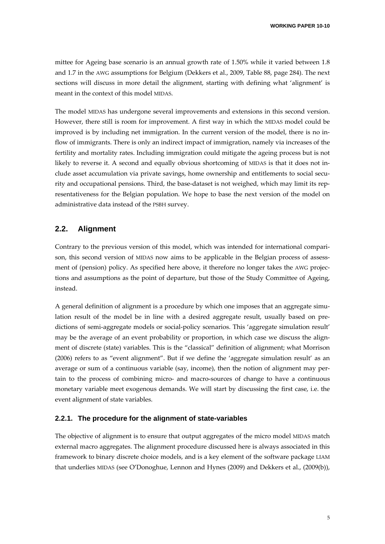mittee for Ageing base scenario is an annual growth rate of 1.50% while it varied between 1.8 and 1.7 in the AWG assumptions for Belgium (Dekkers et al., 2009, Table 88, page 284). The next sections will discuss in more detail the alignment, starting with defining what 'alignment' is meant in the context of this model MIDAS.

The model MIDAS has undergone several improvements and extensions in this second version. However, there still is room for improvement. A first way in which the MIDAS model could be improved is by including net immigration. In the current version of the model, there is no inflow of immigrants. There is only an indirect impact of immigration, namely via increases of the fertility and mortality rates. Including immigration could mitigate the ageing process but is not likely to reverse it. A second and equally obvious shortcoming of MIDAS is that it does not in‐ clude asset accumulation via private savings, home ownership and entitlements to social security and occupational pensions. Third, the base-dataset is not weighed, which may limit its representativeness for the Belgian population. We hope to base the next version of the model on administrative data instead of the PSBH survey.

## **2.2. Alignment**

Contrary to the previous version of this model, which was intended for international compari‐ son, this second version of MIDAS now aims to be applicable in the Belgian process of assessment of (pension) policy. As specified here above, it therefore no longer takes the AWG projections and assumptions as the point of departure, but those of the Study Committee of Ageing, instead.

A general definition of alignment is a procedure by which one imposes that an aggregate simu‐ lation result of the model be in line with a desired aggregate result, usually based on pre‐ dictions of semi-aggregate models or social-policy scenarios. This 'aggregate simulation result' may be the average of an event probability or proportion, in which case we discuss the alignment of discrete (state) variables. This is the "classical" definition of alignment; what Morrison (2006) refers to as "event alignment". But if we define the 'aggregate simulation result' as an average or sum of a continuous variable (say, income), then the notion of alignment may pertain to the process of combining micro‐ and macro‐sources of change to have a continuous monetary variable meet exogenous demands. We will start by discussing the first case, i.e. the event alignment of state variables.

#### **2.2.1. The procedure for the alignment of state-variables**

The objective of alignment is to ensure that output aggregates of the micro model MIDAS match external macro aggregates. The alignment procedure discussed here is always associated in this framework to binary discrete choice models, and is a key element of the software package LIAM that underlies MIDAS (see O'Donoghue, Lennon and Hynes (2009) and Dekkers et al., (2009(b)),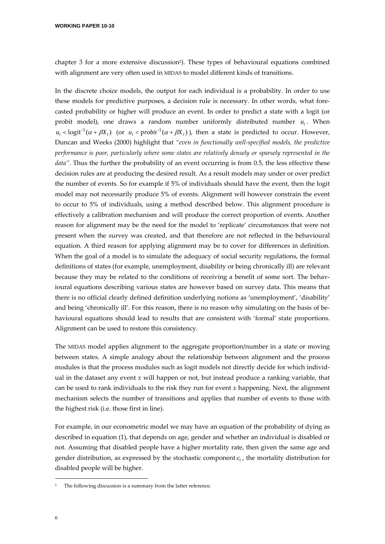chapter 3 for a more extensive discussion<sup>2</sup>). These types of behavioural equations combined with alignment are very often used in MIDAS to model different kinds of transitions.

In the discrete choice models, the output for each individual is a probability. In order to use these models for predictive purposes, a decision rule is necessary. In other words, what fore‐ casted probability or higher will produce an event. In order to predict a state with a logit (or probit model), one draws a random number uniformly distributed number  $u_i$ . When  $u_i <$ logit<sup>-1</sup>( $\alpha + \beta X_i$ ) (or  $u_i <$  *probit*<sup>-1</sup>( $\alpha + \beta X_i$ )), then a state is predicted to occur. However, Duncan and Weeks (2000) highlight that *"even in functionally well‐specified models, the predictive performance is poor, particularly where some states are relatively densely or sparsely represented in the data"*. Thus the further the probability of an event occurring is from 0.5, the less effective these decision rules are at producing the desired result. As a result models may under or over predict the number of events. So for example if 5% of individuals should have the event, then the logit model may not necessarily produce 5% of events. Alignment will however constrain the event to occur to 5% of individuals, using a method described below. This alignment procedure is effectively a calibration mechanism and will produce the correct proportion of events. Another reason for alignment may be the need for the model to 'replicate' circumstances that were not present when the survey was created, and that therefore are not reflected in the behavioural equation. A third reason for applying alignment may be to cover for differences in definition. When the goal of a model is to simulate the adequacy of social security regulations, the formal definitions of states (for example, unemployment, disability or being chronically ill) are relevant because they may be related to the conditions of receiving a benefit of some sort. The behavioural equations describing various states are however based on survey data. This means that there is no official clearly defined definition underlying notions as 'unemployment', 'disability' and being 'chronically ill'. For this reason, there is no reason why simulating on the basis of be‐ havioural equations should lead to results that are consistent with 'formal' state proportions. Alignment can be used to restore this consistency.

The MIDAS model applies alignment to the aggregate proportion/number in a state or moving between states. A simple analogy about the relationship between alignment and the process modules is that the process modules such as logit models not directly decide for which individ‐ ual in the dataset any event *x* will happen or not, but instead produce a ranking variable, that can be used to rank individuals to the risk they run for event *x* happening. Next, the alignment mechanism selects the number of transitions and applies that number of events to those with the highest risk (i.e. those first in line).

For example, in our econometric model we may have an equation of the probability of dying as described in equation (1), that depends on age, gender and whether an individual is disabled or not. Assuming that disabled people have a higher mortality rate, then given the same age and gender distribution, as expressed by the stochastic component  $\varepsilon_i$ , the mortality distribution for disabled people will be higher.

<u> Andrew Maria (1995)</u>

The following discussion is a summary from the latter reference.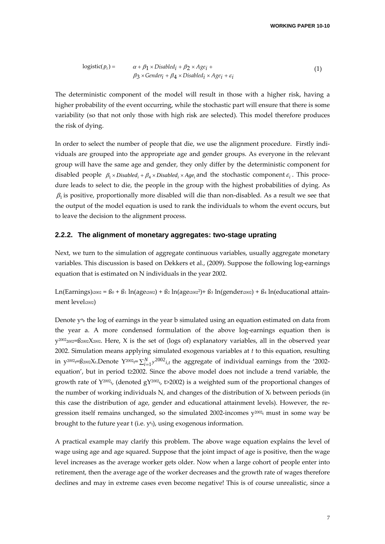$$
logistic(p_i) = \alpha + \beta_1 \times Disabled_i + \beta_2 \times Age_i +\n\beta_3 \times Gender_i + \beta_4 \times Disabled_i \times Age_i + \varepsilon_i
$$
\n(1)

The deterministic component of the model will result in those with a higher risk, having a higher probability of the event occurring, while the stochastic part will ensure that there is some variability (so that not only those with high risk are selected). This model therefore produces the risk of dying.

In order to select the number of people that die, we use the alignment procedure. Firstly individuals are grouped into the appropriate age and gender groups. As everyone in the relevant group will have the same age and gender, they only differ by the deterministic component for disabled people  $\beta_1 \times Disabled_i + \beta_4 \times Disabled_i \times Age_i$  and the stochastic component  $\varepsilon_i$ . This procedure leads to select to die, the people in the group with the highest probabilities of dying. As  $\beta_1$  is positive, proportionally more disabled will die than non-disabled. As a result we see that the output of the model equation is used to rank the individuals to whom the event occurs, but to leave the decision to the alignment process.

#### **2.2.2. The alignment of monetary aggregates: two-stage uprating**

Next, we turn to the simulation of aggregate continuous variables, usually aggregate monetary variables. This discussion is based on Dekkers et al., (2009). Suppose the following log-earnings equation that is estimated on N individuals in the year 2002.

Ln(Earnings): $2002 = 60 + 61 \ln(age2002) + 62 \ln(age2002)^2 + 63 \ln(gender2002) + 64 \ln(educational attain$ ment leveli2002)

Denote y<sup>a</sup>b the log of earnings in the year b simulated using an equation estimated on data from the year a. A more condensed formulation of the above log-earnings equation then is y<sup>2002</sup>2002=ß2002X2002. Here, X is the set of (logs of) explanatory variables, all in the observed year 2002. Simulation means applying simulated exogenous variables at *t* to this equation, resulting in y<sup>2002</sup>t=ß2002Xt.Denote Y<sup>2002</sup>t=∑ $_{i=1}^N$ y<sup>2002</sup><sub>i,t</sub> the aggregate of individual earnings from the '2002equation', but in period t≥2002. Since the above model does not include a trend variable, the growth rate of  $Y^{2002}$ t, (denoted g $Y^{2002}$ t,  $\leftrightarrow$ 2002) is a weighted sum of the proportional changes of the number of working individuals N, and changes of the distribution of  $X_t$  between periods (in this case the distribution of age, gender and educational attainment levels). However, the regression itself remains unchanged, so the simulated 2002-incomes  $y^{2002}$  must in some way be brought to the future year t (i.e. y<sup>t</sup>t), using exogenous information.

A practical example may clarify this problem. The above wage equation explains the level of wage using age and age squared. Suppose that the joint impact of age is positive, then the wage level increases as the average worker gets older. Now when a large cohort of people enter into retirement, then the average age of the worker decreases and the growth rate of wages therefore declines and may in extreme cases even become negative! This is of course unrealistic, since a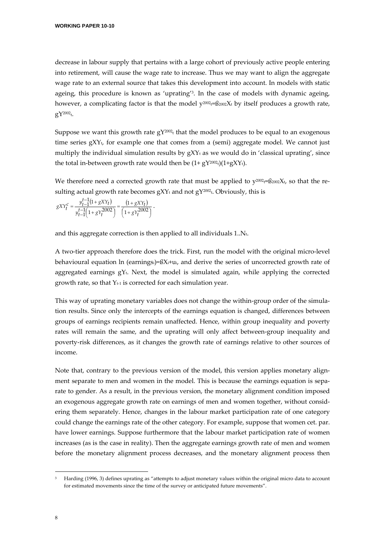decrease in labour supply that pertains with a large cohort of previously active people entering into retirement, will cause the wage rate to increase. Thus we may want to align the aggregate wage rate to an external source that takes this development into account. In models with static ageing, this procedure is known as 'uprating'3. In the case of models with dynamic ageing, however, a complicating factor is that the model  $y^{2002}$ t= $\frac{2002}{x}$ t by itself produces a growth rate,  $gY^{2002}$ t.

Suppose we want this growth rate  $gY^{2002}$  that the model produces to be equal to an exogenous time series  $gXY_t$ , for example one that comes from a (semi) aggregate model. We cannot just multiply the individual simulation results by  $gXY_t$  as we would do in 'classical uprating', since the total in-between growth rate would then be  $(1+gY^{2002}t)(1+gXYt)$ .

We therefore need a corrected growth rate that must be applied to  $y^{2002} \in B_{2002} X_t$ , so that the resulting actual growth rate becomes  $gXY_t$  and not  $gY^{2002}$ <sub>t</sub>. Obviously, this is

$$
gXY_t^c = \frac{y_{t-1}^{t-1}(1+gXY_t)}{y_{t-1}^{t-1}(1+gY_t^{2002})} = \frac{(1+gXY_t)}{(1+gY_t^{2002})}.
$$

and this aggregate correction is then applied to all individuals 1..Nt.

A two‐tier approach therefore does the trick. First, run the model with the original micro‐level behavioural equation ln (earningsi)= $\beta X_i+u_i$ , and derive the series of uncorrected growth rate of aggregated earnings  $gY_t$ . Next, the model is simulated again, while applying the corrected growth rate, so that  $Y_{t-1}$  is corrected for each simulation year.

This way of uprating monetary variables does not change the within-group order of the simulation results. Since only the intercepts of the earnings equation is changed, differences between groups of earnings recipients remain unaffected. Hence, within group inequality and poverty rates will remain the same, and the uprating will only affect between-group inequality and poverty‐risk differences, as it changes the growth rate of earnings relative to other sources of income.

Note that, contrary to the previous version of the model, this version applies monetary alignment separate to men and women in the model. This is because the earnings equation is separate to gender. As a result, in the previous version, the monetary alignment condition imposed an exogenous aggregate growth rate on earnings of men and women together, without consid‐ ering them separately. Hence, changes in the labour market participation rate of one category could change the earnings rate of the other category. For example, suppose that women cet. par. have lower earnings. Suppose furthermore that the labour market participation rate of women increases (as is the case in reality). Then the aggregate earnings growth rate of men and women before the monetary alignment process decreases, and the monetary alignment process then

<sup>3</sup> Harding (1996, 3) defines uprating as "attempts to adjust monetary values within the original micro data to account for estimated movements since the time of the survey or anticipated future movements".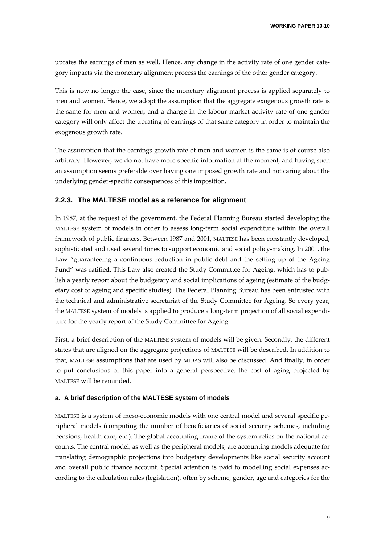uprates the earnings of men as well. Hence, any change in the activity rate of one gender category impacts via the monetary alignment process the earnings of the other gender category.

This is now no longer the case, since the monetary alignment process is applied separately to men and women. Hence, we adopt the assumption that the aggregate exogenous growth rate is the same for men and women, and a change in the labour market activity rate of one gender category will only affect the uprating of earnings of that same category in order to maintain the exogenous growth rate.

The assumption that the earnings growth rate of men and women is the same is of course also arbitrary. However, we do not have more specific information at the moment, and having such an assumption seems preferable over having one imposed growth rate and not caring about the underlying gender‐specific consequences of this imposition.

#### **2.2.3. The MALTESE model as a reference for alignment**

In 1987, at the request of the government, the Federal Planning Bureau started developing the MALTESE system of models in order to assess long-term social expenditure within the overall framework of public finances. Between 1987 and 2001, MALTESE has been constantly developed, sophisticated and used several times to support economic and social policy-making. In 2001, the Law "guaranteeing a continuous reduction in public debt and the setting up of the Ageing Fund" was ratified. This Law also created the Study Committee for Ageing, which has to pub‐ lish a yearly report about the budgetary and social implications of ageing (estimate of the budgetary cost of ageing and specific studies). The Federal Planning Bureau has been entrusted with the technical and administrative secretariat of the Study Committee for Ageing. So every year, the MALTESE system of models is applied to produce a long-term projection of all social expenditure for the yearly report of the Study Committee for Ageing.

First, a brief description of the MALTESE system of models will be given. Secondly, the different states that are aligned on the aggregate projections of MALTESE will be described. In addition to that, MALTESE assumptions that are used by MIDAS will also be discussed. And finally, in order to put conclusions of this paper into a general perspective, the cost of aging projected by MALTESE will be reminded.

#### **a. A brief description of the MALTESE system of models**

MALTESE is a system of meso‐economic models with one central model and several specific pe‐ ripheral models (computing the number of beneficiaries of social security schemes, including pensions, health care, etc.). The global accounting frame of the system relies on the national ac‐ counts. The central model, as well as the peripheral models, are accounting models adequate for translating demographic projections into budgetary developments like social security account and overall public finance account. Special attention is paid to modelling social expenses ac‐ cording to the calculation rules (legislation), often by scheme, gender, age and categories for the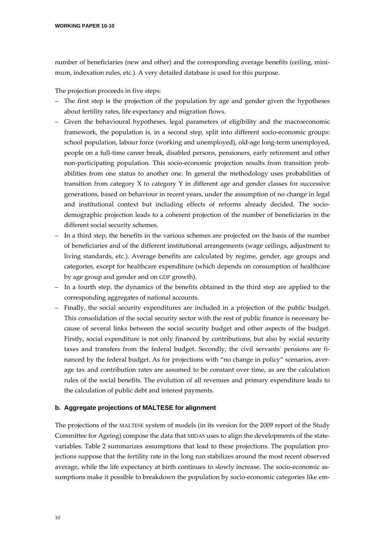number of beneficiaries (new and other) and the corresponding average benefits (ceiling, minimum, indexation rules, etc.). A very detailed database is used for this purpose.

The projection proceeds in five steps:

- The first step is the projection of the population by age and gender given the hypotheses about fertility rates, life expectancy and migration flows.
- Given the behavioural hypotheses, legal parameters of eligibility and the macroeconomic framework, the population is, in a second step, split into different socio-economic groups: school population, labour force (working and unemployed), old‐age long‐term unemployed, people on a full-time career break, disabled persons, pensioners, early retirement and other non‐participating population. This socio‐economic projection results from transition prob‐ abilities from one status to another one. In general the methodology uses probabilities of transition from category X to category Y in different age and gender classes for successive generations, based on behaviour in recent years, under the assumption of no change in legal and institutional context but including effects of reforms already decided. The sociodemographic projection leads to a coherent projection of the number of beneficiaries in the different social security schemes.
- In a third step, the benefits in the various schemes are projected on the basis of the number of beneficiaries and of the different institutional arrangements (wage ceilings, adjustment to living standards, etc.). Average benefits are calculated by regime, gender, age groups and categories, except for healthcare expenditure (which depends on consumption of healthcare by age group and gender and on GDP growth).
- In a fourth step, the dynamics of the benefits obtained in the third step are applied to the corresponding aggregates of national accounts.
- Finally, the social security expenditures are included in a projection of the public budget. This consolidation of the social security sector with the rest of public finance is necessary because of several links between the social security budget and other aspects of the budget. Firstly, social expenditure is not only financed by contributions, but also by social security taxes and transfers from the federal budget. Secondly, the civil servants' pensions are financed by the federal budget. As for projections with "no change in policy" scenarios, average tax and contribution rates are assumed to be constant over time, as are the calculation rules of the social benefits. The evolution of all revenues and primary expenditure leads to the calculation of public debt and interest payments.

#### **b. Aggregate projections of MALTESE for alignment**

The projections of the MALTESE system of models (in its version for the 2009 report of the Study Committee for Ageing) compose the data that MIDAS uses to align the developments of the state‐ variables. Table 2 summarizes assumptions that lead to these projections. The population pro‐ jections suppose that the fertility rate in the long run stabilizes around the most recent observed average, while the life expectancy at birth continues to slowly increase. The socio-economic assumptions make it possible to breakdown the population by socio-economic categories like em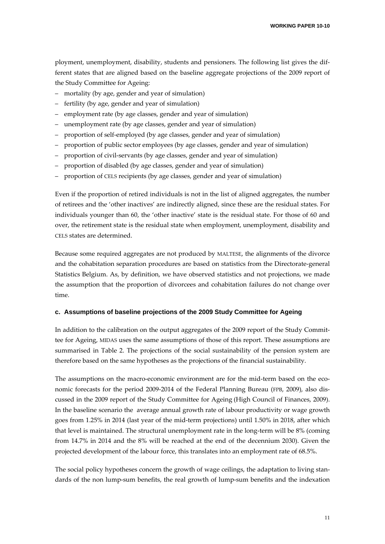ployment, unemployment, disability, students and pensioners. The following list gives the dif‐ ferent states that are aligned based on the baseline aggregate projections of the 2009 report of the Study Committee for Ageing:

- mortality (by age, gender and year of simulation)
- fertility (by age, gender and year of simulation)
- employment rate (by age classes, gender and year of simulation)
- unemployment rate (by age classes, gender and year of simulation)
- proportion of self‐employed (by age classes, gender and year of simulation)
- proportion of public sector employees (by age classes, gender and year of simulation)
- proportion of civil‐servants (by age classes, gender and year of simulation)
- proportion of disabled (by age classes, gender and year of simulation)
- proportion of CELS recipients (by age classes, gender and year of simulation)

Even if the proportion of retired individuals is not in the list of aligned aggregates, the number of retirees and the 'other inactives' are indirectly aligned, since these are the residual states. For individuals younger than 60, the 'other inactive' state is the residual state. For those of 60 and over, the retirement state is the residual state when employment, unemployment, disability and CELS states are determined.

Because some required aggregates are not produced by MALTESE, the alignments of the divorce and the cohabitation separation procedures are based on statistics from the Directorate‐general Statistics Belgium. As, by definition, we have observed statistics and not projections, we made the assumption that the proportion of divorcees and cohabitation failures do not change over time.

### **c. Assumptions of baseline projections of the 2009 Study Committee for Ageing**

In addition to the calibration on the output aggregates of the 2009 report of the Study Committee for Ageing, MIDAS uses the same assumptions of those of this report. These assumptions are summarised in Table 2. The projections of the social sustainability of the pension system are therefore based on the same hypotheses as the projections of the financial sustainability.

The assumptions on the macro-economic environment are for the mid-term based on the economic forecasts for the period 2009-2014 of the Federal Planning Bureau (FPB, 2009), also discussed in the 2009 report of the Study Committee for Ageing (High Council of Finances, 2009). In the baseline scenario the average annual growth rate of labour productivity or wage growth goes from 1.25% in 2014 (last year of the mid‐term projections) until 1.50% in 2018, after which that level is maintained. The structural unemployment rate in the long-term will be 8% (coming from 14.7% in 2014 and the 8% will be reached at the end of the decennium 2030). Given the projected development of the labour force, this translates into an employment rate of 68.5%.

The social policy hypotheses concern the growth of wage ceilings, the adaptation to living stan– dards of the non lump-sum benefits, the real growth of lump-sum benefits and the indexation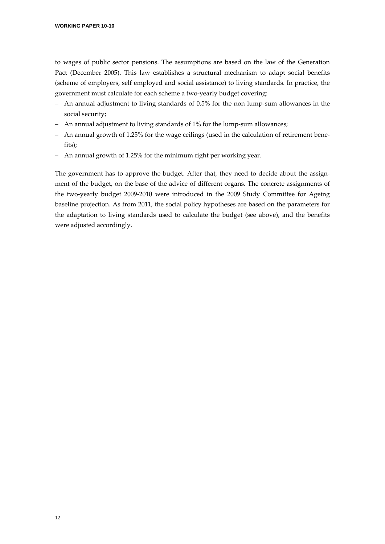to wages of public sector pensions. The assumptions are based on the law of the Generation Pact (December 2005). This law establishes a structural mechanism to adapt social benefits (scheme of employers, self employed and social assistance) to living standards. In practice, the government must calculate for each scheme a two‐yearly budget covering:

- An annual adjustment to living standards of 0.5% for the non lump‐sum allowances in the social security;
- An annual adjustment to living standards of 1% for the lump‐sum allowances;
- An annual growth of 1.25% for the wage ceilings (used in the calculation of retirement bene‐ fits);
- An annual growth of 1.25% for the minimum right per working year.

The government has to approve the budget. After that, they need to decide about the assignment of the budget, on the base of the advice of different organs. The concrete assignments of the two‐yearly budget 2009‐2010 were introduced in the 2009 Study Committee for Ageing baseline projection. As from 2011, the social policy hypotheses are based on the parameters for the adaptation to living standards used to calculate the budget (see above), and the benefits were adjusted accordingly.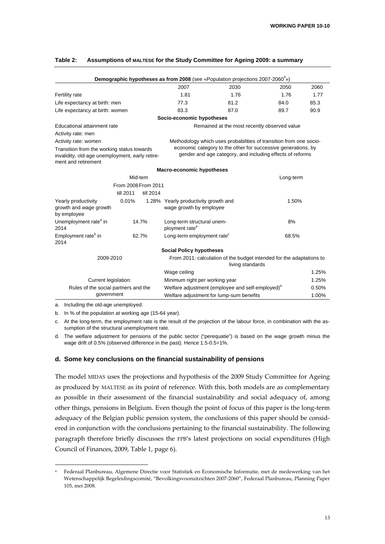|                                                                                                                      |                     |           |                                                                 | Demographic hypotheses as from 2008 (see «Population projections 2007-2060 <sup>4</sup> »)                                 |           |       |
|----------------------------------------------------------------------------------------------------------------------|---------------------|-----------|-----------------------------------------------------------------|----------------------------------------------------------------------------------------------------------------------------|-----------|-------|
|                                                                                                                      |                     |           | 2007                                                            | 2030                                                                                                                       | 2050      | 2060  |
| Fertility rate                                                                                                       |                     |           | 1.81                                                            | 1.76                                                                                                                       | 1.76      | 1.77  |
| Life expectancy at birth: men                                                                                        |                     |           | 77.3                                                            | 81.2                                                                                                                       | 84.0      | 85.3  |
| Life expectancy at birth: women                                                                                      |                     |           | 83.3                                                            | 87.0                                                                                                                       | 89.7      | 90.9  |
|                                                                                                                      |                     |           | Socio-economic hypotheses                                       |                                                                                                                            |           |       |
| Educational attainment rate                                                                                          |                     |           |                                                                 | Remained at the most recently observed value                                                                               |           |       |
| Activity rate: men                                                                                                   |                     |           |                                                                 |                                                                                                                            |           |       |
| Activity rate: women                                                                                                 |                     |           |                                                                 | Methodology which uses probabilities of transition from one socio-                                                         |           |       |
| Transition from the working status towards<br>invalidity, old-age unemployment, early retire-<br>ment and retirement |                     |           |                                                                 | economic category to the other for successive generations, by<br>gender and age category, and including effects of reforms |           |       |
|                                                                                                                      |                     |           | <b>Macro-economic hypotheses</b>                                |                                                                                                                            |           |       |
|                                                                                                                      | Mid-tem             |           |                                                                 |                                                                                                                            | Long-term |       |
|                                                                                                                      | From 2008 From 2011 |           |                                                                 |                                                                                                                            |           |       |
|                                                                                                                      | till 2011           | till 2014 |                                                                 |                                                                                                                            |           |       |
| Yearly productivity<br>growth and wage growth<br>by employee                                                         | 0.01%               |           | 1.28% Yearly productivity growth and<br>wage growth by employee |                                                                                                                            | 1.50%     |       |
| Unemployment rate <sup>a</sup> in<br>2014                                                                            |                     | 14.7%     | Long-term structural unem-<br>ployment rate <sup>a</sup>        |                                                                                                                            | 8%        |       |
| Employment rate <sup>b</sup> in<br>2014                                                                              |                     | 62.7%     | Long-term employment rate <sup>c</sup>                          |                                                                                                                            | 68.5%     |       |
|                                                                                                                      |                     |           | <b>Social Policy hypotheses</b>                                 |                                                                                                                            |           |       |
| 2009-2010                                                                                                            |                     |           |                                                                 | From 2011: calculation of the budget intended for the adaptations to<br>living standards                                   |           |       |
|                                                                                                                      |                     |           | Wage ceiling                                                    |                                                                                                                            |           | 1.25% |
| Current legislation:                                                                                                 |                     |           | Minimum right per working year                                  |                                                                                                                            |           | 1.25% |
| Rules of the social partners and the                                                                                 |                     |           |                                                                 | Welfare adjustment (employee and self-employed) <sup>d</sup>                                                               |           | 0.50% |
| government                                                                                                           |                     |           |                                                                 | Welfare adjustment for lump-sum benefits                                                                                   |           | 1.00% |

## **Table 2: Assumptions of MALTESE for the Study Committee for Ageing 2009: a summary**

a. Including the old-age unemployed.

b. In % of the population at working age (15-64 year).

c. At the long-term, the employment rate is the result of the projection of the labour force, in combination with the assumption of the structural unemployment rate.

d. The welfare adjustment for pensions of the public sector ("perequatie") is based on the wage growth minus the wage drift of 0.5% (observed difference in the past). Hence 1.5-0.5=1%.

#### **d. Some key conclusions on the financial sustainability of pensions**

The model MIDAS uses the projections and hypothesis of the 2009 Study Committee for Ageing as produced by MALTESE as its point of reference. With this, both models are as complementary as possible in their assessment of the financial sustainability and social adequacy of, among other things, pensions in Belgium. Even though the point of focus of this paper is the long‐term adequacy of the Belgian public pension system, the conclusions of this paper should be consid‐ ered in conjunction with the conclusions pertaining to the financial sustainability. The following paragraph therefore briefly discusses the FPB's latest projections on social expenditures (High Council of Finances, 2009, Table 1, page 6).

<sup>4</sup> Federaal Planbureau, Algemene Directie voor Statistiek en Economische Informatie, met de medewerking van het Wetenschappelijk Begeleidingscomité, "Bevolkingsvooruitzichten 2007‐2060", Federaal Planbureau, Planning Paper 105, mei 2008.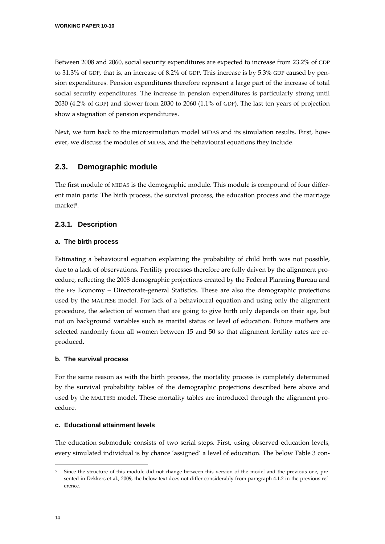Between 2008 and 2060, social security expenditures are expected to increase from 23.2% of GDP to 31.3% of GDP, that is, an increase of 8.2% of GDP. This increase is by 5.3% GDP caused by pen‐ sion expenditures. Pension expenditures therefore represent a large part of the increase of total social security expenditures. The increase in pension expenditures is particularly strong until 2030 (4.2% of GDP) and slower from 2030 to 2060 (1.1% of GDP). The last ten years of projection show a stagnation of pension expenditures.

Next, we turn back to the microsimulation model MIDAS and its simulation results. First, however, we discuss the modules of MIDAS, and the behavioural equations they include.

# **2.3. Demographic module**

The first module of MIDAS is the demographic module. This module is compound of four differ‐ ent main parts: The birth process, the survival process, the education process and the marriage market<sup>5</sup>.

## **2.3.1. Description**

#### **a. The birth process**

Estimating a behavioural equation explaining the probability of child birth was not possible, due to a lack of observations. Fertility processes therefore are fully driven by the alignment pro‐ cedure, reflecting the 2008 demographic projections created by the Federal Planning Bureau and the FPS Economy – Directorate‐general Statistics. These are also the demographic projections used by the MALTESE model. For lack of a behavioural equation and using only the alignment procedure, the selection of women that are going to give birth only depends on their age, but not on background variables such as marital status or level of education. Future mothers are selected randomly from all women between 15 and 50 so that alignment fertility rates are reproduced.

#### **b. The survival process**

For the same reason as with the birth process, the mortality process is completely determined by the survival probability tables of the demographic projections described here above and used by the MALTESE model. These mortality tables are introduced through the alignment procedure.

#### **c. Educational attainment levels**

The education submodule consists of two serial steps. First, using observed education levels, every simulated individual is by chance 'assigned' a level of education. The below Table 3 con-

Since the structure of this module did not change between this version of the model and the previous one, presented in Dekkers et al., 2009, the below text does not differ considerably from paragraph 4.1.2 in the previous reference.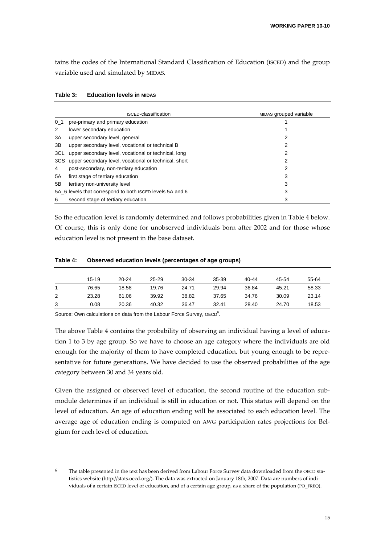tains the codes of the International Standard Classification of Education (ISCED) and the group variable used and simulated by MIDAS.

|                | <b>ISCED-classification</b>                               | MIDAS grouped variable |
|----------------|-----------------------------------------------------------|------------------------|
| 0 <sub>1</sub> | pre-primary and primary education                         |                        |
| 2              | lower secondary education                                 |                        |
| 3A             | upper secondary level, general                            | 2                      |
| 3B             | upper secondary level, vocational or technical B          | 2                      |
| 3CL            | upper secondary level, vocational or technical, long      | 2                      |
| 3CS            | upper secondary level, vocational or technical, short     | 2                      |
| 4              | post-secondary, non-tertiary education                    | 2                      |
| 5A             | first stage of tertiary education                         | 3                      |
| 5B             | tertiary non-university level                             | 3                      |
|                | 5A_6 levels that correspond to both ISCED levels 5A and 6 | 3                      |
| 6              | second stage of tertiary education                        | 3                      |

| Table 3: | <b>Education levels in MIDAS</b> |  |  |
|----------|----------------------------------|--|--|
|----------|----------------------------------|--|--|

So the education level is randomly determined and follows probabilities given in Table 4 below. Of course, this is only done for unobserved individuals born after 2002 and for those whose education level is not present in the base dataset.

|   | 15-19 | $20 - 24$ | $25 - 29$ | 30-34 | $35 - 39$ | $40 - 44$ | 45-54 | 55-64 |
|---|-------|-----------|-----------|-------|-----------|-----------|-------|-------|
|   | 76.65 | 18.58     | 19.76     | 24.71 | 29.94     | 36.84     | 45.21 | 58.33 |
| 2 | 23.28 | 61.06     | 39.92     | 38.82 | 37.65     | 34.76     | 30.09 | 23.14 |
| 3 | 0.08  | 20.36     | 40.32     | 36.47 | 32.41     | 28.40     | 24.70 | 18.53 |

#### **Table 4: Observed education levels (percentages of age groups)**

Source: Own calculations on data from the Labour Force Survey, OECD<sup>6</sup>.

The above Table 4 contains the probability of observing an individual having a level of education 1 to 3 by age group. So we have to choose an age category where the individuals are old enough for the majority of them to have completed education, but young enough to be representative for future generations. We have decided to use the observed probabilities of the age category between 30 and 34 years old.

Given the assigned or observed level of education, the second routine of the education submodule determines if an individual is still in education or not. This status will depend on the level of education. An age of education ending will be associated to each education level. The average age of education ending is computed on AWG participation rates projections for Belgium for each level of education.

The table presented in the text has been derived from Labour Force Survey data downloaded from the OECD statistics website (http://stats.oecd.org/). The data was extracted on January 18th, 2007. Data are numbers of individuals of a certain ISCED level of education, and of a certain age group, as a share of the population (PO\_FREQ).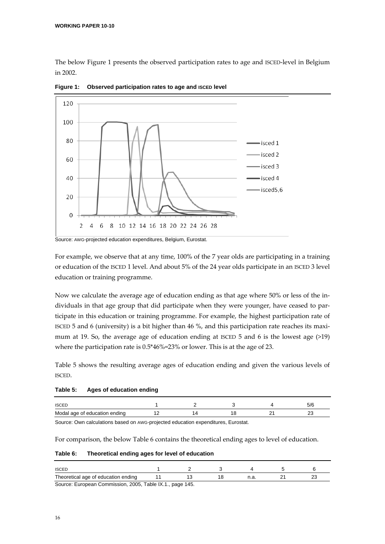The below Figure 1 presents the observed participation rates to age and ISCED-level in Belgium in 2002.



**Figure 1: Observed participation rates to age and ISCED level** 

For example, we observe that at any time, 100% of the 7 year olds are participating in a training or education of the ISCED 1 level. And about 5% of the 24 year olds participate in an ISCED 3 level education or training programme.

Now we calculate the average age of education ending as that age where 50% or less of the in‐ dividuals in that age group that did participate when they were younger, have ceased to participate in this education or training programme. For example, the highest participation rate of ISCED 5 and 6 (university) is a bit higher than 46 %, and this participation rate reaches its maximum at 19. So, the average age of education ending at ISCED 5 and 6 is the lowest age (>19) where the participation rate is 0.5\*46%=23% or lower. This is at the age of 23.

Table 5 shows the resulting average ages of education ending and given the various levels of ISCED.

| Table 5: |  | Ages of education ending |  |
|----------|--|--------------------------|--|
|----------|--|--------------------------|--|

| <b>ISCED</b>                  |  |  | ວ/ O |
|-------------------------------|--|--|------|
| Modal age of education ending |  |  | ∼    |

Source: Own calculations based on AWG-projected education expenditures, Eurostat.

For comparison, the below Table 6 contains the theoretical ending ages to level of education.

#### **Table 6: Theoretical ending ages for level of education**

| <b>ISCEI</b>                                  |                                   |  |  |
|-----------------------------------------------|-----------------------------------|--|--|
| Theoretical age of education ending           |                                   |  |  |
| Course: European Commission, 2005, Toble IV 4 | $n \cdot \cdot \cdot$ $4 \cdot E$ |  |  |

Source: European Commission, 2005, Table IX.1., page 145.

Source: AWG-projected education expenditures, Belgium, Eurostat.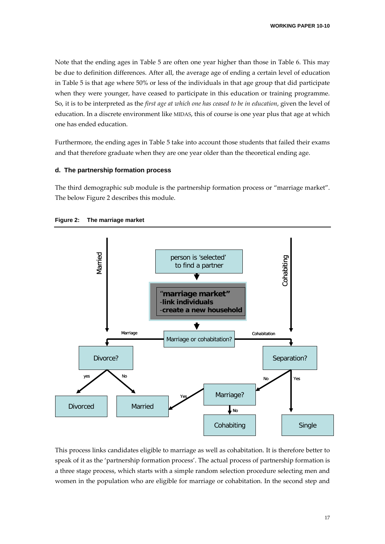Note that the ending ages in Table 5 are often one year higher than those in Table 6. This may be due to definition differences. After all, the average age of ending a certain level of education in Table 5 is that age where 50% or less of the individuals in that age group that did participate when they were younger, have ceased to participate in this education or training programme. So, it is to be interpreted as the *first age at which one has ceased to be in education*, given the level of education. In a discrete environment like MIDAS, this of course is one year plus that age at which one has ended education.

Furthermore, the ending ages in Table 5 take into account those students that failed their exams and that therefore graduate when they are one year older than the theoretical ending age.

#### **d. The partnership formation process**

The third demographic sub module is the partnership formation process or "marriage market". The below Figure 2 describes this module.





This process links candidates eligible to marriage as well as cohabitation. It is therefore better to speak of it as the 'partnership formation process'. The actual process of partnership formation is a three stage process, which starts with a simple random selection procedure selecting men and women in the population who are eligible for marriage or cohabitation. In the second step and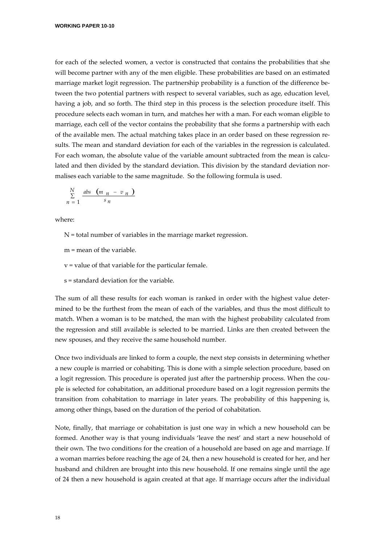for each of the selected women, a vector is constructed that contains the probabilities that she will become partner with any of the men eligible. These probabilities are based on an estimated marriage market logit regression. The partnership probability is a function of the difference be‐ tween the two potential partners with respect to several variables, such as age, education level, having a job, and so forth. The third step in this process is the selection procedure itself. This procedure selects each woman in turn, and matches her with a man. For each woman eligible to marriage, each cell of the vector contains the probability that she forms a partnership with each of the available men. The actual matching takes place in an order based on these regression re‐ sults. The mean and standard deviation for each of the variables in the regression is calculated. For each woman, the absolute value of the variable amount subtracted from the mean is calculated and then divided by the standard deviation. This division by the standard deviation normalises each variable to the same magnitude. So the following formula is used.

$$
\sum_{n=1}^{N} \frac{abs (m_n - v_n)}{s_n}
$$

where:

 $N =$  total number of variables in the marriage market regression.

m = mean of the variable.

v = value of that variable for the particular female.

s = standard deviation for the variable.

The sum of all these results for each woman is ranked in order with the highest value determined to be the furthest from the mean of each of the variables, and thus the most difficult to match. When a woman is to be matched, the man with the highest probability calculated from the regression and still available is selected to be married. Links are then created between the new spouses, and they receive the same household number.

Once two individuals are linked to form a couple, the next step consists in determining whether a new couple is married or cohabiting. This is done with a simple selection procedure, based on a logit regression. This procedure is operated just after the partnership process. When the couple is selected for cohabitation, an additional procedure based on a logit regression permits the transition from cohabitation to marriage in later years. The probability of this happening is, among other things, based on the duration of the period of cohabitation.

Note, finally, that marriage or cohabitation is just one way in which a new household can be formed. Another way is that young individuals 'leave the nest' and start a new household of their own. The two conditions for the creation of a household are based on age and marriage. If a woman marries before reaching the age of 24, then a new household is created for her, and her husband and children are brought into this new household. If one remains single until the age of 24 then a new household is again created at that age. If marriage occurs after the individual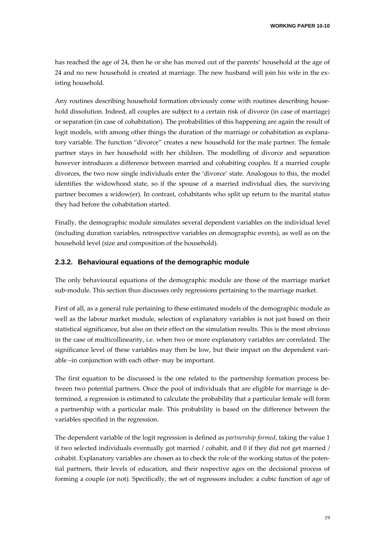has reached the age of 24, then he or she has moved out of the parents' household at the age of 24 and no new household is created at marriage. The new husband will join his wife in the ex‐ isting household.

Any routines describing household formation obviously come with routines describing household dissolution. Indeed, all couples are subject to a certain risk of divorce (in case of marriage) or separation (in case of cohabitation). The probabilities of this happening are again the result of logit models, with among other things the duration of the marriage or cohabitation as explanatory variable. The function "divorce" creates a new household for the male partner. The female partner stays in her household with her children. The modelling of divorce and separation however introduces a difference between married and cohabiting couples. If a married couple divorces, the two now single individuals enter the 'divorce' state. Analogous to this, the model identifies the widowhood state, so if the spouse of a married individual dies, the surviving partner becomes a widow(er). In contrast, cohabitants who split up return to the marital status they had before the cohabitation started.

Finally, the demographic module simulates several dependent variables on the individual level (including duration variables, retrospective variables on demographic events), as well as on the household level (size and composition of the household).

#### **2.3.2. Behavioural equations of the demographic module**

The only behavioural equations of the demographic module are those of the marriage market sub‐module. This section thus discusses only regressions pertaining to the marriage market.

First of all, as a general rule pertaining to these estimated models of the demographic module as well as the labour market module, selection of explanatory variables is not just based on their statistical significance, but also on their effect on the simulation results. This is the most obvious in the case of multicollinearity, i.e. when two or more explanatory variables are correlated. The significance level of these variables may then be low, but their impact on the dependent variable –in conjunction with each other‐ may be important.

The first equation to be discussed is the one related to the partnership formation process between two potential partners. Once the pool of individuals that are eligible for marriage is de‐ termined, a regression is estimated to calculate the probability that a particular female will form a partnership with a particular male. This probability is based on the difference between the variables specified in the regression.

The dependent variable of the logit regression is defined as *partnership formed*, taking the value 1 if two selected individuals eventually got married / cohabit, and 0 if they did not get married / cohabit. Explanatory variables are chosen as to check the role of the working status of the poten‐ tial partners, their levels of education, and their respective ages on the decisional process of forming a couple (or not). Specifically, the set of regressors includes: a cubic function of age of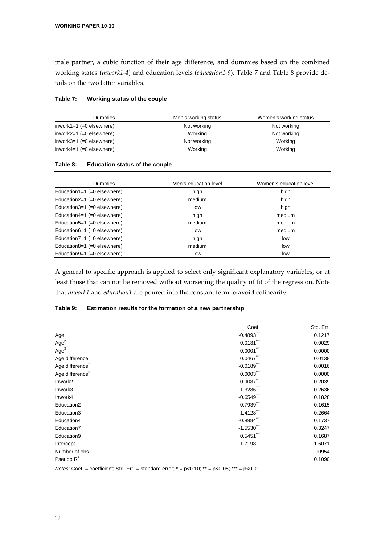male partner, a cubic function of their age difference, and dummies based on the combined working states (*inwork1‐4*) and education levels (*education1‐9*). Table 7 and Table 8 provide de‐ tails on the two latter variables.

| Table 7: | Working status of the couple |
|----------|------------------------------|
|----------|------------------------------|

| Dummies                     | Men's working status | Women's working status |
|-----------------------------|----------------------|------------------------|
| inwork1=1 $(=0$ elsewhere)  | Not working          | Not working            |
| inwork2=1 $(=0$ elsewhere)  | Working              | Not working            |
| inwork $3=1$ (=0 elsewhere) | Not working          | Working                |
| inwork4=1 $(=0$ elsewhere)  | Working              | Working                |

#### **Table 8: Education status of the couple**

| <b>Dummies</b>                 | Men's education level | Women's education level |
|--------------------------------|-----------------------|-------------------------|
| Education1=1 $(=0$ elsewhere)  | high                  | high                    |
| Education2=1 $(=0$ elsewhere)  | medium                | high                    |
| Education $3=1$ (=0 elsewhere) | low                   | high                    |
| Education4=1 $(=0$ elsewhere)  | high                  | medium                  |
| Education $5=1$ (=0 elsewhere) | medium                | medium                  |
| Education6=1 $(=0$ elsewhere)  | low                   | medium                  |
| Education7=1 $(=0$ elsewhere)  | high                  | low                     |
| Education8=1 $(=0$ elsewhere)  | medium                | low                     |
| Education9=1 $(=0$ elsewhere)  | low                   | low                     |

A general to specific approach is applied to select only significant explanatory variables, or at least those that can not be removed without worsening the quality of fit of the regression. Note that *inwork1* and *education1* are poured into the constant term to avoid colinearity.

|                             | Coef.                  | Std. Err. |
|-----------------------------|------------------------|-----------|
| Age                         | $-0.4893$              | 0.1217    |
| Age <sup>2</sup>            | 0.0131                 | 0.0029    |
| Age <sup>3</sup>            | $-0.0001$              | 0.0000    |
| Age difference              | 0.0467                 | 0.0138    |
| Age difference <sup>2</sup> | $-0.0189$              | 0.0016    |
| Age difference <sup>3</sup> | 0.0003                 | 0.0000    |
| Inwork <sub>2</sub>         | $-0.9087$              | 0.2039    |
| Inwork3                     | $-1.3286$ <sup>"</sup> | 0.2636    |
| Inwork4                     | $-0.6549$              | 0.1828    |
| Education2                  | $-0.7939$              | 0.1615    |
| Education3                  | $-1.4128$              | 0.2664    |
| Education4                  | $-0.8984$              | 0.1737    |
| Education7                  | $-1.5530$ ***          | 0.3247    |
| Education9                  | 0.5451                 | 0.1687    |
| Intercept                   | 1.7198                 | 1.6071    |
| Number of obs.              |                        | 90954     |
| Pseudo $R^2$                |                        | 0.1090    |

#### **Table 9: Estimation results for the formation of a new partnership**

*Notes*: Coef. = coefficient; Std. Err. = standard error; \* = p<0.10; \*\* = p<0.05; \*\*\* = p<0.01.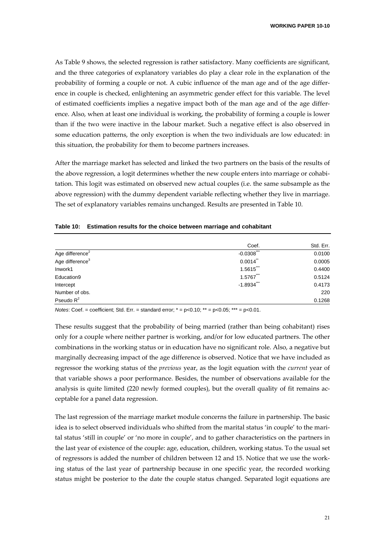As Table 9 shows, the selected regression is rather satisfactory. Many coefficients are significant, and the three categories of explanatory variables do play a clear role in the explanation of the probability of forming a couple or not. A cubic influence of the man age and of the age differ‐ ence in couple is checked, enlightening an asymmetric gender effect for this variable. The level of estimated coefficients implies a negative impact both of the man age and of the age differ‐ ence. Also, when at least one individual is working, the probability of forming a couple is lower than if the two were inactive in the labour market. Such a negative effect is also observed in some education patterns, the only exception is when the two individuals are low educated: in this situation, the probability for them to become partners increases.

After the marriage market has selected and linked the two partners on the basis of the results of the above regression, a logit determines whether the new couple enters into marriage or cohabi tation. This logit was estimated on observed new actual couples (i.e. the same subsample as the above regression) with the dummy dependent variable reflecting whether they live in marriage. The set of explanatory variables remains unchanged. Results are presented in Table 10.

#### **Table 10: Estimation results for the choice between marriage and cohabitant**

|                             | Coef.            | Std. Err. |
|-----------------------------|------------------|-----------|
| Age difference <sup>2</sup> | ***<br>$-0.0308$ | 0.0100    |
| Age difference <sup>3</sup> | 0.0014           | 0.0005    |
| Inwork1                     | 1.5615           | 0.4400    |
| Education9                  | 1.5767           | 0.5124    |
| Intercept                   | $-1.8934$        | 0.4173    |
| Number of obs.              |                  | 220       |
| Pseudo $R^2$                |                  | 0.1268    |

*Notes*: Coef. = coefficient; Std. Err. = standard error; \* = p<0.10; \*\* = p<0.05; \*\*\* = p<0.01.

These results suggest that the probability of being married (rather than being cohabitant) rises only for a couple where neither partner is working, and/or for low educated partners. The other combinations in the working status or in education have no significant role. Also, a negative but marginally decreasing impact of the age difference is observed. Notice that we have included as regressor the working status of the *previous* year, as the logit equation with the *current* year of that variable shows a poor performance. Besides, the number of observations available for the analysis is quite limited (220 newly formed couples), but the overall quality of fit remains ac‐ ceptable for a panel data regression.

The last regression of the marriage market module concerns the failure in partnership. The basic idea is to select observed individuals who shifted from the marital status 'in couple' to the marital status 'still in couple' or 'no more in couple', and to gather characteristics on the partners in the last year of existence of the couple: age, education, children, working status. To the usual set of regressors is added the number of children between 12 and 15. Notice that we use the work‐ ing status of the last year of partnership because in one specific year, the recorded working status might be posterior to the date the couple status changed. Separated logit equations are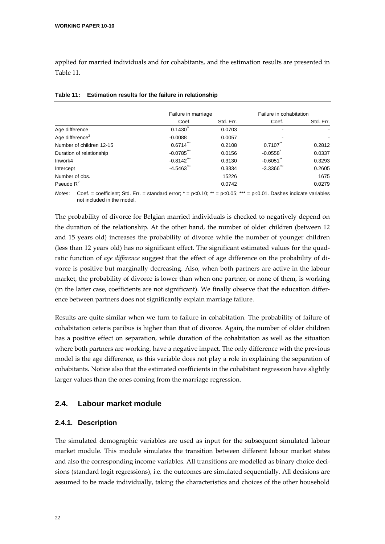applied for married individuals and for cohabitants, and the estimation results are presented in Table 11.

|                             | Failure in marriage     |           | Failure in cohabitation |           |
|-----------------------------|-------------------------|-----------|-------------------------|-----------|
|                             | Coef.                   | Std. Err. | Coef.                   | Std. Err. |
| Age difference              | 0.1430                  | 0.0703    |                         |           |
| Age difference <sup>2</sup> | $-0.0088$               | 0.0057    |                         |           |
| Number of children 12-15    | 0.6714                  | 0.2108    | 0.7107                  | 0.2812    |
| Duration of relationship    | $-0.0785$ <sup>**</sup> | 0.0156    | $-0.0558$               | 0.0337    |
| Inwork4                     | $-0.8142$               | 0.3130    | $-0.6051$               | 0.3293    |
| Intercept                   | $-4.5463$               | 0.3334    | $-3.3366$               | 0.2605    |
| Number of obs.              |                         | 15226     |                         | 1675      |
| Pseudo $R^2$                |                         | 0.0742    |                         | 0.0279    |

| Table 11: Estimation results for the failure in relationship |
|--------------------------------------------------------------|
|                                                              |

*Notes*: Coef. = coefficient; Std. Err. = standard error;  $* = p < 0.10$ ;  $** = p < 0.05$ ;  $*** = p < 0.01$ . Dashes indicate variables not included in the model.

The probability of divorce for Belgian married individuals is checked to negatively depend on the duration of the relationship. At the other hand, the number of older children (between 12 and 15 years old) increases the probability of divorce while the number of younger children (less than 12 years old) has no significant effect. The significant estimated values for the quad‐ ratic function of *age difference* suggest that the effect of age difference on the probability of di‐ vorce is positive but marginally decreasing. Also, when both partners are active in the labour market, the probability of divorce is lower than when one partner, or none of them, is working (in the latter case, coefficients are not significant). We finally observe that the education differ‐ ence between partners does not significantly explain marriage failure.

Results are quite similar when we turn to failure in cohabitation. The probability of failure of cohabitation ceteris paribus is higher than that of divorce. Again, the number of older children has a positive effect on separation, while duration of the cohabitation as well as the situation where both partners are working, have a negative impact. The only difference with the previous model is the age difference, as this variable does not play a role in explaining the separation of cohabitants. Notice also that the estimated coefficients in the cohabitant regression have slightly larger values than the ones coming from the marriage regression.

# **2.4. Labour market module**

## **2.4.1. Description**

The simulated demographic variables are used as input for the subsequent simulated labour market module. This module simulates the transition between different labour market states and also the corresponding income variables. All transitions are modelled as binary choice decisions (standard logit regressions), i.e. the outcomes are simulated sequentially. All decisions are assumed to be made individually, taking the characteristics and choices of the other household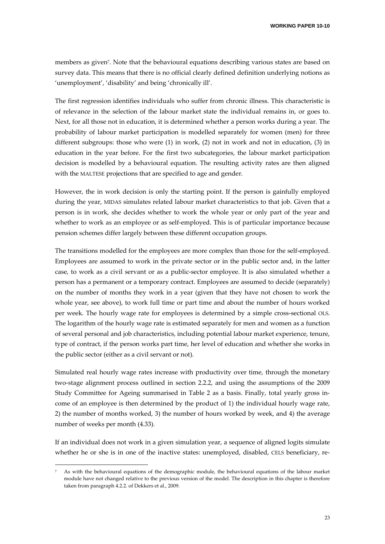members as given7. Note that the behavioural equations describing various states are based on survey data. This means that there is no official clearly defined definition underlying notions as 'unemployment', 'disability' and being 'chronically ill'.

The first regression identifies individuals who suffer from chronic illness. This characteristic is of relevance in the selection of the labour market state the individual remains in, or goes to. Next, for all those not in education, it is determined whether a person works during a year. The probability of labour market participation is modelled separately for women (men) for three different subgroups: those who were (1) in work, (2) not in work and not in education, (3) in education in the year before. For the first two subcategories, the labour market participation decision is modelled by a behavioural equation. The resulting activity rates are then aligned with the MALTESE projections that are specified to age and gender.

However, the in work decision is only the starting point. If the person is gainfully employed during the year, MIDAS simulates related labour market characteristics to that job. Given that a person is in work, she decides whether to work the whole year or only part of the year and whether to work as an employee or as self-employed. This is of particular importance because pension schemes differ largely between these different occupation groups.

The transitions modelled for the employees are more complex than those for the self-employed. Employees are assumed to work in the private sector or in the public sector and, in the latter case, to work as a civil servant or as a public‐sector employee. It is also simulated whether a person has a permanent or a temporary contract. Employees are assumed to decide (separately) on the number of months they work in a year (given that they have not chosen to work the whole year, see above), to work full time or part time and about the number of hours worked per week. The hourly wage rate for employees is determined by a simple cross‐sectional OLS. The logarithm of the hourly wage rate is estimated separately for men and women as a function of several personal and job characteristics, including potential labour market experience, tenure, type of contract, if the person works part time, her level of education and whether she works in the public sector (either as a civil servant or not).

Simulated real hourly wage rates increase with productivity over time, through the monetary two‐stage alignment process outlined in section 2.2.2, and using the assumptions of the 2009 Study Committee for Ageing summarised in Table 2 as a basis. Finally, total yearly gross in‐ come of an employee is then determined by the product of 1) the individual hourly wage rate, 2) the number of months worked, 3) the number of hours worked by week, and 4) the average number of weeks per month (4.33).

If an individual does not work in a given simulation year, a sequence of aligned logits simulate whether he or she is in one of the inactive states: unemployed, disabled, CELS beneficiary, re-

As with the behavioural equations of the demographic module, the behavioural equations of the labour market module have not changed relative to the previous version of the model. The description in this chapter is therefore taken from paragraph 4.2.2. of Dekkers et al., 2009.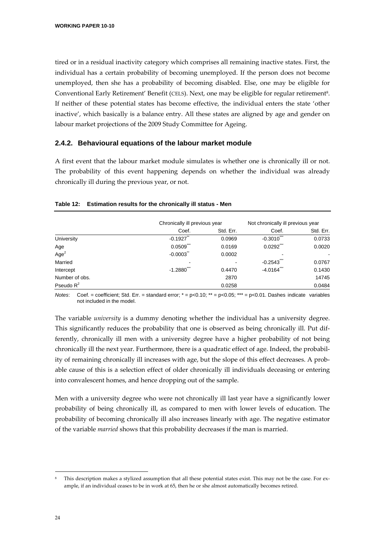tired or in a residual inactivity category which comprises all remaining inactive states. First, the individual has a certain probability of becoming unemployed. If the person does not become unemployed, then she has a probability of becoming disabled. Else, one may be eligible for Conventional Early Retirement' Benefit (CELS). Next, one may be eligible for regular retirement8. If neither of these potential states has become effective, the individual enters the state 'other inactive', which basically is a balance entry. All these states are aligned by age and gender on labour market projections of the 2009 Study Committee for Ageing.

## **2.4.2. Behavioural equations of the labour market module**

A first event that the labour market module simulates is whether one is chronically ill or not. The probability of this event happening depends on whether the individual was already chronically ill during the previous year, or not.

|                  | Chronically ill previous year |           |                        | Not chronically ill previous year |  |
|------------------|-------------------------------|-----------|------------------------|-----------------------------------|--|
|                  | Coef.                         | Std. Err. | Coef.                  | Std. Err.                         |  |
| University       | $-0.1927$                     | 0.0969    | ***<br>$-0.3010$       | 0.0733                            |  |
| Age              | 0.0509                        | 0.0169    | $0.0292$ $\cdot$       | 0.0020                            |  |
| Age <sup>2</sup> | $-0.0003$                     | 0.0002    |                        |                                   |  |
| Married          |                               |           | $-0.2543$              | 0.0767                            |  |
| Intercept        | $-1.2880$                     | 0.4470    | $-4.0164$ <sup>-</sup> | 0.1430                            |  |
| Number of obs.   |                               | 2870      |                        | 14745                             |  |
| Pseudo $R^2$     |                               | 0.0258    |                        | 0.0484                            |  |

#### **Table 12: Estimation results for the chronically ill status - Men**

*Notes*: Coef. = coefficient; Std. Err. = standard error; \* = p<0.10; \*\* = p<0.05; \*\*\* = p<0.01. Dashes indicate variables not included in the model.

The variable *university* is a dummy denoting whether the individual has a university degree. This significantly reduces the probability that one is observed as being chronically ill. Put dif‐ ferently, chronically ill men with a university degree have a higher probability of not being chronically ill the next year. Furthermore, there is a quadratic effect of age. Indeed, the probability of remaining chronically ill increases with age, but the slope of this effect decreases. A probable cause of this is a selection effect of older chronically ill individuals deceasing or entering into convalescent homes, and hence dropping out of the sample.

Men with a university degree who were not chronically ill last year have a significantly lower probability of being chronically ill, as compared to men with lower levels of education. The probability of becoming chronically ill also increases linearly with age. The negative estimator of the variable *married* shows that this probability decreases if the man is married.

This description makes a stylized assumption that all these potential states exist. This may not be the case. For example, if an individual ceases to be in work at 65, then he or she almost automatically becomes retired.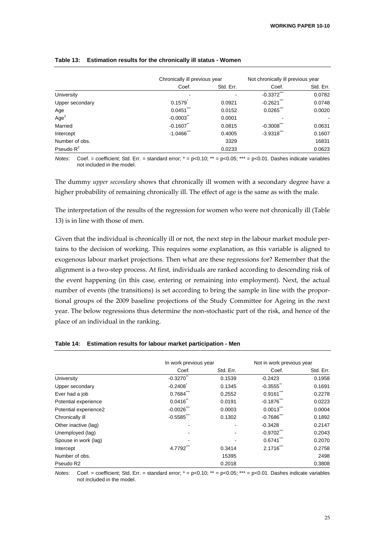|                  | Chronically ill previous year |           | Not chronically ill previous year |           |
|------------------|-------------------------------|-----------|-----------------------------------|-----------|
|                  | Coef.                         | Std. Err. | Coef.                             | Std. Err. |
| University       |                               |           | $-0.3372$                         | 0.0782    |
| Upper secondary  | 0.1579                        | 0.0921    | $-0.2621$                         | 0.0748    |
| Age              | 0.0451                        | 0.0152    | 0.0265                            | 0.0020    |
| Age <sup>2</sup> | $-0.0003$                     | 0.0001    |                                   |           |
| Married          | $-0.1607$                     | 0.0815    | $-0.3008$                         | 0.0631    |
| Intercept        | $-1.0466$                     | 0.4005    | $-3.9318$ <sup>**</sup>           | 0.1607    |
| Number of obs.   |                               | 3329      |                                   | 16831     |
| Pseudo $R^2$     |                               | 0.0233    |                                   | 0.0623    |

#### **Table 13: Estimation results for the chronically ill status - Women**

*Notes*: Coef. = coefficient; Std. Err. = standard error; \* = p<0.10; \*\* = p<0.05; \*\*\* = p<0.01. Dashes indicate variables not included in the model.

The dummy *upper secondary* shows that chronically ill women with a secondary degree have a higher probability of remaining chronically ill. The effect of age is the same as with the male.

The interpretation of the results of the regression for women who were not chronically ill (Table 13) is in line with those of men.

Given that the individual is chronically ill or not, the next step in the labour market module pertains to the decision of working. This requires some explanation, as this variable is aligned to exogenous labour market projections. Then what are these regressions for? Remember that the alignment is a two‐step process. At first, individuals are ranked according to descending risk of the event happening (in this case, entering or remaining into employment). Next, the actual number of events (the transitions) is set according to bring the sample in line with the proportional groups of the 2009 baseline projections of the Study Committee for Ageing in the next year. The below regressions thus determine the non‐stochastic part of the risk, and hence of the place of an individual in the ranking.

|                       | In work previous year |           | Not in work previous year |           |  |
|-----------------------|-----------------------|-----------|---------------------------|-----------|--|
|                       | Coef.                 | Std. Err. | Coef.                     | Std. Err. |  |
| University            | $-0.3270$             | 0.1539    | $-0.2423$                 | 0.1958    |  |
| Upper secondary       | $-0.2408$             | 0.1345    | $-0.3555$ <sup>**</sup>   | 0.1691    |  |
| Ever had a job        | $0.7684$ <sup>"</sup> | 0.2552    | $0.9161$ <sup>**</sup>    | 0.2278    |  |
| Potential experience  | 0.0416                | 0.0191    | $-0.1876$ <sup>**</sup>   | 0.0223    |  |
| Potential experience2 | $-0.0026$             | 0.0003    | $0.0013$ <sup>***</sup>   | 0.0004    |  |
| Chronically ill       | $-0.5585$             | 0.1302    | $-0.7686$                 | 0.1892    |  |
| Other inactive (lag)  |                       |           | $-0.3428$                 | 0.2147    |  |
| Unemployed (lag)      |                       |           | $-0.9702$                 | 0.2043    |  |
| Spouse in work (lag)  |                       |           | 0.6741                    | 0.2070    |  |
| Intercept             | 4.7792                | 0.3414    | $2.1716$ <sup>***</sup>   | 0.2758    |  |
| Number of obs.        |                       | 15395     |                           | 2498      |  |
| Pseudo R <sub>2</sub> |                       | 0.2018    |                           | 0.3808    |  |

#### **Table 14: Estimation results for labour market participation - Men**

*Notes*: Coef. = coefficient; Std. Err. = standard error; \* = p<0.10; \*\* = p<0.05; \*\*\* = p<0.01. Dashes indicate variables not included in the model.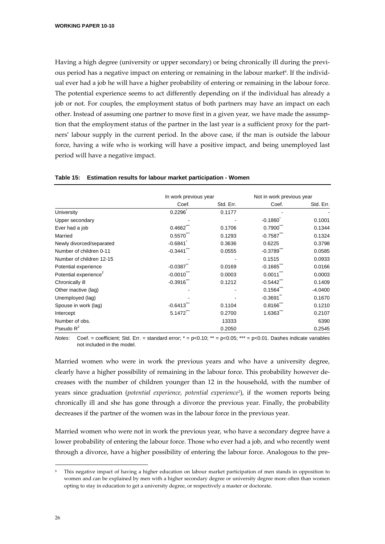Having a high degree (university or upper secondary) or being chronically ill during the previ‐ ous period has a negative impact on entering or remaining in the labour market<sup>9</sup>. If the individual ever had a job he will have a higher probability of entering or remaining in the labour force. The potential experience seems to act differently depending on if the individual has already a job or not. For couples, the employment status of both partners may have an impact on each other. Instead of assuming one partner to move first in a given year, we have made the assump‐ tion that the employment status of the partner in the last year is a sufficient proxy for the partners' labour supply in the current period. In the above case, if the man is outside the labour force, having a wife who is working will have a positive impact, and being unemployed last period will have a negative impact.

|                                   | In work previous year |           | Not in work previous year |           |
|-----------------------------------|-----------------------|-----------|---------------------------|-----------|
|                                   | Coef.                 | Std. Err. | Coef.                     | Std. Err. |
| <b>University</b>                 | 0.2296                | 0.1177    |                           |           |
| Upper secondary                   |                       |           | $-0.1860$                 | 0.1001    |
| Ever had a job                    | 0.4662                | 0.1706    | 0.7900                    | 0.1344    |
| Married                           | 0.5570                | 0.1293    | $-0.7587$                 | 0.1324    |
| Newly divorced/separated          | $-0.6841$             | 0.3636    | 0.6225                    | 0.3798    |
| Number of children 0-11           | $-0.3441$             | 0.0555    | $-0.3789$                 | 0.0585    |
| Number of children 12-15          |                       |           | 0.1515                    | 0.0933    |
| Potential experience              | $-0.0387$             | 0.0169    | $-0.1665$                 | 0.0166    |
| Potential experience <sup>2</sup> | $-0.0010$             | 0.0003    | 0.0011                    | 0.0003    |
| Chronically ill                   | $-0.3916$             | 0.1212    | $-0.5442$                 | 0.1409    |
| Other inactive (lag)              |                       |           | 0.1564                    | $-4.0400$ |
| Unemployed (lag)                  |                       |           | $-0.3691$                 | 0.1670    |
| Spouse in work (lag)              | $-0.6413$             | 0.1104    | 0.8166                    | 0.1210    |
| Intercept                         | 5.1472                | 0.2700    | 1.6363                    | 0.2107    |
| Number of obs.                    |                       | 13333     |                           | 6390      |
| Pseudo $R^2$                      |                       | 0.2050    |                           | 0.2545    |

#### **Table 15: Estimation results for labour market participation - Women**

*Notes*: Coef. = coefficient; Std. Err. = standard error; \* = p<0.10; \*\* = p<0.05; \*\*\* = p<0.01. Dashes indicate variables not included in the model.

Married women who were in work the previous years and who have a university degree, clearly have a higher possibility of remaining in the labour force. This probability however de‐ creases with the number of children younger than 12 in the household, with the number of years since graduation (*potential experience, potential experience2*), if the women reports being chronically ill and she has gone through a divorce the previous year. Finally, the probability decreases if the partner of the women was in the labour force in the previous year.

Married women who were not in work the previous year, who have a secondary degree have a lower probability of entering the labour force. Those who ever had a job, and who recently went through a divorce, have a higher possibility of entering the labour force. Analogous to the pre‐

This negative impact of having a higher education on labour market participation of men stands in opposition to women and can be explained by men with a higher secondary degree or university degree more often than women opting to stay in education to get a university degree, or respectively a master or doctorate.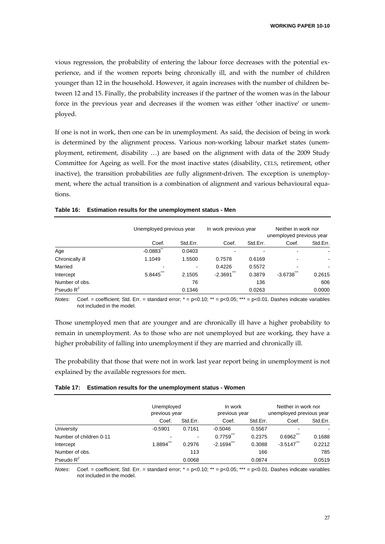vious regression, the probability of entering the labour force decreases with the potential ex‐ perience, and if the women reports being chronically ill, and with the number of children younger than 12 in the household. However, it again increases with the number of children be‐ tween 12 and 15. Finally, the probability increases if the partner of the women was in the labour force in the previous year and decreases if the women was either 'other inactive' or unemployed.

If one is not in work, then one can be in unemployment. As said, the decision of being in work is determined by the alignment process. Various non-working labour market states (unemployment, retirement, disability …) are based on the alignment with data of the 2009 Study Committee for Ageing as well. For the most inactive states (disability, CELS, retirement, other inactive), the transition probabilities are fully alignment-driven. The exception is unemployment, where the actual transition is a combination of alignment and various behavioural equations.

|                 | Unemployed previous year |          | In work previous year |          |                  | Neither in work nor<br>unemployed previous year |  |
|-----------------|--------------------------|----------|-----------------------|----------|------------------|-------------------------------------------------|--|
|                 | Coef.                    | Std.Err. | Coef.                 | Std.Err. | Coef.            | Std.Err.                                        |  |
| Age             | $-0.0883$                | 0.0403   |                       |          |                  |                                                 |  |
| Chronically ill | 1.1049                   | 1.5500   | 0.7578                | 0.6169   |                  |                                                 |  |
| Married         | -                        | ٠        | 0.4226                | 0.5572   |                  |                                                 |  |
| Intercept       | ***<br>5.8445            | 2.1505   | $-2.3691$             | 0.3879   | ***<br>$-3.6738$ | 0.2615                                          |  |
| Number of obs.  |                          | 76       |                       | 136      |                  | 606                                             |  |
| Pseudo $R^2$    |                          | 0.1346   |                       | 0.0263   |                  | 0.0000                                          |  |

#### **Table 16: Estimation results for the unemployment status - Men**

*Notes*: Coef. = coefficient; Std. Err. = standard error; \* = p<0.10; \*\* = p<0.05; \*\*\* = p<0.01. Dashes indicate variables not included in the model.

Those unemployed men that are younger and are chronically ill have a higher probability to remain in unemployment. As to those who are not unemployed but are working, they have a higher probability of falling into unemployment if they are married and chronically ill.

The probability that those that were not in work last year report being in unemployment is not explained by the available regressors for men.

| Table 17: Estimation results for the unemployment status - Women |
|------------------------------------------------------------------|
|------------------------------------------------------------------|

|                         | Unemployed<br>previous year |                | In work<br>previous year |          | Neither in work nor<br>unemployed previous year |          |
|-------------------------|-----------------------------|----------------|--------------------------|----------|-------------------------------------------------|----------|
|                         | Coef.                       | Std.Err.       | Coef.                    | Std.Err. | Coef.                                           | Std.Err. |
| University              | $-0.5901$                   | 0.7161         | $-0.5046$                | 0.5567   |                                                 |          |
| Number of children 0-11 |                             | $\blacksquare$ | 0.7759                   | 0.2375   | 0.6962                                          | 0.1688   |
| Intercept               | 1.8894                      | 0.2976         | $-2.1694$ <sup>***</sup> | 0.3088   | $-3.5147$                                       | 0.2212   |
| Number of obs.          |                             | 113            |                          | 166      |                                                 | 785      |
| Pseudo $R^2$            |                             | 0.0068         |                          | 0.0874   |                                                 | 0.0519   |

*Notes*: Coef. = coefficient; Std. Err. = standard error;  $* = p < 0.10$ ;  $** = p < 0.05$ ;  $*** = p < 0.01$ . Dashes indicate variables not included in the model.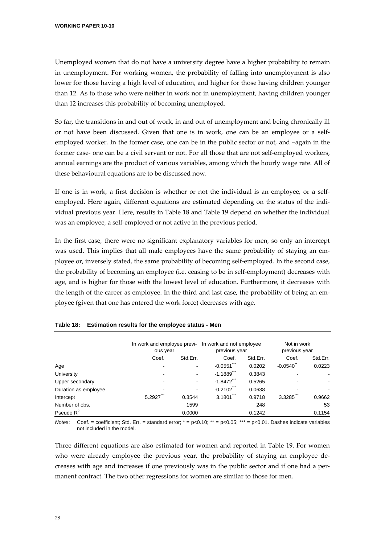Unemployed women that do not have a university degree have a higher probability to remain in unemployment. For working women, the probability of falling into unemployment is also lower for those having a high level of education, and higher for those having children younger than 12. As to those who were neither in work nor in unemployment, having children younger than 12 increases this probability of becoming unemployed.

So far, the transitions in and out of work, in and out of unemployment and being chronically ill or not have been discussed. Given that one is in work, one can be an employee or a self‐ employed worker. In the former case, one can be in the public sector or not, and –again in the former case- one can be a civil servant or not. For all those that are not self-employed workers, annual earnings are the product of various variables, among which the hourly wage rate. All of these behavioural equations are to be discussed now.

If one is in work, a first decision is whether or not the individual is an employee, or a self‐ employed. Here again, different equations are estimated depending on the status of the individual previous year. Here, results in Table 18 and Table 19 depend on whether the individual was an employee, a self-employed or not active in the previous period.

In the first case, there were no significant explanatory variables for men, so only an intercept was used. This implies that all male employees have the same probability of staying an employee or, inversely stated, the same probability of becoming self‐employed. In the second case, the probability of becoming an employee (i.e. ceasing to be in self‐employment) decreases with age, and is higher for those with the lowest level of education. Furthermore, it decreases with the length of the career as employee. In the third and last case, the probability of being an employee (given that one has entered the work force) decreases with age.

|                      | In work and employee previ-<br>ous year |                          | In work and not employee<br>previous year |          | Not in work<br>previous year |          |
|----------------------|-----------------------------------------|--------------------------|-------------------------------------------|----------|------------------------------|----------|
|                      | Coef.                                   | Std.Err.                 | Coef.                                     | Std.Err. | Coef.                        | Std.Err. |
| Age                  | ۰                                       |                          | $-0.0551$                                 | 0.0202   | $-0.0540$                    | 0.0223   |
| University           | ٠                                       | $\blacksquare$           | $-1.1889$                                 | 0.3843   |                              |          |
| Upper secondary      | ٠                                       | $\blacksquare$           | $-1.8472$                                 | 0.5265   |                              |          |
| Duration as employee |                                         | $\overline{\phantom{a}}$ | $-0.2102$                                 | 0.0638   |                              |          |
| Intercept            | 5.2927                                  | 0.3544                   | 3.1801                                    | 0.9718   | 3.3285                       | 0.9662   |
| Number of obs.       |                                         | 1599                     |                                           | 248      |                              | 53       |
| Pseudo $R^2$         |                                         | 0.0000                   |                                           | 0.1242   |                              | 0.1154   |

|  | Table 18: Estimation results for the employee status - Men |  |  |
|--|------------------------------------------------------------|--|--|
|--|------------------------------------------------------------|--|--|

*Notes*: Coef. = coefficient; Std. Err. = standard error; \* = p<0.10; \*\* = p<0.05; \*\*\* = p<0.01. Dashes indicate variables not included in the model.

Three different equations are also estimated for women and reported in Table 19. For women who were already employee the previous year, the probability of staying an employee decreases with age and increases if one previously was in the public sector and if one had a per‐ manent contract. The two other regressions for women are similar to those for men.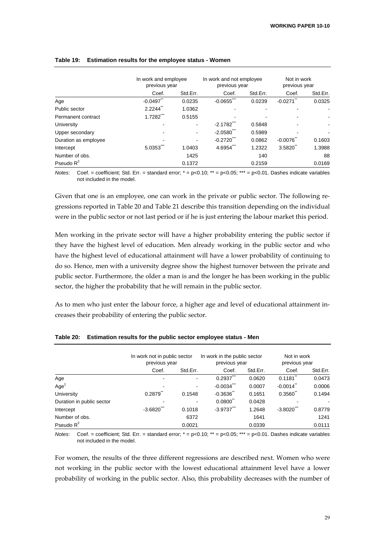|                      | In work and employee<br>previous year |          | In work and not employee<br>previous year |          | Not in work<br>previous year |          |
|----------------------|---------------------------------------|----------|-------------------------------------------|----------|------------------------------|----------|
|                      | Coef.                                 | Std.Err. | Coef.                                     | Std.Err. | Coef.                        | Std.Err. |
| Age                  | $-0.0497$                             | 0.0235   | $-0.0655$                                 | 0.0239   | $-0.0271$                    | 0.0325   |
| Public sector        | 2.2244                                | 1.0362   |                                           |          |                              |          |
| Permanent contract   | 1.7282                                | 0.5155   |                                           |          |                              |          |
| University           |                                       |          | $-2.1782$                                 | 0.5848   |                              |          |
| Upper secondary      |                                       |          | $-2.0580$                                 | 0.5989   |                              |          |
| Duration as employee |                                       |          | $-0.2720$                                 | 0.0862   | $-0.0076$                    | 0.1603   |
| Intercept            | 5.0353                                | 1.0403   | 4.6954                                    | 1.2322   | 3.5820                       | 1.3988   |
| Number of obs.       |                                       | 1425     |                                           | 140      |                              | 88       |
| Pseudo $R^2$         |                                       | 0.1372   |                                           | 0.2159   |                              | 0.0169   |

## **Table 19: Estimation results for the employee status - Women**

*Notes*: Coef. = coefficient; Std. Err. = standard error;  $* = p < 0.10$ ;  $** = p < 0.05$ ;  $*** = p < 0.01$ . Dashes indicate variables not included in the model.

Given that one is an employee, one can work in the private or public sector. The following regressions reported in Table 20 and Table 21 describe this transition depending on the individual were in the public sector or not last period or if he is just entering the labour market this period.

Men working in the private sector will have a higher probability entering the public sector if they have the highest level of education. Men already working in the public sector and who have the highest level of educational attainment will have a lower probability of continuing to do so. Hence, men with a university degree show the highest turnover between the private and public sector. Furthermore, the older a man is and the longer he has been working in the public sector, the higher the probability that he will remain in the public sector.

As to men who just enter the labour force, a higher age and level of educational attainment in‐ creases their probability of entering the public sector.

|                           | In work not in public sector<br>previous year |                          | In work in the public sector<br>previous year |          | Not in work<br>previous year |          |
|---------------------------|-----------------------------------------------|--------------------------|-----------------------------------------------|----------|------------------------------|----------|
|                           | Coef.                                         | Std.Err.                 | Coef.                                         | Std.Err. | Coef.                        | Std.Err. |
| Age                       |                                               | $\overline{\phantom{a}}$ | 0.2937                                        | 0.0620   | 0.1181                       | 0.0473   |
| Age <sup>2</sup>          |                                               | $\overline{\phantom{a}}$ | $-0.0034$                                     | 0.0007   | $-0.0014$                    | 0.0006   |
| University                | 0.2879                                        | 0.1548                   | $-0.3636$                                     | 0.1651   | 0.3560                       | 0.1494   |
| Duration in public sector |                                               | -                        | $0.0800^{\degree}$                            | 0.0428   |                              |          |
| Intercept                 | $-3.6820$                                     | 0.1018                   | $-3.9737$ $\cdot$                             | 1.2648   | $-3.8020$                    | 0.8779   |
| Number of obs.            |                                               | 6372                     |                                               | 1641     |                              | 1241     |
| Pseudo $R^2$              |                                               | 0.0021                   |                                               | 0.0339   |                              | 0.0111   |

**Table 20: Estimation results for the public sector employee status - Men** 

*Notes*: Coef. = coefficient; Std. Err. = standard error; \* = p<0.10; \*\* = p<0.05; \*\*\* = p<0.01. Dashes indicate variables not included in the model.

For women, the results of the three different regressions are described next. Women who were not working in the public sector with the lowest educational attainment level have a lower probability of working in the public sector. Also, this probability decreases with the number of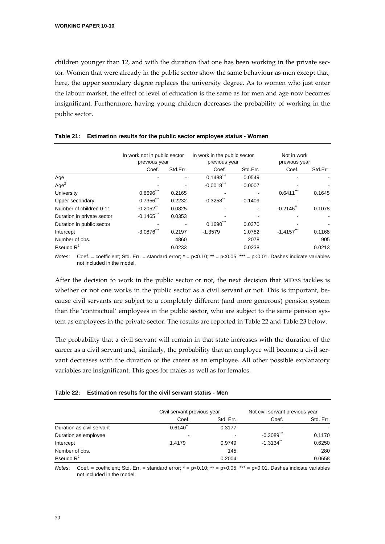children younger than 12, and with the duration that one has been working in the private sector. Women that were already in the public sector show the same behaviour as men except that, here, the upper secondary degree replaces the university degree. As to women who just enter the labour market, the effect of level of education is the same as for men and age now becomes insignificant. Furthermore, having young children decreases the probability of working in the public sector.

|                            | In work not in public sector<br>previous year |          | In work in the public sector<br>previous year |          | Not in work<br>previous year |          |
|----------------------------|-----------------------------------------------|----------|-----------------------------------------------|----------|------------------------------|----------|
|                            | Coef.                                         | Std.Err. | Coef.                                         | Std.Err. | Coef.                        | Std.Err. |
| Age                        |                                               |          | 0.1488                                        | 0.0549   |                              |          |
| Age <sup>2</sup>           |                                               |          | $-0.0018$                                     | 0.0007   |                              |          |
| University                 | 0.8696                                        | 0.2165   |                                               |          | 0.6411                       | 0.1645   |
| Upper secondary            | 0.7356                                        | 0.2232   | $-0.3258$                                     | 0.1409   |                              |          |
| Number of children 0-11    | $-0.2052$                                     | 0.0825   |                                               |          | $-0.2146$                    | 0.1078   |
| Duration in private sector | $-0.1465$                                     | 0.0353   |                                               |          |                              |          |
| Duration in public sector  |                                               |          | 0.1690                                        | 0.0370   |                              |          |
| Intercept                  | $-3.0876$                                     | 0.2197   | $-1.3579$                                     | 1.0782   | $-1.4157$                    | 0.1168   |
| Number of obs.             |                                               | 4860     |                                               | 2078     |                              | 905      |
| Pseudo $R^2$               |                                               | 0.0233   |                                               | 0.0238   |                              | 0.0213   |

|  | Table 21: Estimation results for the public sector employee status - Women |  |  |  |  |  |
|--|----------------------------------------------------------------------------|--|--|--|--|--|
|--|----------------------------------------------------------------------------|--|--|--|--|--|

*Notes*: Coef. = coefficient; Std. Err. = standard error;  $* = p < 0.10$ ;  $** = p < 0.05$ ;  $*** = p < 0.01$ . Dashes indicate variables not included in the model.

After the decision to work in the public sector or not, the next decision that MIDAS tackles is whether or not one works in the public sector as a civil servant or not. This is important, because civil servants are subject to a completely different (and more generous) pension system than the 'contractual' employees in the public sector, who are subject to the same pension sys‐ tem as employees in the private sector. The results are reported in Table 22 and Table 23 below.

The probability that a civil servant will remain in that state increases with the duration of the career as a civil servant and, similarly, the probability that an employee will become a civil servant decreases with the duration of the career as an employee. All other possible explanatory variables are insignificant. This goes for males as well as for females.

|  | Table 22: Estimation results for the civil servant status - Men |
|--|-----------------------------------------------------------------|
|--|-----------------------------------------------------------------|

|                           | Civil servant previous year |           | Not civil servant previous year |           |
|---------------------------|-----------------------------|-----------|---------------------------------|-----------|
|                           | Coef.                       | Std. Err. | Coef.                           | Std. Err. |
| Duration as civil servant | 0.6140                      | 0.3177    |                                 |           |
| Duration as employee      | $\,$                        |           | $-0.3089$                       | 0.1170    |
| Intercept                 | 1.4179                      | 0.9749    | $-1.3134$                       | 0.6250    |
| Number of obs.            |                             | 145       |                                 | 280       |
| Pseudo $R^2$              |                             | 0.2004    |                                 | 0.0658    |

*Notes*: Coef. = coefficient; Std. Err. = standard error;  $* = p < 0.10$ ;  $** = p < 0.05$ ;  $*** = p < 0.01$ . Dashes indicate variables not included in the model.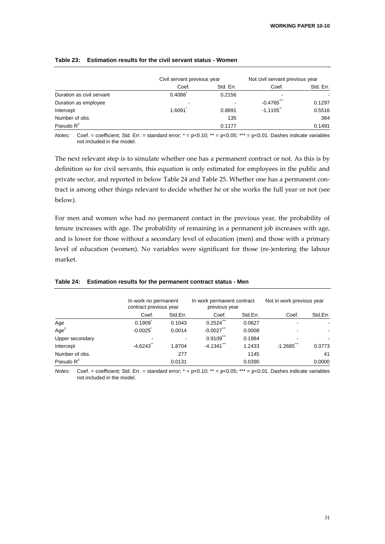|                           | Civil servant previous year |           | Not civil servant previous year |           |
|---------------------------|-----------------------------|-----------|---------------------------------|-----------|
|                           | Coef.                       | Std. Err. | Coef.                           | Std. Err. |
| Duration as civil servant | 0.4088                      | 0.2156    |                                 |           |
| Duration as employee      | $\overline{\phantom{0}}$    |           | $-0.4765$                       | 0.1297    |
| Intercept                 | 1.6091                      | 0.8891    | $-1.1105$                       | 0.5516    |
| Number of obs.            |                             | 135       |                                 | 384       |
| Pseudo $R^2$              |                             | 0.1177    |                                 | 0.1491    |

### **Table 23: Estimation results for the civil servant status - Women**

*Notes*: Coef. = coefficient; Std. Err. = standard error; \* = p<0.10; \*\* = p<0.05; \*\*\* = p<0.01. Dashes indicate variables not included in the model.

The next relevant step is to simulate whether one has a permanent contract or not. As this is by definition so for civil servants, this equation is only estimated for employees in the public and private sector, and reported in below Table 24 and Table 25. Whether one has a permanent contract is among other things relevant to decide whether he or she works the full year or not (see below).

For men and women who had no permanent contact in the previous year, the probability of tenure increases with age. The probability of remaining in a permanent job increases with age, and is lower for those without a secondary level of education (men) and those with a primary level of education (women). No variables were significant for those (re‐)entering the labour market.

|                  | In work no permanent<br>contract previous year |          | In work permanent contract<br>previous year |          | Not in work previous year |          |
|------------------|------------------------------------------------|----------|---------------------------------------------|----------|---------------------------|----------|
|                  | Coef.                                          | Std.Err. | Coef.                                       | Std.Err. | Coef.                     | Std.Err. |
| Age              | 0.1909                                         | 0.1043   | 0.2524                                      | 0.0627   |                           |          |
| Age <sup>2</sup> | $-0.0025$                                      | 0.0014   | $-0.0027$                                   | 0.0008   |                           |          |
| Upper secondary  |                                                |          | 0.9109                                      | 0.1984   |                           |          |
| Intercept        | $-4.6243$                                      | 1.8704   | $-4.1341$                                   | 1.2433   | $-1.2685$                 | 0.3773   |
| Number of obs.   |                                                | 277      |                                             | 1145     |                           | 41       |
| Pseudo $R^2$     |                                                | 0.0131   |                                             | 0.0390   |                           | 0.0000   |

### **Table 24: Estimation results for the permanent contract status - Men**

*Notes*: Coef. = coefficient; Std. Err. = standard error; \* = p<0.10; \*\* = p<0.05; \*\*\* = p<0.01. Dashes indicate variables not included in the model.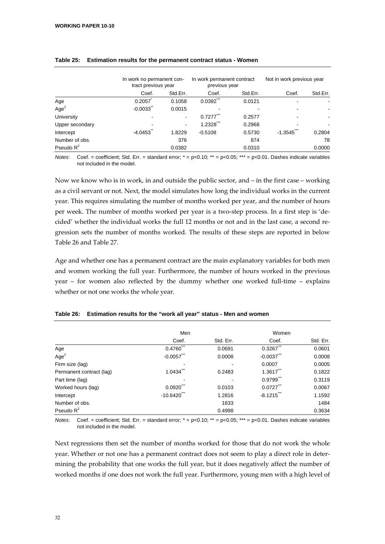|                  |           | In work no permanent con-<br>tract previous year |               | In work permanent contract<br>previous year |           | Not in work previous year |  |
|------------------|-----------|--------------------------------------------------|---------------|---------------------------------------------|-----------|---------------------------|--|
|                  | Coef.     | Std.Err.                                         | Coef.         | Std.Err.                                    | Coef.     | Std.Err.                  |  |
| Age              | 0.2057    | 0.1058                                           | ***<br>0.0392 | 0.0121                                      |           |                           |  |
| Age <sup>2</sup> | $-0.0033$ | 0.0015                                           |               |                                             |           |                           |  |
| University       |           | $\blacksquare$                                   | 0.7277        | 0.2577                                      |           |                           |  |
| Upper secondary  | ٠         | ۰                                                | 1.2328        | 0.2968                                      |           |                           |  |
| Intercept        | $-4.0453$ | 1.8229                                           | $-0.5108$     | 0.5730                                      | $-1.3545$ | 0.2804                    |  |
| Number of obs.   |           | 376                                              |               | 874                                         |           | 78                        |  |
| Pseudo $R^2$     |           | 0.0382                                           |               | 0.0310                                      |           | 0.0000                    |  |

### **Table 25: Estimation results for the permanent contract status - Women**

*Notes*: Coef. = coefficient; Std. Err. = standard error; \* = p<0.10; \*\* = p<0.05; \*\*\* = p<0.01. Dashes indicate variables not included in the model.

Now we know who is in work, in and outside the public sector, and – in the first case – working as a civil servant or not. Next, the model simulates how long the individual works in the current year. This requires simulating the number of months worked per year, and the number of hours per week. The number of months worked per year is a two-step process. In a first step is 'decided' whether the individual works the full 12 months or not and in the last case, a second regression sets the number of months worked. The results of these steps are reported in below Table 26 and Table 27.

Age and whether one has a permanent contract are the main explanatory variables for both men and women working the full year. Furthermore, the number of hours worked in the previous year – for women also reflected by the dummy whether one worked full-time – explains whether or not one works the whole year.

|                          | Men           |                          | Women         |           |
|--------------------------|---------------|--------------------------|---------------|-----------|
|                          | Coef.         | Std. Err.                | Coef.         | Std. Err. |
| Age                      | ***<br>0.4760 | 0.0691                   | ***<br>0.3267 | 0.0601    |
| Age <sup>2</sup>         | $-0.0057$     | 0.0008                   | $-0.0037$     | 0.0008    |
| Firm size (lag)          |               | $\overline{\phantom{a}}$ | 0.0007        | 0.0005    |
| Permanent contract (lag) | 1.0434        | 0.2483                   | 1.3617        | 0.1822    |
| Part time (lag)          |               |                          | 0.9799        | 0.3119    |
| Worked hours (lag)       | 0.0920        | 0.0103                   | 0.0727        | 0.0067    |
| Intercept                | $-10.6420$    | 1.2816                   | $-8.1215$     | 1.1592    |
| Number of obs.           |               | 1633                     |               | 1484      |
| Pseudo $R^2$             |               | 0.4998                   |               | 0.3634    |

|  | Table 26: Estimation results for the "work all year" status - Men and women |  |  |  |  |
|--|-----------------------------------------------------------------------------|--|--|--|--|
|--|-----------------------------------------------------------------------------|--|--|--|--|

*Notes*: Coef. = coefficient; Std. Err. = standard error; \* = p<0.10; \*\* = p<0.05; \*\*\* = p<0.01. Dashes indicate variables not included in the model.

Next regressions then set the number of months worked for those that do not work the whole year. Whether or not one has a permanent contract does not seem to play a direct role in determining the probability that one works the full year, but it does negatively affect the number of worked months if one does not work the full year. Furthermore, young men with a high level of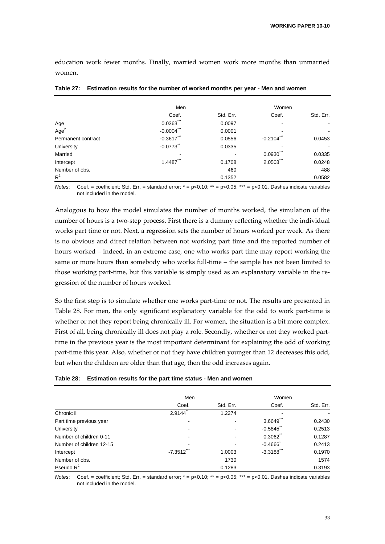education work fewer months. Finally, married women work more months than unmarried women.

|                    | Men           |           | Women            |                          |
|--------------------|---------------|-----------|------------------|--------------------------|
|                    | Coef.         | Std. Err. | Coef.            | Std. Err.                |
| Age                | ***<br>0.0363 | 0.0097    |                  | $\blacksquare$           |
| Age <sup>2</sup>   | $-0.0004$     | 0.0001    |                  | $\overline{\phantom{a}}$ |
| Permanent contract | $-0.3617$     | 0.0556    | ***<br>$-0.2104$ | 0.0453                   |
| University         | $-0.0773$     | 0.0335    |                  |                          |
| Married            |               |           | 0.0930           | 0.0335                   |
| Intercept          | 1.4487        | 0.1708    | ***<br>2.0503    | 0.0248                   |
| Number of obs.     |               | 460       |                  | 488                      |
| $R^2$              |               | 0.1352    |                  | 0.0582                   |

**Table 27: Estimation results for the number of worked months per year - Men and women** 

*Notes*: Coef. = coefficient; Std. Err. = standard error; \* = p<0.10; \*\* = p<0.05; \*\*\* = p<0.01. Dashes indicate variables not included in the model.

Analogous to how the model simulates the number of months worked, the simulation of the number of hours is a two‐step process. First there is a dummy reflecting whether the individual works part time or not. Next, a regression sets the number of hours worked per week. As there is no obvious and direct relation between not working part time and the reported number of hours worked – indeed, in an extreme case, one who works part time may report working the same or more hours than somebody who works full-time – the sample has not been limited to those working part-time, but this variable is simply used as an explanatory variable in the regression of the number of hours worked.

So the first step is to simulate whether one works part‐time or not. The results are presented in Table 28. For men, the only significant explanatory variable for the odd to work part-time is whether or not they report being chronically ill. For women, the situation is a bit more complex. First of all, being chronically ill does not play a role. Secondly, whether or not they worked parttime in the previous year is the most important determinant for explaining the odd of working part-time this year. Also, whether or not they have children younger than 12 decreases this odd, but when the children are older than that age, then the odd increases again.

|  | Table 28: Estimation results for the part time status - Men and women |  |  |
|--|-----------------------------------------------------------------------|--|--|
|--|-----------------------------------------------------------------------|--|--|

|                          | Men                      |           | Women                  |           |
|--------------------------|--------------------------|-----------|------------------------|-----------|
|                          | Coef.                    | Std. Err. | Coef.                  | Std. Err. |
| Chronic ill              | 2.9144                   | 1.2274    |                        |           |
| Part time previous year  | $\overline{\phantom{a}}$ |           | 3.6649                 | 0.2430    |
| University               | ۰                        |           | $-0.5845$              | 0.2513    |
| Number of children 0-11  | $\overline{\phantom{a}}$ |           | 0.3062                 | 0.1287    |
| Number of children 12-15 | $\overline{\phantom{a}}$ |           | $-0.4666$              | 0.2413    |
| Intercept                | $-7.3512$                | 1.0003    | $-3.3188$ <sup>"</sup> | 0.1970    |
| Number of obs.           |                          | 1730      |                        | 1574      |
| Pseudo $R^2$             |                          | 0.1283    |                        | 0.3193    |

*Notes*: Coef. = coefficient; Std. Err. = standard error; \* = p<0.10; \*\* = p<0.05; \*\*\* = p<0.01. Dashes indicate variables not included in the model.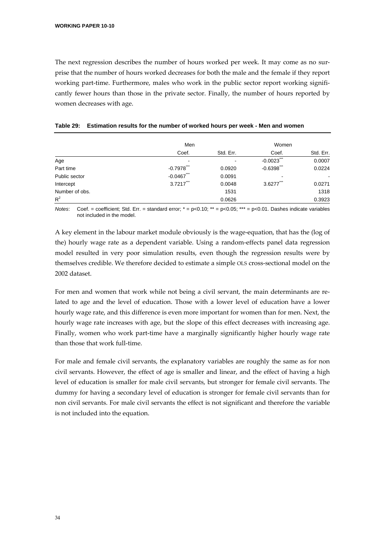The next regression describes the number of hours worked per week. It may come as no surprise that the number of hours worked decreases for both the male and the female if they report working part-time. Furthermore, males who work in the public sector report working significantly fewer hours than those in the private sector. Finally, the number of hours reported by women decreases with age.

|                | Men                      |           | Women            |                |
|----------------|--------------------------|-----------|------------------|----------------|
|                | Coef.                    | Std. Err. | Coef.            | Std. Err.      |
| Age            | $\overline{\phantom{a}}$ |           | ***<br>$-0.0023$ | 0.0007         |
| Part time      | $-0.7978$                | 0.0920    | $-0.6398$ ***    | 0.0224         |
| Public sector  | $-0.0467$ ***            | 0.0091    |                  | $\blacksquare$ |
| Intercept      | $3.7217$                 | 0.0048    | 3.6277           | 0.0271         |
| Number of obs. |                          | 1531      |                  | 1318           |
| $R^2$          |                          | 0.0626    |                  | 0.3923         |

## **Table 29: Estimation results for the number of worked hours per week - Men and women**

*Notes*: Coef. = coefficient; Std. Err. = standard error;  $* = p < 0.10$ ;  $** = p < 0.05$ ;  $*** = p < 0.01$ . Dashes indicate variables not included in the model.

A key element in the labour market module obviously is the wage‐equation, that has the (log of the) hourly wage rate as a dependent variable. Using a random‐effects panel data regression model resulted in very poor simulation results, even though the regression results were by themselves credible. We therefore decided to estimate a simple OLS cross-sectional model on the 2002 dataset.

For men and women that work while not being a civil servant, the main determinants are related to age and the level of education. Those with a lower level of education have a lower hourly wage rate, and this difference is even more important for women than for men. Next, the hourly wage rate increases with age, but the slope of this effect decreases with increasing age. Finally, women who work part-time have a marginally significantly higher hourly wage rate than those that work full‐time.

For male and female civil servants, the explanatory variables are roughly the same as for non civil servants. However, the effect of age is smaller and linear, and the effect of having a high level of education is smaller for male civil servants, but stronger for female civil servants. The dummy for having a secondary level of education is stronger for female civil servants than for non civil servants. For male civil servants the effect is not significant and therefore the variable is not included into the equation.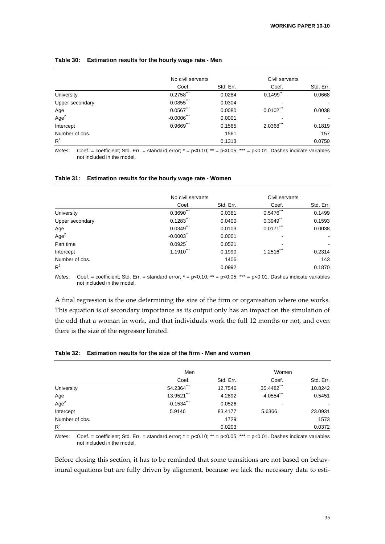### No civil servants Civil servants Coef. Std. Err. Coef. Std. Err. University 0.2758<sup>\*\*</sup> 0.0284 0.1499<sup>\*</sup> 0.0668 Upper secondary 6.0855\*\*\* 0.0304 Age 0.0567\*\*\* 0.0080 0.0102\*\*\* 0.0038  $Age<sup>2</sup>$  $-0.0006$   $-0.0006$   $-0.0001$   $-$ Intercept 0.9669\*\*\* 0.1565 2.0368\*\*\* 0.1819 Number of obs. 157  $R<sup>2</sup>$ 0.1313 0.0750

### **Table 30: Estimation results for the hourly wage rate - Men**

*Notes*: Coef. = coefficient; Std. Err. = standard error; \* = p<0.10; \*\* = p<0.05; \*\*\* = p<0.01. Dashes indicate variables not included in the model.

#### **Table 31: Estimation results for the hourly wage rate - Women**

|                  | No civil servants       |           | Civil servants |                |
|------------------|-------------------------|-----------|----------------|----------------|
|                  | Coef.                   | Std. Err. | Coef.          | Std. Err.      |
| University       | 0.3690                  | 0.0381    | 0.5476         | 0.1499         |
| Upper secondary  | $0.1283$ <sup>***</sup> | 0.0400    | 0.3949         | 0.1593         |
| Age              | $0.0349$ <sup>***</sup> | 0.0103    | 0.0171         | 0.0038         |
| Age <sup>2</sup> | $-0.0003$               | 0.0001    |                | $\blacksquare$ |
| Part time        | 0.0925                  | 0.0521    |                |                |
| Intercept        | 1.1910                  | 0.1990    | ***<br>1.2516  | 0.2314         |
| Number of obs.   |                         | 1406      |                | 143            |
| $R^2$            |                         | 0.0992    |                | 0.1870         |

*Notes*: Coef. = coefficient; Std. Err. = standard error; \* = p<0.10; \*\* = p<0.05; \*\*\* = p<0.01. Dashes indicate variables not included in the model.

A final regression is the one determining the size of the firm or organisation where one works. This equation is of secondary importance as its output only has an impact on the simulation of the odd that a woman in work, and that individuals work the full 12 months or not, and even there is the size of the regressor limited.

### **Table 32: Estimation results for the size of the firm - Men and women**

|                  | Men                      |           | Women        |           |
|------------------|--------------------------|-----------|--------------|-----------|
|                  | Coef.                    | Std. Err. | Coef.        | Std. Err. |
| University       | 54.2364***               | 12.7546   | 35.4482      | 10.8242   |
| Age              | 13.9521"                 | 4.2892    | $4.0554$ *** | 0.5451    |
| Age <sup>2</sup> | $-0.1534$ <sup>***</sup> | 0.0526    |              |           |
| Intercept        | 5.9146                   | 83.4177   | 5.6366       | 23.0931   |
| Number of obs.   |                          | 1729      |              | 1573      |
| $R^2$            |                          | 0.0203    |              | 0.0372    |

*Notes*: Coef. = coefficient; Std. Err. = standard error; \* = p<0.10; \*\* = p<0.05; \*\*\* = p<0.01. Dashes indicate variables not included in the model.

Before closing this section, it has to be reminded that some transitions are not based on behavioural equations but are fully driven by alignment, because we lack the necessary data to esti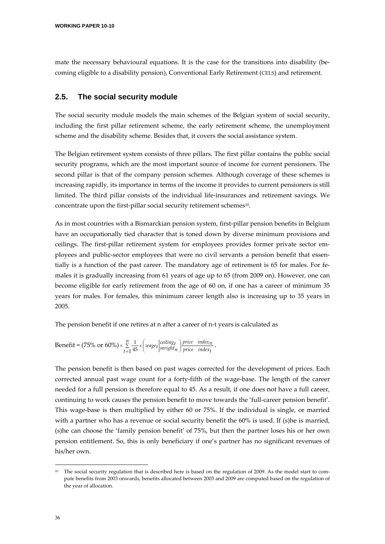mate the necessary behavioural equations. It is the case for the transitions into disability (becoming eligible to a disability pension), Conventional Early Retirement (CELS) and retirement.

# **2.5. The social security module**

The social security module models the main schemes of the Belgian system of social security, including the first pillar retirement scheme, the early retirement scheme, the unemployment scheme and the disability scheme. Besides that, it covers the social assistance system.

The Belgian retirement system consists of three pillars. The first pillar contains the public social security programs, which are the most important source of income for current pensioners. The second pillar is that of the company pension schemes. Although coverage of these schemes is increasing rapidly, its importance in terms of the income it provides to current pensioners is still limited. The third pillar consists of the individual life‐insurances and retirement savings. We concentrate upon the first-pillar social security retirement schemes<sup>10</sup>.

As in most countries with a Bismarckian pension system, first-pillar pension benefits in Belgium have an occupationally tied character that is toned down by diverse minimum provisions and ceilings. The first-pillar retirement system for employees provides former private sector employees and public‐sector employees that were no civil servants a pension benefit that essen‐ tially is a function of the past career. The mandatory age of retirement is 65 for males. For females it is gradually increasing from 61 years of age up to 65 (from 2009 on). However, one can become eligible for early retirement from the age of 60 on, if one has a career of minimum 35 years for males. For females, this minimum career length also is increasing up to 35 years in 2005.

The pension benefit if one retires at n after a career of n-t years is calculated as

Benefit = (75% or 60%) × 
$$
\sum_{t=1}^{n} \frac{1}{45} \times \left(wage_t \left|\frac{ceiling_t}{mright_t}\right) \frac{price \ index_t}{price \ index_t}.
$$

The pension benefit is then based on past wages corrected for the development of prices. Each corrected annual past wage count for a forty-fifth of the wage-base. The length of the career needed for a full pension is therefore equal to 45. As a result, if one does not have a full career, continuing to work causes the pension benefit to move towards the 'full-career pension benefit'. This wage-base is then multiplied by either 60 or 75%. If the individual is single, or married with a partner who has a revenue or social security benefit the 60% is used. If (s)he is married, (s)he can choose the 'family pension benefit' of 75%, but then the partner loses his or her own pension entitlement. So, this is only beneficiary if one's partner has no significant revenues of his/her own.

 $10$  The social security regulation that is described here is based on the regulation of 2009. As the model start to compute benefits from 2003 onwards, benefits allocated between 2003 and 2009 are computed based on the regulation of the year of allocation.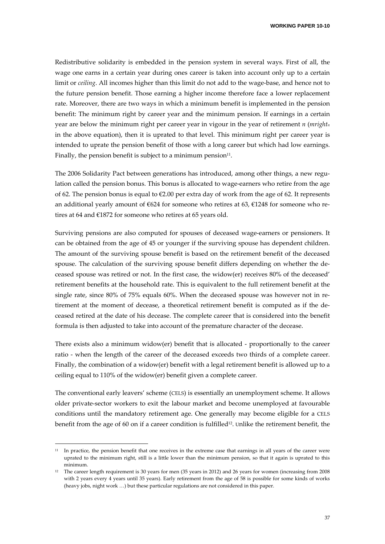**WORKING PAPER 10-10** 

Redistributive solidarity is embedded in the pension system in several ways. First of all, the wage one earns in a certain year during ones career is taken into account only up to a certain limit or *ceiling*. All incomes higher than this limit do not add to the wage-base, and hence not to the future pension benefit. Those earning a higher income therefore face a lower replacement rate. Moreover, there are two ways in which a minimum benefit is implemented in the pension benefit: The minimum right by career year and the minimum pension. If earnings in a certain year are below the minimum right per career year in vigour in the year of retirement *n* (*mrightn* in the above equation), then it is uprated to that level. This minimum right per career year is intended to uprate the pension benefit of those with a long career but which had low earnings. Finally, the pension benefit is subject to a minimum pension $11$ .

The 2006 Solidarity Pact between generations has introduced, among other things, a new regulation called the pension bonus. This bonus is allocated to wage-earners who retire from the age of 62. The pension bonus is equal to €2.00 per extra day of work from the age of 62. It represents an additional yearly amount of  $\epsilon$ 624 for someone who retires at 63,  $\epsilon$ 1248 for someone who retires at 64 and €1872 for someone who retires at 65 years old.

Surviving pensions are also computed for spouses of deceased wage-earners or pensioners. It can be obtained from the age of 45 or younger if the surviving spouse has dependent children. The amount of the surviving spouse benefit is based on the retirement benefit of the deceased spouse. The calculation of the surviving spouse benefit differs depending on whether the deceased spouse was retired or not. In the first case, the widow(er) receives 80% of the deceased' retirement benefits at the household rate. This is equivalent to the full retirement benefit at the single rate, since 80% of 75% equals 60%. When the deceased spouse was however not in retirement at the moment of decease, a theoretical retirement benefit is computed as if the deceased retired at the date of his decease. The complete career that is considered into the benefit formula is then adjusted to take into account of the premature character of the decease.

There exists also a minimum widow(er) benefit that is allocated - proportionally to the career ratio - when the length of the career of the deceased exceeds two thirds of a complete career. Finally, the combination of a widow(er) benefit with a legal retirement benefit is allowed up to a ceiling equal to 110% of the widow(er) benefit given a complete career.

The conventional early leavers' scheme (CELS) is essentially an unemployment scheme. It allows older private‐sector workers to exit the labour market and become unemployed at favourable conditions until the mandatory retirement age. One generally may become eligible for a CELS benefit from the age of 60 on if a career condition is fulfilled<sup>12</sup>. Unlike the retirement benefit, the

<u> Andrew Maria (1995)</u>

 $11$  In practice, the pension benefit that one receives in the extreme case that earnings in all years of the career were uprated to the minimum right, still is a little lower than the minimum pension, so that it again is uprated to this minimum.

<sup>12</sup> The career length requirement is 30 years for men (35 years in 2012) and 26 years for women (increasing from 2008 with 2 years every 4 years until 35 years). Early retirement from the age of 58 is possible for some kinds of works (heavy jobs, night work …) but these particular regulations are not considered in this paper.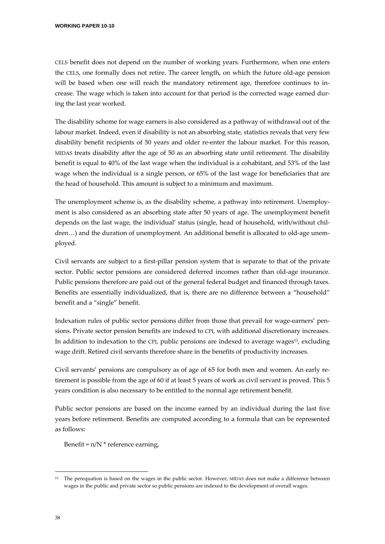CELS benefit does not depend on the number of working years. Furthermore, when one enters the CELS, one formally does not retire. The career length, on which the future old‐age pension will be based when one will reach the mandatory retirement age, therefore continues to in‐ crease. The wage which is taken into account for that period is the corrected wage earned dur‐ ing the last year worked.

The disability scheme for wage earners is also considered as a pathway of withdrawal out of the labour market. Indeed, even if disability is not an absorbing state, statistics reveals that very few disability benefit recipients of 50 years and older re-enter the labour market. For this reason, MIDAS treats disability after the age of 50 as an absorbing state until retirement. The disability benefit is equal to 40% of the last wage when the individual is a cohabitant, and 53% of the last wage when the individual is a single person, or 65% of the last wage for beneficiaries that are the head of household. This amount is subject to a minimum and maximum.

The unemployment scheme is, as the disability scheme, a pathway into retirement. Unemployment is also considered as an absorbing state after 50 years of age. The unemployment benefit depends on the last wage, the individual' status (single, head of household, with/without chil‐ dren...) and the duration of unemployment. An additional benefit is allocated to old-age unemployed.

Civil servants are subject to a first‐pillar pension system that is separate to that of the private sector. Public sector pensions are considered deferred incomes rather than old-age insurance. Public pensions therefore are paid out of the general federal budget and financed through taxes. Benefits are essentially individualized, that is, there are no difference between a "household" benefit and a "single" benefit.

Indexation rules of public sector pensions differ from those that prevail for wage-earners' pensions. Private sector pension benefits are indexed to CPI, with additional discretionary increases. In addition to indexation to the CPI, public pensions are indexed to average wages<sup>13</sup>, excluding wage drift. Retired civil servants therefore share in the benefits of productivity increases.

Civil servants' pensions are compulsory as of age of 65 for both men and women. An early re‐ tirement is possible from the age of 60 if at least 5 years of work as civil servant is proved. This 5 years condition is also necessary to be entitled to the normal age retirement benefit.

Public sector pensions are based on the income earned by an individual during the last five years before retirement. Benefits are computed according to a formula that can be represented as follows:

Benefit =  $n/N$  \* reference earning,

<sup>&</sup>lt;sup>13</sup> The perequation is based on the wages in the public sector. However, MIDAS does not make a difference between wages in the public and private sector so public pensions are indexed to the development of overall wages.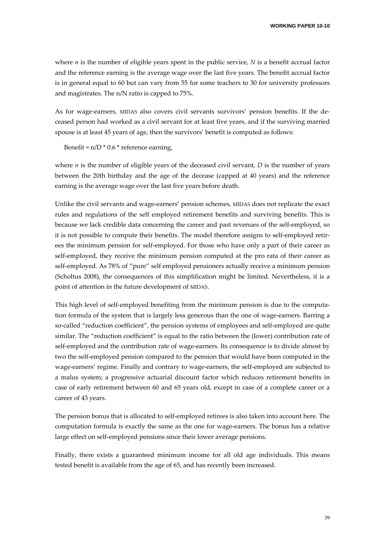where *n* is the number of eligible years spent in the public service, *N* is a benefit accrual factor and the reference earning is the average wage over the last five years. The benefit accrual factor is in general equal to 60 but can vary from 55 for some teachers to 30 for university professors and magistrates. The n/N ratio is capped to 75%.

As for wage‐earners, MIDAS also covers civil servants survivors' pension benefits. If the de‐ ceased person had worked as a civil servant for at least five years, and if the surviving married spouse is at least 45 years of age, then the survivors' benefit is computed as follows:

Benefit =  $n/D * 0.6 *$  reference earning,

where  $n$  is the number of eligible years of the deceased civil servant,  $D$  is the number of years between the 20th birthday and the age of the decease (capped at 40 years) and the reference earning is the average wage over the last five years before death.

Unlike the civil servants and wage‐earners' pension schemes, MIDAS does not replicate the exact rules and regulations of the self employed retirement benefits and surviving benefits. This is because we lack credible data concerning the career and past revenues of the self-employed, so it is not possible to compute their benefits. The model therefore assigns to self-employed retirees the minimum pension for self‐employed. For those who have only a part of their career as self-employed, they receive the minimum pension computed at the pro rata of their career as self-employed. As 78% of "pure" self employed pensioners actually receive a minimum pension (Scholtus 2008), the consequences of this simplification might be limited. Nevertheless, it is a point of attention in the future development of MIDAS.

This high level of self-employed benefiting from the minimum pension is due to the computation formula of the system that is largely less generous than the one of wage-earners. Barring a so-called "reduction coefficient", the pension systems of employees and self-employed are quite similar. The "reduction coefficient" is equal to the ratio between the (lower) contribution rate of self-employed and the contribution rate of wage-earners. Its consequence is to divide almost by two the self-employed pension compared to the pension that would have been computed in the wage-earners' regime. Finally and contrary to wage-earners, the self-employed are subjected to a malus system; a progressive actuarial discount factor which reduces retirement benefits in case of early retirement between 60 and 65 years old, except in case of a complete career or a career of 43 years.

The pension bonus that is allocated to self-employed retirees is also taken into account here. The computation formula is exactly the same as the one for wage-earners. The bonus has a relative large effect on self-employed pensions since their lower average pensions.

Finally, there exists a guaranteed minimum income for all old age individuals. This means tested benefit is available from the age of 65, and has recently been increased.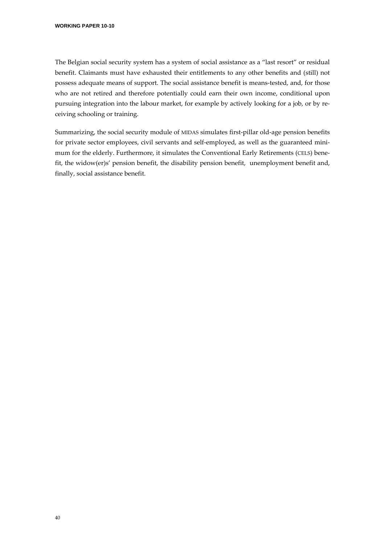The Belgian social security system has a system of social assistance as a "last resort" or residual benefit. Claimants must have exhausted their entitlements to any other benefits and (still) not possess adequate means of support. The social assistance benefit is means-tested, and, for those who are not retired and therefore potentially could earn their own income, conditional upon pursuing integration into the labour market, for example by actively looking for a job, or by re‐ ceiving schooling or training.

Summarizing, the social security module of MIDAS simulates first-pillar old-age pension benefits for private sector employees, civil servants and self-employed, as well as the guaranteed minimum for the elderly. Furthermore, it simulates the Conventional Early Retirements (CELS) benefit, the widow(er)s' pension benefit, the disability pension benefit, unemployment benefit and, finally, social assistance benefit.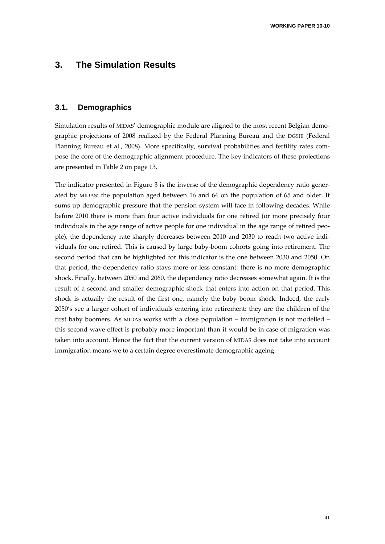# **3. The Simulation Results**

# **3.1. Demographics**

Simulation results of MIDAS' demographic module are aligned to the most recent Belgian demographic projections of 2008 realized by the Federal Planning Bureau and the DGSIE (Federal Planning Bureau et al., 2008). More specifically, survival probabilities and fertility rates com‐ pose the core of the demographic alignment procedure. The key indicators of these projections are presented in Table 2 on page 13.

The indicator presented in Figure 3 is the inverse of the demographic dependency ratio generated by MIDAS: the population aged between 16 and 64 on the population of 65 and older. It sums up demographic pressure that the pension system will face in following decades. While before 2010 there is more than four active individuals for one retired (or more precisely four individuals in the age range of active people for one individual in the age range of retired peo‐ ple), the dependency rate sharply decreases between 2010 and 2030 to reach two active individuals for one retired. This is caused by large baby‐boom cohorts going into retirement. The second period that can be highlighted for this indicator is the one between 2030 and 2050. On that period, the dependency ratio stays more or less constant: there is no more demographic shock. Finally, between 2050 and 2060, the dependency ratio decreases somewhat again. It is the result of a second and smaller demographic shock that enters into action on that period. This shock is actually the result of the first one, namely the baby boom shock. Indeed, the early 2050's see a larger cohort of individuals entering into retirement: they are the children of the first baby boomers. As MIDAS works with a close population – immigration is not modelled – this second wave effect is probably more important than it would be in case of migration was taken into account. Hence the fact that the current version of MIDAS does not take into account immigration means we to a certain degree overestimate demographic ageing.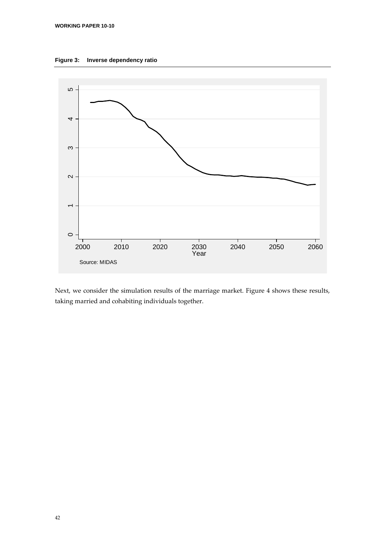



Next, we consider the simulation results of the marriage market. Figure 4 shows these results, taking married and cohabiting individuals together.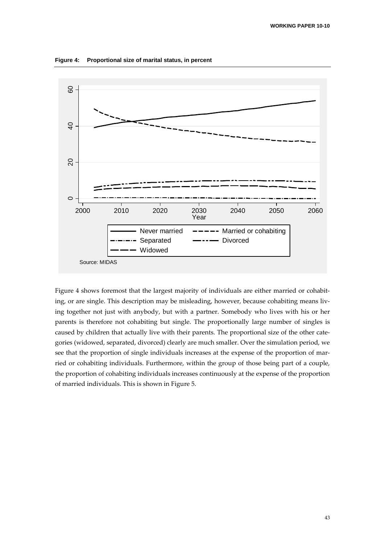



Figure 4 shows foremost that the largest majority of individuals are either married or cohabiting, or are single. This description may be misleading, however, because cohabiting means living together not just with anybody, but with a partner. Somebody who lives with his or her parents is therefore not cohabiting but single. The proportionally large number of singles is caused by children that actually live with their parents. The proportional size of the other categories (widowed, separated, divorced) clearly are much smaller. Over the simulation period, we see that the proportion of single individuals increases at the expense of the proportion of married or cohabiting individuals. Furthermore, within the group of those being part of a couple, the proportion of cohabiting individuals increases continuously at the expense of the proportion of married individuals. This is shown in Figure 5.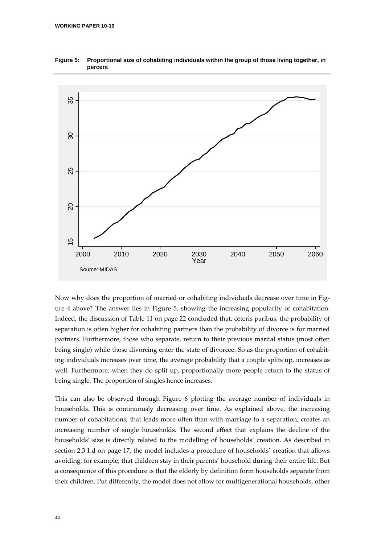

**Figure 5: Proportional size of cohabiting individuals within the group of those living together, in percent** 

Now why does the proportion of married or cohabiting individuals decrease over time in Figure 4 above? The answer lies in Figure 5, showing the increasing popularity of cohabitation. Indeed, the discussion of Table 11 on page 22 concluded that, ceteris paribus, the probability of separation is often higher for cohabiting partners than the probability of divorce is for married partners. Furthermore, those who separate, return to their previous marital status (most often being single) while those divorcing enter the state of divorcee. So as the proportion of cohabiting individuals increases over time, the average probability that a couple splits up, increases as well. Furthermore, when they do split up, proportionally more people return to the status of being single. The proportion of singles hence increases.

This can also be observed through Figure 6 plotting the average number of individuals in households. This is continuously decreasing over time. As explained above, the increasing number of cohabitations, that leads more often than with marriage to a separation, creates an increasing number of single households. The second effect that explains the decline of the households' size is directly related to the modelling of households' creation. As described in section 2.3.1.d on page 17, the model includes a procedure of households' creation that allows avoiding, for example, that children stay in their parents' household during their entire life. But a consequence of this procedure is that the elderly by definition form households separate from their children. Put differently, the model does not allow for multigenerational households, other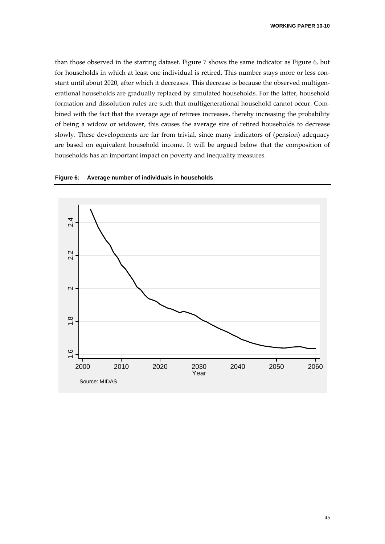than those observed in the starting dataset. Figure 7 shows the same indicator as Figure 6, but for households in which at least one individual is retired. This number stays more or less constant until about 2020, after which it decreases. This decrease is because the observed multigen‐ erational households are gradually replaced by simulated households. For the latter, household formation and dissolution rules are such that multigenerational household cannot occur. Combined with the fact that the average age of retirees increases, thereby increasing the probability of being a widow or widower, this causes the average size of retired households to decrease slowly. These developments are far from trivial, since many indicators of (pension) adequacy are based on equivalent household income. It will be argued below that the composition of households has an important impact on poverty and inequality measures.



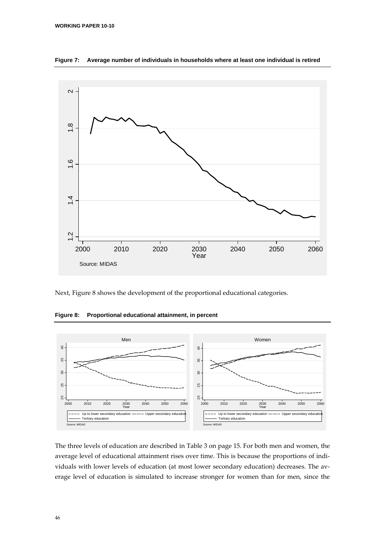

**Figure 7: Average number of individuals in households where at least one individual is retired** 

Next, Figure 8 shows the development of the proportional educational categories.

**Figure 8: Proportional educational attainment, in percent** 



The three levels of education are described in Table 3 on page 15. For both men and women, the average level of educational attainment rises over time. This is because the proportions of individuals with lower levels of education (at most lower secondary education) decreases. The average level of education is simulated to increase stronger for women than for men, since the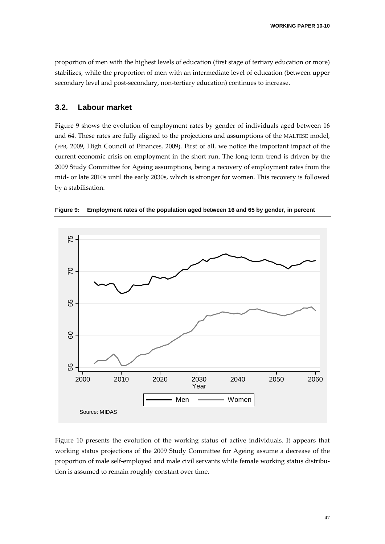proportion of men with the highest levels of education (first stage of tertiary education or more) stabilizes, while the proportion of men with an intermediate level of education (between upper secondary level and post-secondary, non-tertiary education) continues to increase.

## **3.2. Labour market**

Figure 9 shows the evolution of employment rates by gender of individuals aged between 16 and 64. These rates are fully aligned to the projections and assumptions of the MALTESE model, (FPB, 2009, High Council of Finances, 2009). First of all, we notice the important impact of the current economic crisis on employment in the short run. The long-term trend is driven by the 2009 Study Committee for Ageing assumptions, being a recovery of employment rates from the mid‐ or late 2010s until the early 2030s, which is stronger for women. This recovery is followed by a stabilisation.



**Figure 9: Employment rates of the population aged between 16 and 65 by gender, in percent** 

Figure 10 presents the evolution of the working status of active individuals. It appears that working status projections of the 2009 Study Committee for Ageing assume a decrease of the proportion of male self-employed and male civil servants while female working status distribution is assumed to remain roughly constant over time.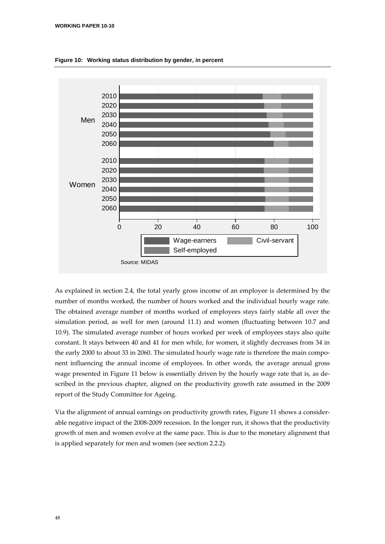

**Figure 10: Working status distribution by gender, in percent** 

As explained in section 2.4, the total yearly gross income of an employee is determined by the number of months worked, the number of hours worked and the individual hourly wage rate. The obtained average number of months worked of employees stays fairly stable all over the simulation period, as well for men (around 11.1) and women (fluctuating between 10.7 and 10.9). The simulated average number of hours worked per week of employees stays also quite constant. It stays between 40 and 41 for men while, for women, it slightly decreases from 34 in the early 2000 to about 33 in 2060. The simulated hourly wage rate is therefore the main component influencing the annual income of employees. In other words, the average annual gross wage presented in Figure 11 below is essentially driven by the hourly wage rate that is, as described in the previous chapter, aligned on the productivity growth rate assumed in the 2009 report of the Study Committee for Ageing.

Via the alignment of annual earnings on productivity growth rates, Figure 11 shows a consider‐ able negative impact of the 2008‐2009 recession. In the longer run, it shows that the productivity growth of men and women evolve at the same pace. This is due to the monetary alignment that is applied separately for men and women (see section 2.2.2).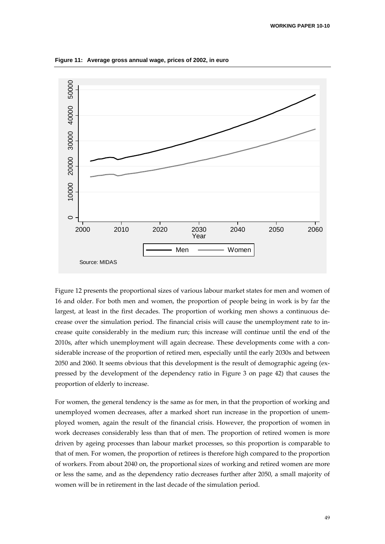

**Figure 11: Average gross annual wage, prices of 2002, in euro** 

Figure 12 presents the proportional sizes of various labour market states for men and women of 16 and older. For both men and women, the proportion of people being in work is by far the largest, at least in the first decades. The proportion of working men shows a continuous de‐ crease over the simulation period. The financial crisis will cause the unemployment rate to in‐ crease quite considerably in the medium run; this increase will continue until the end of the 2010s, after which unemployment will again decrease. These developments come with a considerable increase of the proportion of retired men, especially until the early 2030s and between 2050 and 2060. It seems obvious that this development is the result of demographic ageing (ex‐ pressed by the development of the dependency ratio in Figure 3 on page 42) that causes the proportion of elderly to increase.

For women, the general tendency is the same as for men, in that the proportion of working and unemployed women decreases, after a marked short run increase in the proportion of unemployed women, again the result of the financial crisis. However, the proportion of women in work decreases considerably less than that of men. The proportion of retired women is more driven by ageing processes than labour market processes, so this proportion is comparable to that of men. For women, the proportion of retirees is therefore high compared to the proportion of workers. From about 2040 on, the proportional sizes of working and retired women are more or less the same, and as the dependency ratio decreases further after 2050, a small majority of women will be in retirement in the last decade of the simulation period.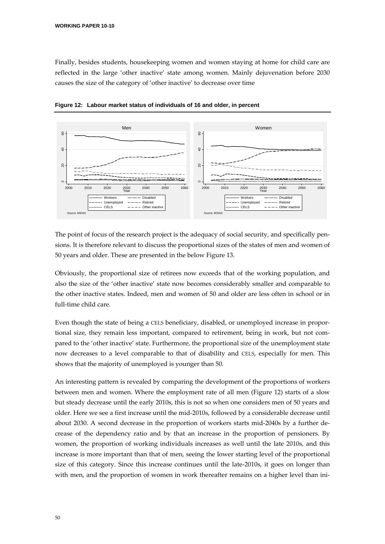Finally, besides students, housekeeping women and women staying at home for child care are reflected in the large 'other inactive' state among women. Mainly dejuvenation before 2030 causes the size of the category of 'other inactive' to decrease over time



**Figure 12: Labour market status of individuals of 16 and older, in percent** 

The point of focus of the research project is the adequacy of social security, and specifically pensions. It is therefore relevant to discuss the proportional sizes of the states of men and women of 50 years and older. These are presented in the below Figure 13.

Obviously, the proportional size of retirees now exceeds that of the working population, and also the size of the 'other inactive' state now becomes considerably smaller and comparable to the other inactive states. Indeed, men and women of 50 and older are less often in school or in full‐time child care.

Even though the state of being a CELS beneficiary, disabled, or unemployed increase in proportional size, they remain less important, compared to retirement, being in work, but not com‐ pared to the 'other inactive' state. Furthermore, the proportional size of the unemployment state now decreases to a level comparable to that of disability and CELS, especially for men. This shows that the majority of unemployed is younger than 50.

An interesting pattern is revealed by comparing the development of the proportions of workers between men and women. Where the employment rate of all men (Figure 12) starts of a slow but steady decrease until the early 2010s, this is not so when one considers men of 50 years and older. Here we see a first increase until the mid‐2010s, followed by a considerable decrease until about 2030. A second decrease in the proportion of workers starts mid‐2040s by a further de‐ crease of the dependency ratio and by that an increase in the proportion of pensioners. By women, the proportion of working individuals increases as well until the late 2010s, and this increase is more important than that of men, seeing the lower starting level of the proportional size of this category. Since this increase continues until the late-2010s, it goes on longer than with men, and the proportion of women in work thereafter remains on a higher level than ini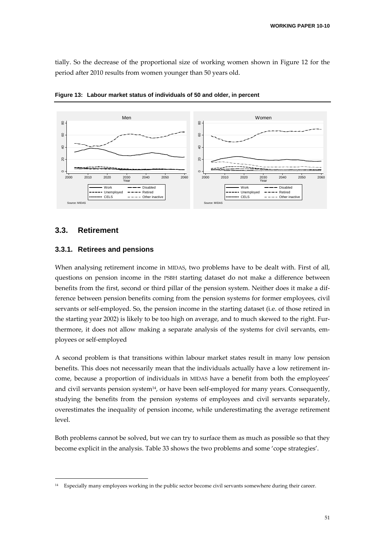tially. So the decrease of the proportional size of working women shown in Figure 12 for the period after 2010 results from women younger than 50 years old.



**Figure 13: Labour market status of individuals of 50 and older, in percent** 

### **3.3. Retirement**

### **3.3.1. Retirees and pensions**

<u> Andrew Maria (1995)</u>

When analysing retirement income in MIDAS, two problems have to be dealt with. First of all, questions on pension income in the PSBH starting dataset do not make a difference between benefits from the first, second or third pillar of the pension system. Neither does it make a difference between pension benefits coming from the pension systems for former employees, civil servants or self-employed. So, the pension income in the starting dataset (i.e. of those retired in the starting year 2002) is likely to be too high on average, and to much skewed to the right. Fur‐ thermore, it does not allow making a separate analysis of the systems for civil servants, em‐ ployees or self‐employed

A second problem is that transitions within labour market states result in many low pension benefits. This does not necessarily mean that the individuals actually have a low retirement income, because a proportion of individuals in MIDAS have a benefit from both the employees' and civil servants pension system<sup>14</sup>, or have been self-employed for many years. Consequently, studying the benefits from the pension systems of employees and civil servants separately, overestimates the inequality of pension income, while underestimating the average retirement level.

Both problems cannot be solved, but we can try to surface them as much as possible so that they become explicit in the analysis. Table 33 shows the two problems and some 'cope strategies'.

<sup>&</sup>lt;sup>14</sup> Especially many employees working in the public sector become civil servants somewhere during their career.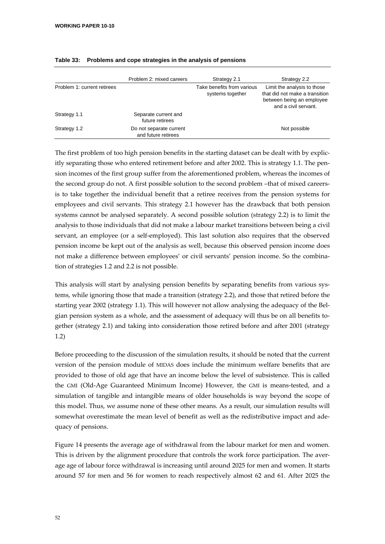|                             | Problem 2: mixed careers                       | Strategy 2.1                                   | Strategy 2.2                                                                                                       |
|-----------------------------|------------------------------------------------|------------------------------------------------|--------------------------------------------------------------------------------------------------------------------|
| Problem 1: current retirees |                                                | Take benefits from various<br>systems together | Limit the analysis to those<br>that did not make a transition<br>between being an employee<br>and a civil servant. |
| Strategy 1.1                | Separate current and<br>future retirees        |                                                |                                                                                                                    |
| Strategy 1.2                | Do not separate current<br>and future retirees |                                                | Not possible                                                                                                       |

### **Table 33: Problems and cope strategies in the analysis of pensions**

The first problem of too high pension benefits in the starting dataset can be dealt with by explic‐ itly separating those who entered retirement before and after 2002. This is strategy 1.1. The pension incomes of the first group suffer from the aforementioned problem, whereas the incomes of the second group do not. A first possible solution to the second problem –that of mixed careersis to take together the individual benefit that a retiree receives from the pension systems for employees and civil servants. This strategy 2.1 however has the drawback that both pension systems cannot be analysed separately. A second possible solution (strategy 2.2) is to limit the analysis to those individuals that did not make a labour market transitions between being a civil servant, an employee (or a self-employed). This last solution also requires that the observed pension income be kept out of the analysis as well, because this observed pension income does not make a difference between employees' or civil servants' pension income. So the combina‐ tion of strategies 1.2 and 2.2 is not possible.

This analysis will start by analysing pension benefits by separating benefits from various systems, while ignoring those that made a transition (strategy 2.2), and those that retired before the starting year 2002 (strategy 1.1). This will however not allow analysing the adequacy of the Belgian pension system as a whole, and the assessment of adequacy will thus be on all benefits to‐ gether (strategy 2.1) and taking into consideration those retired before and after 2001 (strategy 1.2)

Before proceeding to the discussion of the simulation results, it should be noted that the current version of the pension module of MIDAS does include the minimum welfare benefits that are provided to those of old age that have an income below the level of subsistence. This is called the GMI (Old‐Age Guaranteed Minimum Income) However, the GMI is means‐tested, and a simulation of tangible and intangible means of older households is way beyond the scope of this model. Thus, we assume none of these other means. As a result, our simulation results will somewhat overestimate the mean level of benefit as well as the redistributive impact and adequacy of pensions.

Figure 14 presents the average age of withdrawal from the labour market for men and women. This is driven by the alignment procedure that controls the work force participation. The average age of labour force withdrawal is increasing until around 2025 for men and women. It starts around 57 for men and 56 for women to reach respectively almost 62 and 61. After 2025 the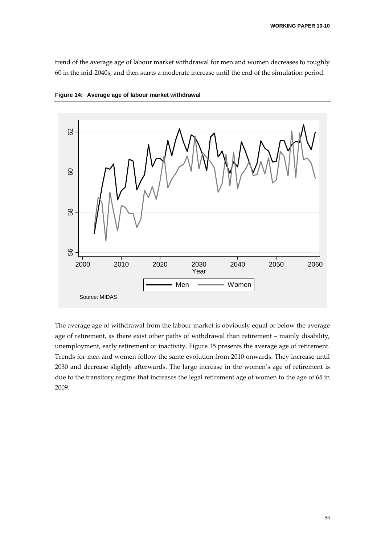trend of the average age of labour market withdrawal for men and women decreases to roughly 60 in the mid‐2040s, and then starts a moderate increase until the end of the simulation period.





The average age of withdrawal from the labour market is obviously equal or below the average age of retirement, as there exist other paths of withdrawal than retirement – mainly disability, unemployment, early retirement or inactivity. Figure 15 presents the average age of retirement. Trends for men and women follow the same evolution from 2010 onwards. They increase until 2030 and decrease slightly afterwards. The large increase in the women's age of retirement is due to the transitory regime that increases the legal retirement age of women to the age of 65 in 2009.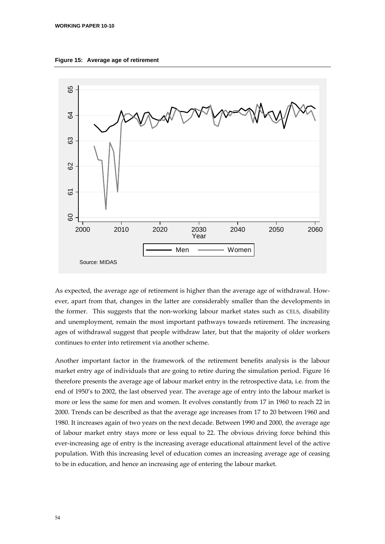



As expected, the average age of retirement is higher than the average age of withdrawal. However, apart from that, changes in the latter are considerably smaller than the developments in the former. This suggests that the non-working labour market states such as CELS, disability and unemployment, remain the most important pathways towards retirement. The increasing ages of withdrawal suggest that people withdraw later, but that the majority of older workers continues to enter into retirement via another scheme.

Another important factor in the framework of the retirement benefits analysis is the labour market entry age of individuals that are going to retire during the simulation period. Figure 16 therefore presents the average age of labour market entry in the retrospective data, i.e. from the end of 1950's to 2002, the last observed year. The average age of entry into the labour market is more or less the same for men and women. It evolves constantly from 17 in 1960 to reach 22 in 2000. Trends can be described as that the average age increases from 17 to 20 between 1960 and 1980. It increases again of two years on the next decade. Between 1990 and 2000, the average age of labour market entry stays more or less equal to 22. The obvious driving force behind this ever-increasing age of entry is the increasing average educational attainment level of the active population. With this increasing level of education comes an increasing average age of ceasing to be in education, and hence an increasing age of entering the labour market.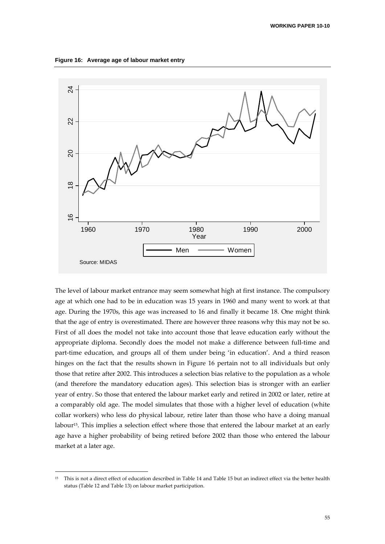**Figure 16: Average age of labour market entry** 



The level of labour market entrance may seem somewhat high at first instance. The compulsory age at which one had to be in education was 15 years in 1960 and many went to work at that age. During the 1970s, this age was increased to 16 and finally it became 18. One might think that the age of entry is overestimated. There are however three reasons why this may not be so. First of all does the model not take into account those that leave education early without the appropriate diploma. Secondly does the model not make a difference between full‐time and part-time education, and groups all of them under being 'in education'. And a third reason hinges on the fact that the results shown in Figure 16 pertain not to all individuals but only those that retire after 2002. This introduces a selection bias relative to the population as a whole (and therefore the mandatory education ages). This selection bias is stronger with an earlier year of entry. So those that entered the labour market early and retired in 2002 or later, retire at a comparably old age. The model simulates that those with a higher level of education (white collar workers) who less do physical labour, retire later than those who have a doing manual labour15. This implies a selection effect where those that entered the labour market at an early age have a higher probability of being retired before 2002 than those who entered the labour market at a later age.

<sup>&</sup>lt;sup>15</sup> This is not a direct effect of education described in Table 14 and Table 15 but an indirect effect via the better health status (Table 12 and Table 13) on labour market participation.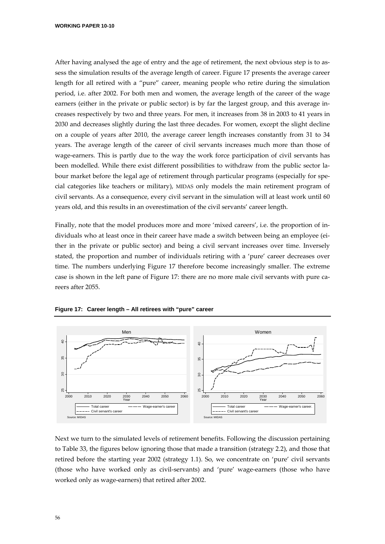**WORKING PAPER 10-10** 

After having analysed the age of entry and the age of retirement, the next obvious step is to as‐ sess the simulation results of the average length of career. Figure 17 presents the average career length for all retired with a "pure" career, meaning people who retire during the simulation period, i.e. after 2002. For both men and women, the average length of the career of the wage earners (either in the private or public sector) is by far the largest group, and this average increases respectively by two and three years. For men, it increases from 38 in 2003 to 41 years in 2030 and decreases slightly during the last three decades. For women, except the slight decline on a couple of years after 2010, the average career length increases constantly from 31 to 34 years. The average length of the career of civil servants increases much more than those of wage-earners. This is partly due to the way the work force participation of civil servants has been modelled. While there exist different possibilities to withdraw from the public sector labour market before the legal age of retirement through particular programs (especially for special categories like teachers or military), MIDAS only models the main retirement program of civil servants. As a consequence, every civil servant in the simulation will at least work until 60 years old, and this results in an overestimation of the civil servants' career length.

Finally, note that the model produces more and more 'mixed careers', i.e. the proportion of individuals who at least once in their career have made a switch between being an employee (ei‐ ther in the private or public sector) and being a civil servant increases over time. Inversely stated, the proportion and number of individuals retiring with a 'pure' career decreases over time. The numbers underlying Figure 17 therefore become increasingly smaller. The extreme case is shown in the left pane of Figure 17: there are no more male civil servants with pure careers after 2055.



**Figure 17: Career length – All retirees with "pure" career** 

Next we turn to the simulated levels of retirement benefits. Following the discussion pertaining to Table 33, the figures below ignoring those that made a transition (strategy 2.2), and those that retired before the starting year 2002 (strategy 1.1). So, we concentrate on 'pure' civil servants (those who have worked only as civil‐servants) and 'pure' wage‐earners (those who have worked only as wage‐earners) that retired after 2002.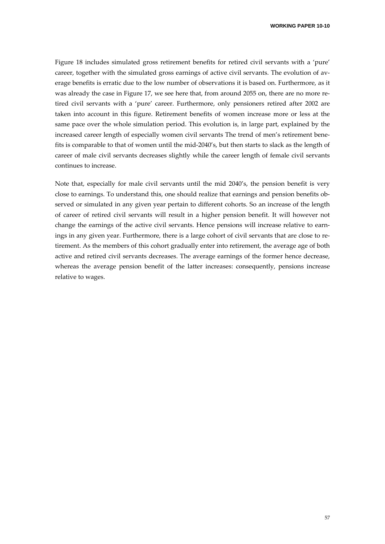**WORKING PAPER 10-10** 

Figure 18 includes simulated gross retirement benefits for retired civil servants with a 'pure' career, together with the simulated gross earnings of active civil servants. The evolution of average benefits is erratic due to the low number of observations it is based on. Furthermore, as it was already the case in Figure 17, we see here that, from around 2055 on, there are no more retired civil servants with a 'pure' career. Furthermore, only pensioners retired after 2002 are taken into account in this figure. Retirement benefits of women increase more or less at the same pace over the whole simulation period. This evolution is, in large part, explained by the increased career length of especially women civil servants The trend of men's retirement benefits is comparable to that of women until the mid-2040's, but then starts to slack as the length of career of male civil servants decreases slightly while the career length of female civil servants continues to increase.

Note that, especially for male civil servants until the mid 2040's, the pension benefit is very close to earnings. To understand this, one should realize that earnings and pension benefits observed or simulated in any given year pertain to different cohorts. So an increase of the length of career of retired civil servants will result in a higher pension benefit. It will however not change the earnings of the active civil servants. Hence pensions will increase relative to earnings in any given year. Furthermore, there is a large cohort of civil servants that are close to retirement. As the members of this cohort gradually enter into retirement, the average age of both active and retired civil servants decreases. The average earnings of the former hence decrease, whereas the average pension benefit of the latter increases: consequently, pensions increase relative to wages.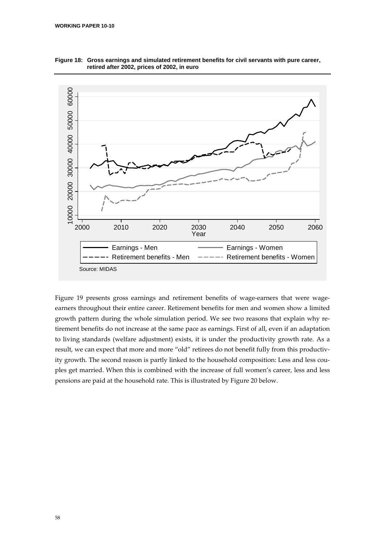

**Figure 18: Gross earnings and simulated retirement benefits for civil servants with pure career, retired after 2002, prices of 2002, in euro** 

Figure 19 presents gross earnings and retirement benefits of wage-earners that were wageearners throughout their entire career. Retirement benefits for men and women show a limited growth pattern during the whole simulation period. We see two reasons that explain why retirement benefits do not increase at the same pace as earnings. First of all, even if an adaptation to living standards (welfare adjustment) exists, it is under the productivity growth rate. As a result, we can expect that more and more "old" retirees do not benefit fully from this productivity growth. The second reason is partly linked to the household composition: Less and less couples get married. When this is combined with the increase of full women's career, less and less pensions are paid at the household rate. This is illustrated by Figure 20 below.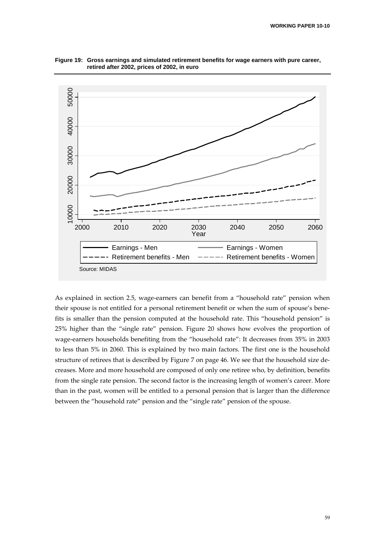

**Figure 19: Gross earnings and simulated retirement benefits for wage earners with pure career, retired after 2002, prices of 2002, in euro** 

As explained in section 2.5, wage‐earners can benefit from a "household rate" pension when their spouse is not entitled for a personal retirement benefit or when the sum of spouse's bene‐ fits is smaller than the pension computed at the household rate. This "household pension" is 25% higher than the "single rate" pension. Figure 20 shows how evolves the proportion of wage-earners households benefiting from the "household rate": It decreases from 35% in 2003 to less than 5% in 2060. This is explained by two main factors. The first one is the household structure of retirees that is described by Figure 7 on page 46. We see that the household size de‐ creases. More and more household are composed of only one retiree who, by definition, benefits from the single rate pension. The second factor is the increasing length of women's career. More than in the past, women will be entitled to a personal pension that is larger than the difference between the "household rate" pension and the "single rate" pension of the spouse.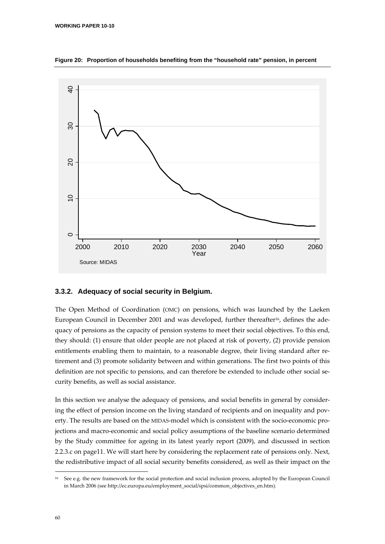

**Figure 20: Proportion of households benefiting from the "household rate" pension, in percent** 

### **3.3.2. Adequacy of social security in Belgium.**

The Open Method of Coordination (OMC) on pensions, which was launched by the Laeken European Council in December 2001 and was developed, further thereafter<sup>16</sup>, defines the adequacy of pensions as the capacity of pension systems to meet their social objectives. To this end, they should: (1) ensure that older people are not placed at risk of poverty, (2) provide pension entitlements enabling them to maintain, to a reasonable degree, their living standard after retirement and (3) promote solidarity between and within generations. The first two points of this definition are not specific to pensions, and can therefore be extended to include other social security benefits, as well as social assistance.

In this section we analyse the adequacy of pensions, and social benefits in general by consider‐ ing the effect of pension income on the living standard of recipients and on inequality and poverty. The results are based on the MIDAS-model which is consistent with the socio-economic projections and macro‐economic and social policy assumptions of the baseline scenario determined by the Study committee for ageing in its latest yearly report (2009), and discussed in section 2.2.3.c on page11. We will start here by considering the replacement rate of pensions only. Next, the redistributive impact of all social security benefits considered, as well as their impact on the

<sup>&</sup>lt;sup>16</sup> See e.g. the new framework for the social protection and social inclusion process, adopted by the European Council in March 2006 (see http://ec.europa.eu/employment\_social/spsi/common\_objectives\_en.htm).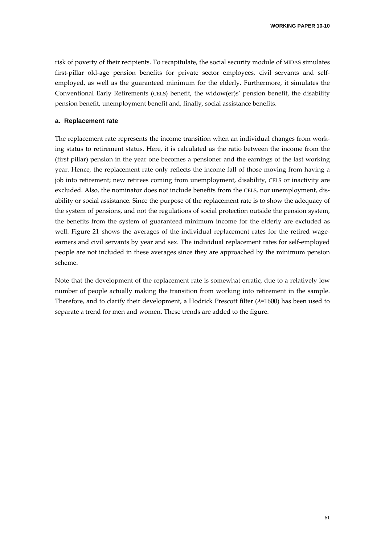**WORKING PAPER 10-10** 

risk of poverty of their recipients. To recapitulate, the social security module of MIDAS simulates first-pillar old-age pension benefits for private sector employees, civil servants and selfemployed, as well as the guaranteed minimum for the elderly. Furthermore, it simulates the Conventional Early Retirements (CELS) benefit, the widow(er)s' pension benefit, the disability pension benefit, unemployment benefit and, finally, social assistance benefits.

### **a. Replacement rate**

The replacement rate represents the income transition when an individual changes from work‐ ing status to retirement status. Here, it is calculated as the ratio between the income from the (first pillar) pension in the year one becomes a pensioner and the earnings of the last working year. Hence, the replacement rate only reflects the income fall of those moving from having a job into retirement; new retirees coming from unemployment, disability, CELS or inactivity are excluded. Also, the nominator does not include benefits from the CELS, nor unemployment, dis‐ ability or social assistance. Since the purpose of the replacement rate is to show the adequacy of the system of pensions, and not the regulations of social protection outside the pension system, the benefits from the system of guaranteed minimum income for the elderly are excluded as well. Figure 21 shows the averages of the individual replacement rates for the retired wage– earners and civil servants by year and sex. The individual replacement rates for self-employed people are not included in these averages since they are approached by the minimum pension scheme.

Note that the development of the replacement rate is somewhat erratic, due to a relatively low number of people actually making the transition from working into retirement in the sample. Therefore, and to clarify their development, a Hodrick Prescott filter  $(\lambda=1600)$  has been used to separate a trend for men and women. These trends are added to the figure.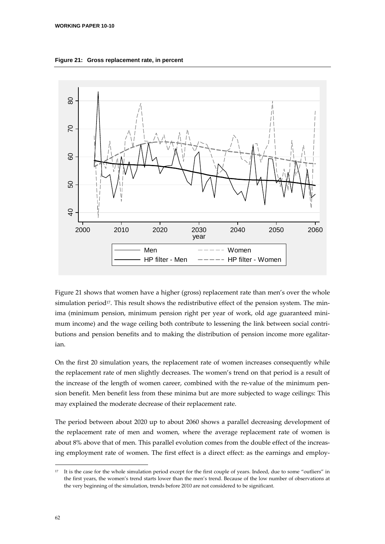**Figure 21: Gross replacement rate, in percent** 



Figure 21 shows that women have a higher (gross) replacement rate than men's over the whole simulation period<sup>17</sup>. This result shows the redistributive effect of the pension system. The minima (minimum pension, minimum pension right per year of work, old age guaranteed minimum income) and the wage ceiling both contribute to lessening the link between social contributions and pension benefits and to making the distribution of pension income more egalitarian.

On the first 20 simulation years, the replacement rate of women increases consequently while the replacement rate of men slightly decreases. The women's trend on that period is a result of the increase of the length of women career, combined with the re-value of the minimum pension benefit. Men benefit less from these minima but are more subjected to wage ceilings: This may explained the moderate decrease of their replacement rate.

The period between about 2020 up to about 2060 shows a parallel decreasing development of the replacement rate of men and women, where the average replacement rate of women is about 8% above that of men. This parallel evolution comes from the double effect of the increasing employment rate of women. The first effect is a direct effect: as the earnings and employ‐

<sup>&</sup>lt;sup>17</sup> It is the case for the whole simulation period except for the first couple of years. Indeed, due to some "outliers" in the first years, the women's trend starts lower than the men's trend. Because of the low number of observations at the very beginning of the simulation, trends before 2010 are not considered to be significant.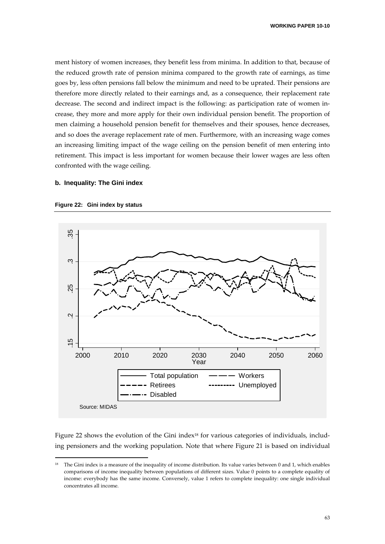ment history of women increases, they benefit less from minima. In addition to that, because of the reduced growth rate of pension minima compared to the growth rate of earnings, as time goes by, less often pensions fall below the minimum and need to be uprated. Their pensions are therefore more directly related to their earnings and, as a consequence, their replacement rate decrease. The second and indirect impact is the following: as participation rate of women increase, they more and more apply for their own individual pension benefit. The proportion of men claiming a household pension benefit for themselves and their spouses, hence decreases, and so does the average replacement rate of men. Furthermore, with an increasing wage comes an increasing limiting impact of the wage ceiling on the pension benefit of men entering into retirement. This impact is less important for women because their lower wages are less often confronted with the wage ceiling.

### **b. Inequality: The Gini index**



**Figure 22: Gini index by status** 

<u> Andrew Maria (1995)</u>

Figure 22 shows the evolution of the Gini index<sup>18</sup> for various categories of individuals, including pensioners and the working population. Note that where Figure 21 is based on individual

The Gini index is a measure of the inequality of income distribution. Its value varies between 0 and 1, which enables comparisons of income inequality between populations of different sizes. Value 0 points to a complete equality of income: everybody has the same income. Conversely, value 1 refers to complete inequality: one single individual concentrates all income.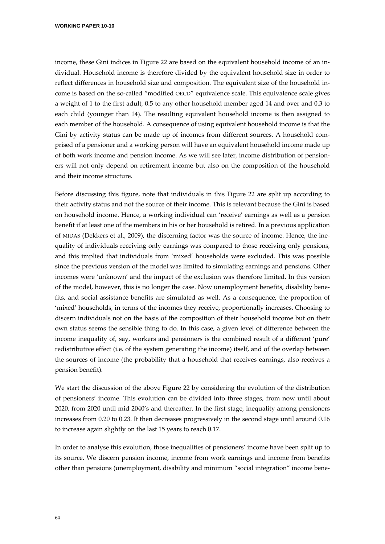**WORKING PAPER 10-10** 

income, these Gini indices in Figure 22 are based on the equivalent household income of an individual. Household income is therefore divided by the equivalent household size in order to reflect differences in household size and composition. The equivalent size of the household in‐ come is based on the so-called "modified OECD" equivalence scale. This equivalence scale gives a weight of 1 to the first adult, 0.5 to any other household member aged 14 and over and 0.3 to each child (younger than 14). The resulting equivalent household income is then assigned to each member of the household. A consequence of using equivalent household income is that the Gini by activity status can be made up of incomes from different sources. A household comprised of a pensioner and a working person will have an equivalent household income made up of both work income and pension income. As we will see later, income distribution of pension‐ ers will not only depend on retirement income but also on the composition of the household and their income structure.

Before discussing this figure, note that individuals in this Figure 22 are split up according to their activity status and not the source of their income. This is relevant because the Gini is based on household income. Hence, a working individual can 'receive' earnings as well as a pension benefit if at least one of the members in his or her household is retired. In a previous application of MIDAS (Dekkers et al., 2009), the discerning factor was the source of income. Hence, the ine‐ quality of individuals receiving only earnings was compared to those receiving only pensions, and this implied that individuals from 'mixed' households were excluded. This was possible since the previous version of the model was limited to simulating earnings and pensions. Other incomes were 'unknown' and the impact of the exclusion was therefore limited. In this version of the model, however, this is no longer the case. Now unemployment benefits, disability bene‐ fits, and social assistance benefits are simulated as well. As a consequence, the proportion of 'mixed' households, in terms of the incomes they receive, proportionally increases. Choosing to discern individuals not on the basis of the composition of their household income but on their own status seems the sensible thing to do. In this case, a given level of difference between the income inequality of, say, workers and pensioners is the combined result of a different 'pure' redistributive effect (i.e. of the system generating the income) itself, and of the overlap between the sources of income (the probability that a household that receives earnings, also receives a pension benefit).

We start the discussion of the above Figure 22 by considering the evolution of the distribution of pensioners' income. This evolution can be divided into three stages, from now until about 2020, from 2020 until mid 2040's and thereafter. In the first stage, inequality among pensioners increases from 0.20 to 0.23. It then decreases progressively in the second stage until around 0.16 to increase again slightly on the last 15 years to reach 0.17.

In order to analyse this evolution, those inequalities of pensioners' income have been split up to its source. We discern pension income, income from work earnings and income from benefits other than pensions (unemployment, disability and minimum "social integration" income bene‐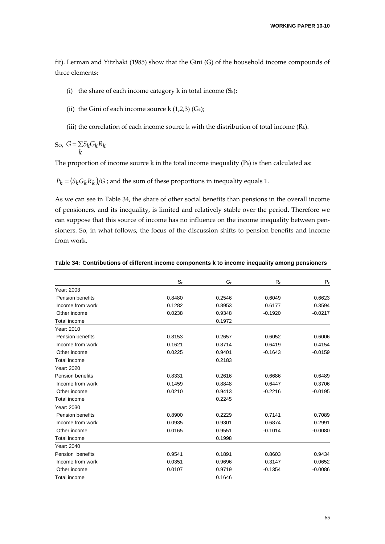fit). Lerman and Yitzhaki (1985) show that the Gini (G) of the household income compounds of three elements:

- (i) the share of each income category  $k$  in total income (S $k$ );
- (ii) the Gini of each income source k  $(1,2,3)$   $(G_k)$ ;
- (iii) the correlation of each income source k with the distribution of total income  $(R_k)$ .

So,  $G = \sum$ *k*  $G = \sum S_k G_k R_k$ 

The proportion of income source  $k$  in the total income inequality  $(P_k)$  is then calculated as:

 $P_k = (S_k G_k R_k)/G$ ; and the sum of these proportions in inequality equals 1.

As we can see in Table 34, the share of other social benefits than pensions in the overall income of pensioners, and its inequality, is limited and relatively stable over the period. Therefore we can suppose that this source of income has no influence on the income inequality between pensioners. So, in what follows, the focus of the discussion shifts to pension benefits and income from work.

|                         | $S_{k}$ | $G_{k}$ | $R_{k}$   | $P_{k}$   |
|-------------------------|---------|---------|-----------|-----------|
| Year: 2003              |         |         |           |           |
| <b>Pension benefits</b> | 0.8480  | 0.2546  | 0.6049    | 0.6623    |
| Income from work        | 0.1282  | 0.8953  | 0.6177    | 0.3594    |
| Other income            | 0.0238  | 0.9348  | $-0.1920$ | $-0.0217$ |
| Total income            |         | 0.1972  |           |           |
| Year: 2010              |         |         |           |           |
| <b>Pension benefits</b> | 0.8153  | 0.2657  | 0.6052    | 0.6006    |
| Income from work        | 0.1621  | 0.8714  | 0.6419    | 0.4154    |
| Other income            | 0.0225  | 0.9401  | $-0.1643$ | $-0.0159$ |
| Total income            |         | 0.2183  |           |           |
| Year: 2020              |         |         |           |           |
| Pension benefits        | 0.8331  | 0.2616  | 0.6686    | 0.6489    |
| Income from work        | 0.1459  | 0.8848  | 0.6447    | 0.3706    |
| Other income            | 0.0210  | 0.9413  | $-0.2216$ | $-0.0195$ |
| Total income            |         | 0.2245  |           |           |
| Year: 2030              |         |         |           |           |
| <b>Pension benefits</b> | 0.8900  | 0.2229  | 0.7141    | 0.7089    |
| Income from work        | 0.0935  | 0.9301  | 0.6874    | 0.2991    |
| Other income            | 0.0165  | 0.9551  | $-0.1014$ | $-0.0080$ |
| Total income            |         | 0.1998  |           |           |
| Year: 2040              |         |         |           |           |
| Pension benefits        | 0.9541  | 0.1891  | 0.8603    | 0.9434    |
| Income from work        | 0.0351  | 0.9696  | 0.3147    | 0.0652    |
| Other income            | 0.0107  | 0.9719  | $-0.1354$ | $-0.0086$ |
| Total income            |         | 0.1646  |           |           |

|  |  | Table 34: Contributions of different income components k to income inequality among pensioners |
|--|--|------------------------------------------------------------------------------------------------|
|  |  |                                                                                                |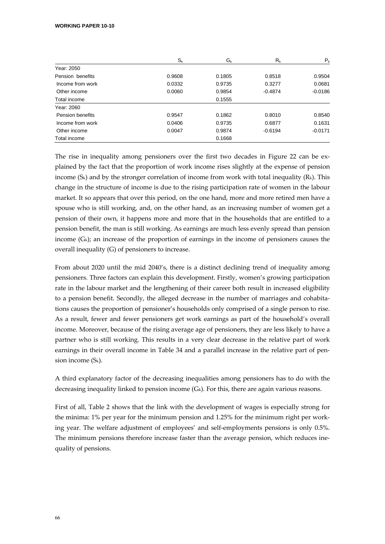|                  | $S_{k}$ | G <sub>k</sub> | $R_{k}$   | $P_{k}$   |
|------------------|---------|----------------|-----------|-----------|
| Year: 2050       |         |                |           |           |
| Pension benefits | 0.9608  | 0.1805         | 0.8518    | 0.9504    |
| Income from work | 0.0332  | 0.9735         | 0.3277    | 0.0681    |
| Other income     | 0.0060  | 0.9854         | $-0.4874$ | $-0.0186$ |
| Total income     |         | 0.1555         |           |           |
| Year: 2060       |         |                |           |           |
| Pension benefits | 0.9547  | 0.1862         | 0.8010    | 0.8540    |
| Income from work | 0.0406  | 0.9735         | 0.6877    | 0.1631    |
| Other income     | 0.0047  | 0.9874         | $-0.6194$ | $-0.0171$ |
| Total income     |         | 0.1668         |           |           |

The rise in inequality among pensioners over the first two decades in Figure 22 can be explained by the fact that the proportion of work income rises slightly at the expense of pension income (Sk) and by the stronger correlation of income from work with total inequality (Rk). This change in the structure of income is due to the rising participation rate of women in the labour market. It so appears that over this period, on the one hand, more and more retired men have a spouse who is still working, and, on the other hand, as an increasing number of women get a pension of their own, it happens more and more that in the households that are entitled to a pension benefit, the man is still working. As earnings are much less evenly spread than pension income  $(G_k)$ ; an increase of the proportion of earnings in the income of pensioners causes the overall inequality (G) of pensioners to increase.

From about 2020 until the mid 2040's, there is a distinct declining trend of inequality among pensioners. Three factors can explain this development. Firstly, women's growing participation rate in the labour market and the lengthening of their career both result in increased eligibility to a pension benefit. Secondly, the alleged decrease in the number of marriages and cohabitations causes the proportion of pensioner's households only comprised of a single person to rise. As a result, fewer and fewer pensioners get work earnings as part of the household's overall income. Moreover, because of the rising average age of pensioners, they are less likely to have a partner who is still working. This results in a very clear decrease in the relative part of work earnings in their overall income in Table 34 and a parallel increase in the relative part of pension income (Sk).

A third explanatory factor of the decreasing inequalities among pensioners has to do with the decreasing inequality linked to pension income  $(G_k)$ . For this, there are again various reasons.

First of all, Table 2 shows that the link with the development of wages is especially strong for the minima: 1% per year for the minimum pension and 1.25% for the minimum right per work‐ ing year. The welfare adjustment of employees' and self-employments pensions is only 0.5%. The minimum pensions therefore increase faster than the average pension, which reduces inequality of pensions.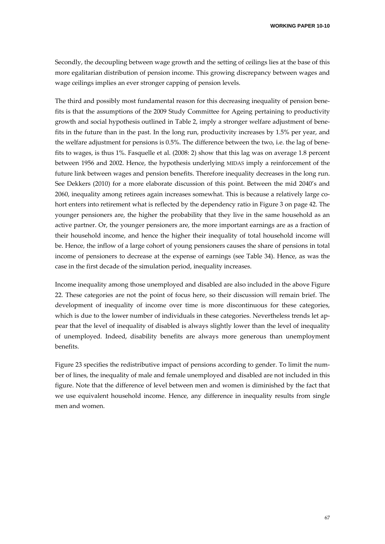Secondly, the decoupling between wage growth and the setting of ceilings lies at the base of this more egalitarian distribution of pension income. This growing discrepancy between wages and wage ceilings implies an ever stronger capping of pension levels.

The third and possibly most fundamental reason for this decreasing inequality of pension bene‐ fits is that the assumptions of the 2009 Study Committee for Ageing pertaining to productivity growth and social hypothesis outlined in Table 2, imply a stronger welfare adjustment of bene‐ fits in the future than in the past. In the long run, productivity increases by 1.5% per year, and the welfare adjustment for pensions is 0.5%. The difference between the two, i.e. the lag of bene‐ fits to wages, is thus 1%. Fasquelle et al. (2008: 2) show that this lag was on average 1.8 percent between 1956 and 2002. Hence, the hypothesis underlying MIDAS imply a reinforcement of the future link between wages and pension benefits. Therefore inequality decreases in the long run. See Dekkers (2010) for a more elaborate discussion of this point. Between the mid 2040's and 2060, inequality among retirees again increases somewhat. This is because a relatively large cohort enters into retirement what is reflected by the dependency ratio in Figure 3 on page 42. The younger pensioners are, the higher the probability that they live in the same household as an active partner. Or, the younger pensioners are, the more important earnings are as a fraction of their household income, and hence the higher their inequality of total household income will be. Hence, the inflow of a large cohort of young pensioners causes the share of pensions in total income of pensioners to decrease at the expense of earnings (see Table 34). Hence, as was the case in the first decade of the simulation period, inequality increases.

Income inequality among those unemployed and disabled are also included in the above Figure 22. These categories are not the point of focus here, so their discussion will remain brief. The development of inequality of income over time is more discontinuous for these categories, which is due to the lower number of individuals in these categories. Nevertheless trends let appear that the level of inequality of disabled is always slightly lower than the level of inequality of unemployed. Indeed, disability benefits are always more generous than unemployment benefits.

Figure 23 specifies the redistributive impact of pensions according to gender. To limit the number of lines, the inequality of male and female unemployed and disabled are not included in this figure. Note that the difference of level between men and women is diminished by the fact that we use equivalent household income. Hence, any difference in inequality results from single men and women.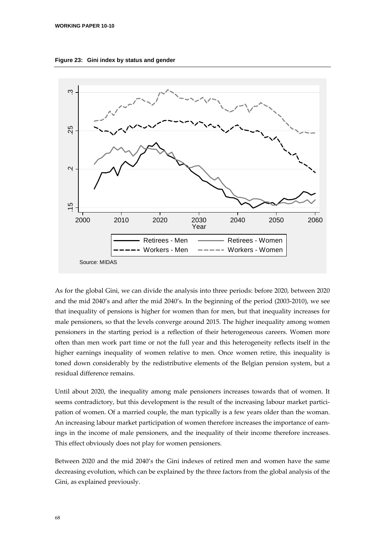



As for the global Gini, we can divide the analysis into three periods: before 2020, between 2020 and the mid 2040's and after the mid 2040's. In the beginning of the period (2003‐2010), we see that inequality of pensions is higher for women than for men, but that inequality increases for male pensioners, so that the levels converge around 2015. The higher inequality among women pensioners in the starting period is a reflection of their heterogeneous careers. Women more often than men work part time or not the full year and this heterogeneity reflects itself in the higher earnings inequality of women relative to men. Once women retire, this inequality is toned down considerably by the redistributive elements of the Belgian pension system, but a residual difference remains.

Until about 2020, the inequality among male pensioners increases towards that of women. It seems contradictory, but this development is the result of the increasing labour market participation of women. Of a married couple, the man typically is a few years older than the woman. An increasing labour market participation of women therefore increases the importance of earnings in the income of male pensioners, and the inequality of their income therefore increases. This effect obviously does not play for women pensioners.

Between 2020 and the mid 2040's the Gini indexes of retired men and women have the same decreasing evolution, which can be explained by the three factors from the global analysis of the Gini, as explained previously.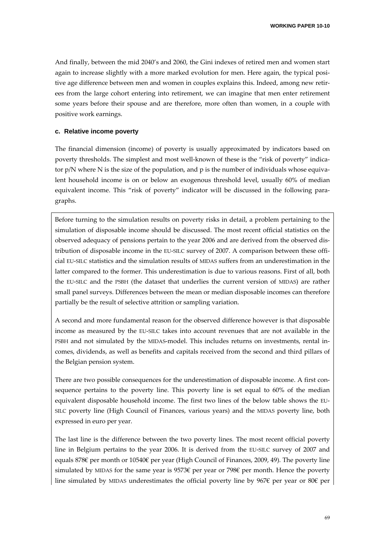And finally, between the mid 2040's and 2060, the Gini indexes of retired men and women start again to increase slightly with a more marked evolution for men. Here again, the typical positive age difference between men and women in couples explains this. Indeed, among new retir‐ ees from the large cohort entering into retirement, we can imagine that men enter retirement some years before their spouse and are therefore, more often than women, in a couple with positive work earnings.

## **c. Relative income poverty**

The financial dimension (income) of poverty is usually approximated by indicators based on poverty thresholds. The simplest and most well-known of these is the "risk of poverty" indicator  $p/N$  where N is the size of the population, and  $p$  is the number of individuals whose equivalent household income is on or below an exogenous threshold level, usually 60% of median equivalent income. This "risk of poverty" indicator will be discussed in the following paragraphs.

Before turning to the simulation results on poverty risks in detail, a problem pertaining to the simulation of disposable income should be discussed. The most recent official statistics on the observed adequacy of pensions pertain to the year 2006 and are derived from the observed dis‐ tribution of disposable income in the EU-SILC survey of 2007. A comparison between these official EU‐SILC statistics and the simulation results of MIDAS suffers from an underestimation in the latter compared to the former. This underestimation is due to various reasons. First of all, both the EU‐SILC and the PSBH (the dataset that underlies the current version of MIDAS) are rather small panel surveys. Differences between the mean or median disposable incomes can therefore partially be the result of selective attrition or sampling variation.

A second and more fundamental reason for the observed difference however is that disposable income as measured by the EU‐SILC takes into account revenues that are not available in the PSBH and not simulated by the MIDAS-model. This includes returns on investments, rental incomes, dividends, as well as benefits and capitals received from the second and third pillars of the Belgian pension system.

There are two possible consequences for the underestimation of disposable income. A first consequence pertains to the poverty line. This poverty line is set equal to 60% of the median equivalent disposable household income. The first two lines of the below table shows the EU‐ SILC poverty line (High Council of Finances, various years) and the MIDAS poverty line, both expressed in euro per year.

The last line is the difference between the two poverty lines. The most recent official poverty line in Belgium pertains to the year 2006. It is derived from the EU‐SILC survey of 2007 and equals 878€ per month or 10540€ per year (High Council of Finances, 2009, 49). The poverty line simulated by MIDAS for the same year is 9573€ per year or 798€ per month. Hence the poverty line simulated by MIDAS underestimates the official poverty line by 967€ per year or 80€ per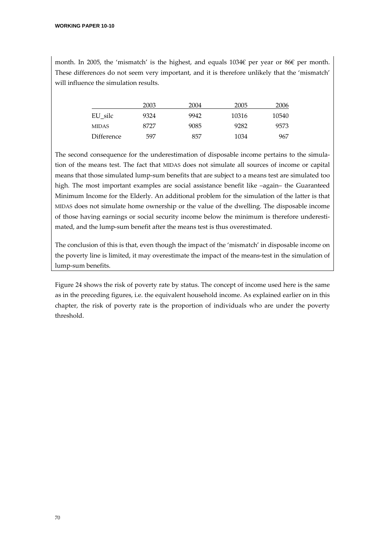month. In 2005, the 'mismatch' is the highest, and equals 1034€ per year or 86€ per month. These differences do not seem very important, and it is therefore unlikely that the 'mismatch' will influence the simulation results.

|            | 2003 | 2004 | 2005  | 2006  |
|------------|------|------|-------|-------|
| EU silc    | 9324 | 9942 | 10316 | 10540 |
| MIDAS      | 8727 | 9085 | 9282  | 9573  |
| Difference | 597  | 857  | 1034  | 967   |

The second consequence for the underestimation of disposable income pertains to the simulation of the means test. The fact that MIDAS does not simulate all sources of income or capital means that those simulated lump-sum benefits that are subject to a means test are simulated too high. The most important examples are social assistance benefit like –again– the Guaranteed Minimum Income for the Elderly. An additional problem for the simulation of the latter is that MIDAS does not simulate home ownership or the value of the dwelling. The disposable income of those having earnings or social security income below the minimum is therefore underesti‐ mated, and the lump-sum benefit after the means test is thus overestimated.

The conclusion of this is that, even though the impact of the 'mismatch' in disposable income on the poverty line is limited, it may overestimate the impact of the means‐test in the simulation of lump‐sum benefits.

Figure 24 shows the risk of poverty rate by status. The concept of income used here is the same as in the preceding figures, i.e. the equivalent household income. As explained earlier on in this chapter, the risk of poverty rate is the proportion of individuals who are under the poverty threshold.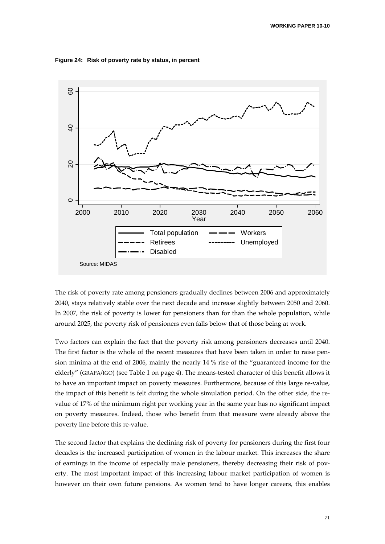**Figure 24: Risk of poverty rate by status, in percent** 



The risk of poverty rate among pensioners gradually declines between 2006 and approximately 2040, stays relatively stable over the next decade and increase slightly between 2050 and 2060. In 2007, the risk of poverty is lower for pensioners than for than the whole population, while around 2025, the poverty risk of pensioners even falls below that of those being at work.

Two factors can explain the fact that the poverty risk among pensioners decreases until 2040. The first factor is the whole of the recent measures that have been taken in order to raise pension minima at the end of 2006, mainly the nearly 14 % rise of the "guaranteed income for the elderly" (GRAPA/IGO) (see Table 1 on page 4). The means‐tested character of this benefit allows it to have an important impact on poverty measures. Furthermore, because of this large re-value, the impact of this benefit is felt during the whole simulation period. On the other side, the re‐ value of 17% of the minimum right per working year in the same year has no significant impact on poverty measures. Indeed, those who benefit from that measure were already above the poverty line before this re‐value.

The second factor that explains the declining risk of poverty for pensioners during the first four decades is the increased participation of women in the labour market. This increases the share of earnings in the income of especially male pensioners, thereby decreasing their risk of pov‐ erty. The most important impact of this increasing labour market participation of women is however on their own future pensions. As women tend to have longer careers, this enables

71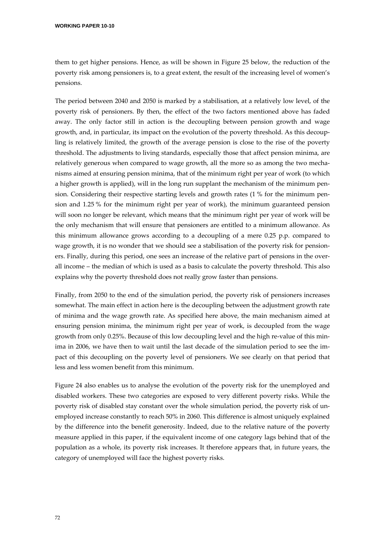them to get higher pensions. Hence, as will be shown in Figure 25 below, the reduction of the poverty risk among pensioners is, to a great extent, the result of the increasing level of women's pensions.

The period between 2040 and 2050 is marked by a stabilisation, at a relatively low level, of the poverty risk of pensioners. By then, the effect of the two factors mentioned above has faded away. The only factor still in action is the decoupling between pension growth and wage growth, and, in particular, its impact on the evolution of the poverty threshold. As this decoupling is relatively limited, the growth of the average pension is close to the rise of the poverty threshold. The adjustments to living standards, especially those that affect pension minima, are relatively generous when compared to wage growth, all the more so as among the two mecha‐ nisms aimed at ensuring pension minima, that of the minimum right per year of work (to which a higher growth is applied), will in the long run supplant the mechanism of the minimum pension. Considering their respective starting levels and growth rates (1 % for the minimum pension and 1.25 % for the minimum right per year of work), the minimum guaranteed pension will soon no longer be relevant, which means that the minimum right per year of work will be the only mechanism that will ensure that pensioners are entitled to a minimum allowance. As this minimum allowance grows according to a decoupling of a mere 0.25 p.p. compared to wage growth, it is no wonder that we should see a stabilisation of the poverty risk for pensioners. Finally, during this period, one sees an increase of the relative part of pensions in the overall income – the median of which is used as a basis to calculate the poverty threshold. This also explains why the poverty threshold does not really grow faster than pensions.

Finally, from 2050 to the end of the simulation period, the poverty risk of pensioners increases somewhat. The main effect in action here is the decoupling between the adjustment growth rate of minima and the wage growth rate. As specified here above, the main mechanism aimed at ensuring pension minima, the minimum right per year of work, is decoupled from the wage growth from only 0.25%. Because of this low decoupling level and the high re-value of this minima in 2006, we have then to wait until the last decade of the simulation period to see the impact of this decoupling on the poverty level of pensioners. We see clearly on that period that less and less women benefit from this minimum.

Figure 24 also enables us to analyse the evolution of the poverty risk for the unemployed and disabled workers. These two categories are exposed to very different poverty risks. While the poverty risk of disabled stay constant over the whole simulation period, the poverty risk of unemployed increase constantly to reach 50% in 2060. This difference is almost uniquely explained by the difference into the benefit generosity. Indeed, due to the relative nature of the poverty measure applied in this paper, if the equivalent income of one category lags behind that of the population as a whole, its poverty risk increases. It therefore appears that, in future years, the category of unemployed will face the highest poverty risks.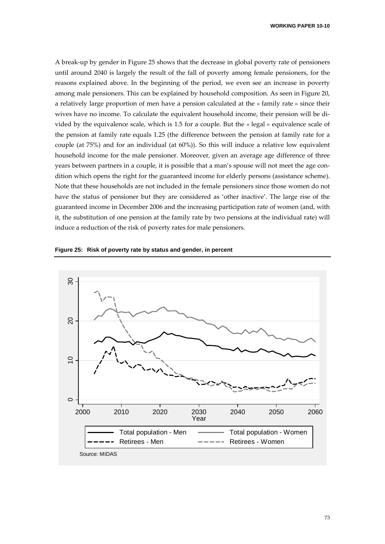A break‐up by gender in Figure 25 shows that the decrease in global poverty rate of pensioners until around 2040 is largely the result of the fall of poverty among female pensioners, for the reasons explained above. In the beginning of the period, we even see an increase in poverty among male pensioners. This can be explained by household composition. As seen in Figure 20, a relatively large proportion of men have a pension calculated at the « family rate » since their wives have no income. To calculate the equivalent household income, their pension will be divided by the equivalence scale, which is 1.5 for a couple. But the « legal » equivalence scale of the pension at family rate equals 1.25 (the difference between the pension at family rate for a couple (at 75%) and for an individual (at 60%)). So this will induce a relative low equivalent household income for the male pensioner. Moreover, given an average age difference of three years between partners in a couple, it is possible that a man's spouse will not meet the age condition which opens the right for the guaranteed income for elderly persons (assistance scheme). Note that these households are not included in the female pensioners since those women do not have the status of pensioner but they are considered as 'other inactive'. The large rise of the guaranteed income in December 2006 and the increasing participation rate of women (and, with it, the substitution of one pension at the family rate by two pensions at the individual rate) will induce a reduction of the risk of poverty rates for male pensioners.



**Figure 25: Risk of poverty rate by status and gender, in percent** 

73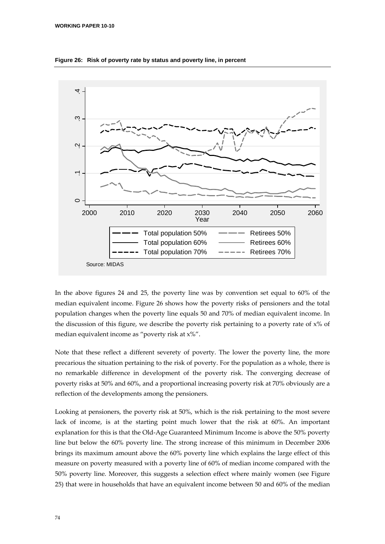

**Figure 26: Risk of poverty rate by status and poverty line, in percent** 

In the above figures 24 and 25, the poverty line was by convention set equal to 60% of the median equivalent income. Figure 26 shows how the poverty risks of pensioners and the total population changes when the poverty line equals 50 and 70% of median equivalent income. In the discussion of this figure, we describe the poverty risk pertaining to a poverty rate of x% of median equivalent income as "poverty risk at x%".

Note that these reflect a different severety of poverty. The lower the poverty line, the more precarious the situation pertaining to the risk of poverty. For the population as a whole, there is no remarkable difference in development of the poverty risk. The converging decrease of poverty risks at 50% and 60%, and a proportional increasing poverty risk at 70% obviously are a reflection of the developments among the pensioners.

Looking at pensioners, the poverty risk at 50%, which is the risk pertaining to the most severe lack of income, is at the starting point much lower that the risk at 60%. An important explanation for this is that the Old‐Age Guaranteed Minimum Income is above the 50% poverty line but below the 60% poverty line. The strong increase of this minimum in December 2006 brings its maximum amount above the 60% poverty line which explains the large effect of this measure on poverty measured with a poverty line of 60% of median income compared with the 50% poverty line. Moreover, this suggests a selection effect where mainly women (see Figure 25) that were in households that have an equivalent income between 50 and 60% of the median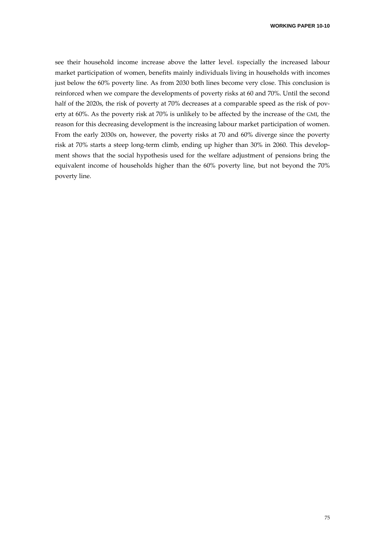see their household income increase above the latter level. Especially the increased labour market participation of women, benefits mainly individuals living in households with incomes just below the 60% poverty line. As from 2030 both lines become very close. This conclusion is reinforced when we compare the developments of poverty risks at 60 and 70%. Until the second half of the 2020s, the risk of poverty at 70% decreases at a comparable speed as the risk of poverty at 60%. As the poverty risk at 70% is unlikely to be affected by the increase of the GMI, the reason for this decreasing development is the increasing labour market participation of women. From the early 2030s on, however, the poverty risks at 70 and 60% diverge since the poverty risk at 70% starts a steep long-term climb, ending up higher than 30% in 2060. This development shows that the social hypothesis used for the welfare adjustment of pensions bring the equivalent income of households higher than the 60% poverty line, but not beyond the 70% poverty line.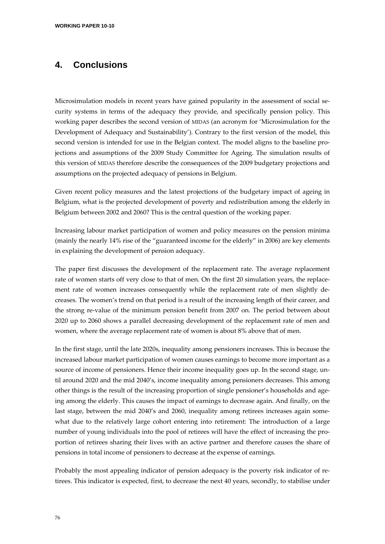## **4. Conclusions**

Microsimulation models in recent years have gained popularity in the assessment of social security systems in terms of the adequacy they provide, and specifically pension policy. This working paper describes the second version of MIDAS (an acronym for 'Microsimulation for the Development of Adequacy and Sustainability'). Contrary to the first version of the model, this second version is intended for use in the Belgian context. The model aligns to the baseline projections and assumptions of the 2009 Study Committee for Ageing. The simulation results of this version of MIDAS therefore describe the consequences of the 2009 budgetary projections and assumptions on the projected adequacy of pensions in Belgium.

Given recent policy measures and the latest projections of the budgetary impact of ageing in Belgium, what is the projected development of poverty and redistribution among the elderly in Belgium between 2002 and 2060? This is the central question of the working paper.

Increasing labour market participation of women and policy measures on the pension minima (mainly the nearly 14% rise of the "guaranteed income for the elderly" in 2006) are key elements in explaining the development of pension adequacy.

The paper first discusses the development of the replacement rate. The average replacement rate of women starts off very close to that of men. On the first 20 simulation years, the replacement rate of women increases consequently while the replacement rate of men slightly decreases. The women's trend on that period is a result of the increasing length of their career, and the strong re‐value of the minimum pension benefit from 2007 on. The period between about 2020 up to 2060 shows a parallel decreasing development of the replacement rate of men and women, where the average replacement rate of women is about 8% above that of men.

In the first stage, until the late 2020s, inequality among pensioners increases. This is because the increased labour market participation of women causes earnings to become more important as a source of income of pensioners. Hence their income inequality goes up. In the second stage, until around 2020 and the mid 2040's, income inequality among pensioners decreases. This among other things is the result of the increasing proportion of single pensioner's households and ageing among the elderly. This causes the impact of earnings to decrease again. And finally, on the last stage, between the mid 2040's and 2060, inequality among retirees increases again somewhat due to the relatively large cohort entering into retirement: The introduction of a large number of young individuals into the pool of retirees will have the effect of increasing the pro‐ portion of retirees sharing their lives with an active partner and therefore causes the share of pensions in total income of pensioners to decrease at the expense of earnings.

Probably the most appealing indicator of pension adequacy is the poverty risk indicator of retirees. This indicator is expected, first, to decrease the next 40 years, secondly, to stabilise under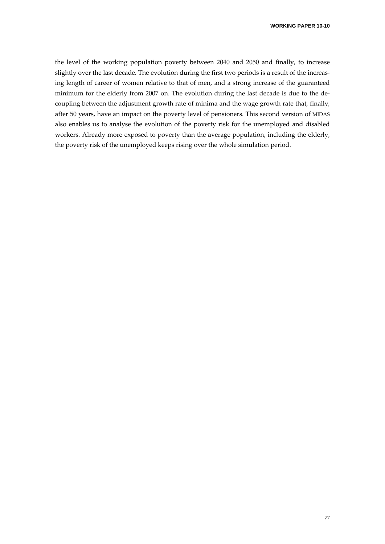the level of the working population poverty between 2040 and 2050 and finally, to increase slightly over the last decade. The evolution during the first two periods is a result of the increasing length of career of women relative to that of men, and a strong increase of the guaranteed minimum for the elderly from 2007 on. The evolution during the last decade is due to the de‐ coupling between the adjustment growth rate of minima and the wage growth rate that, finally, after 50 years, have an impact on the poverty level of pensioners. This second version of MIDAS also enables us to analyse the evolution of the poverty risk for the unemployed and disabled workers. Already more exposed to poverty than the average population, including the elderly, the poverty risk of the unemployed keeps rising over the whole simulation period.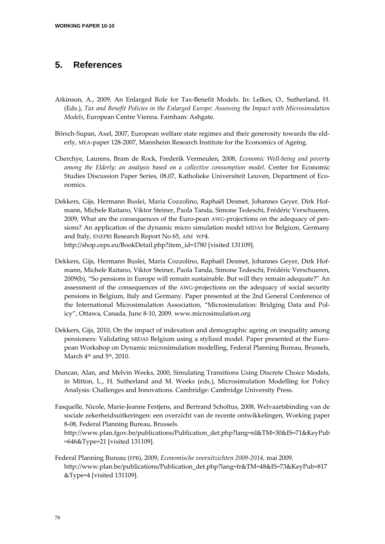## **5. References**

- Atkinson, A., 2009, An Enlarged Role for Tax‐Benefit Models. In: Lelkes, O., Sutherland, H. (Eds.), *Tax and Benefit Policies in the Enlarged Europe: Assessing the Impact with Microsimulation Models*, European Centre Vienna. Farnham: Ashgate.
- Börsch-Supan, Axel, 2007, European welfare state regimes and their generosity towards the elderly, MEA‐paper 128‐2007, Mannheim Research Institute for the Economics of Ageing.
- Cherchye, Laurens, Bram de Rock, Frederik Vermeulen, 2008, *Economic Well‐being and poverty among the Elderly: an analysis based on a collective consumption model*. Center for Economic Studies Discussion Paper Series, 08.07, Katholieke Universiteit Leuven, Department of Eco‐ nomics.
- Dekkers, Gijs, Hermann Buslei, Maria Cozzolino, Raphaël Desmet, Johannes Geyer, Dirk Hof‐ mann, Michele Raitano, Viktor Steiner, Paola Tanda, Simone Tedeschi, Frédéric Verschueren, 2009, What are the consequences of the Euro-pean AWG-projections on the adequacy of pensions? An application of the dynamic micro simulation model MIDAS for Belgium, Germany and Italy, ENEPRI Research Report No 65, AIM WP4. http://shop.ceps.eu/BookDetail.php?item\_id=1780 [visited 131109].
- Dekkers, Gijs, Hermann Buslei, Maria Cozzolino, Raphaël Desmet, Johannes Geyer, Dirk Hof‐ mann, Michele Raitano, Viktor Steiner, Paola Tanda, Simone Tedeschi, Frédéric Verschueren, 2009(b), "So pensions in Europe will remain sustainable. But will they remain adequate?" An assessment of the consequences of the AWG‐projections on the adequacy of social security pensions in Belgium, Italy and Germany. Paper presented at the 2nd General Conference of the International Microsimulation Association, "Microsimulation: Bridging Data and Pol‐ icy", Ottawa, Canada, June 8‐10, 2009. www.microsimulation.org
- Dekkers, Gijs, 2010, On the impact of indexation and demographic ageing on inequality among pensioners: Validating MIDAS Belgium using a stylized model. Paper presented at the Euro‐ pean Workshop on Dynamic microsimulation modelling, Federal Planning Bureau, Brussels, March 4<sup>th</sup> and 5<sup>th</sup>, 2010.
- Duncan, Alan, and Melvin Weeks, 2000, Simulating Transitions Using Discrete Choice Models, in Mitton, L., H. Sutherland and M. Weeks (eds.), Microsimulation Modelling for Policy Analysis: Challenges and Innovations. Cambridge: Cambridge University Press.
- Fasquelle, Nicole, Marie‐Jeanne Festjens, and Bertrand Scholtus, 2008, Welvaartsbinding van de sociale zekerheidsuitkeringen: een overzicht van de recente ontwikkelingen, Working paper 8‐08, Federal Planning Bureau, Brussels.
	- http://www.plan.fgov.be/publications/Publication\_det.php?lang=nl&TM=30&IS=71&KeyPub =646&Type=21 [visited 131109].
- Federal Planning Bureau (FPB), 2009, *Economische vooruitzichten 2009‐2014*, mai 2009. http://www.plan.be/publications/Publication\_det.php?lang=fr&TM=48&IS=73&KeyPub=817 &Type=4 [visited 131109].